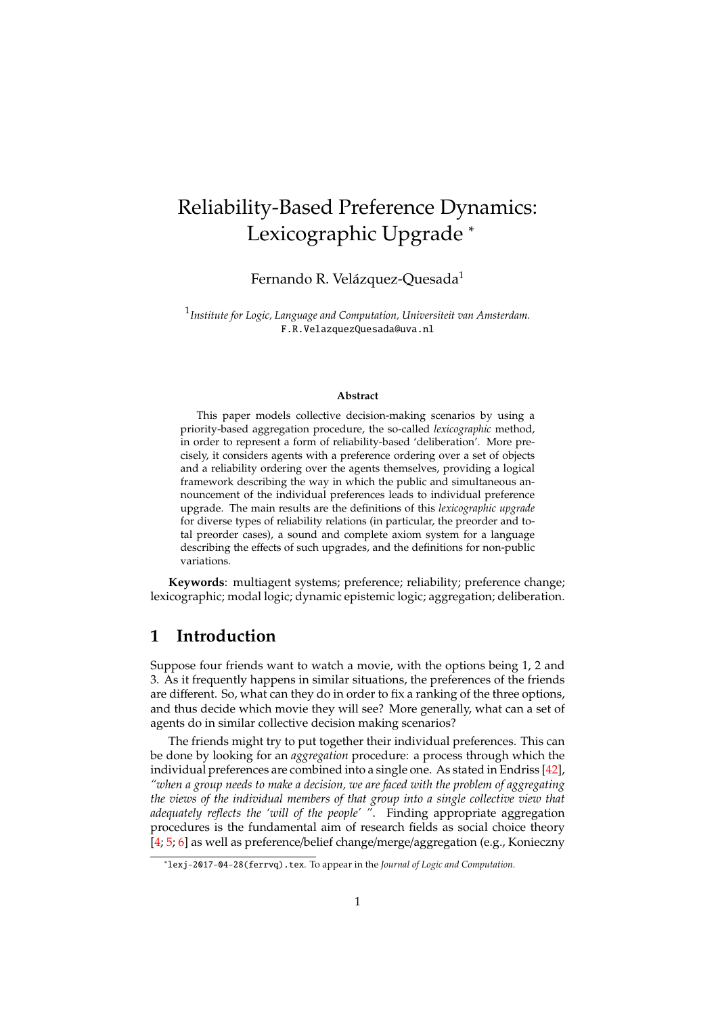# <span id="page-0-1"></span>Reliability-Based Preference Dynamics: Lexicographic Upgrade <sup>∗</sup>

Fernando R. Velázquez-Quesada<sup>1</sup>

1 *Institute for Logic, Language and Computation, Universiteit van Amsterdam.* F.R.VelazquezQuesada@uva.nl

#### **Abstract**

This paper models collective decision-making scenarios by using a priority-based aggregation procedure, the so-called *lexicographic* method, in order to represent a form of reliability-based 'deliberation'. More precisely, it considers agents with a preference ordering over a set of objects and a reliability ordering over the agents themselves, providing a logical framework describing the way in which the public and simultaneous announcement of the individual preferences leads to individual preference upgrade. The main results are the definitions of this *lexicographic upgrade* for diverse types of reliability relations (in particular, the preorder and total preorder cases), a sound and complete axiom system for a language describing the effects of such upgrades, and the definitions for non-public variations.

**Keywords**: multiagent systems; preference; reliability; preference change; lexicographic; modal logic; dynamic epistemic logic; aggregation; deliberation.

# <span id="page-0-0"></span>**1 Introduction**

Suppose four friends want to watch a movie, with the options being 1, 2 and 3. As it frequently happens in similar situations, the preferences of the friends are different. So, what can they do in order to fix a ranking of the three options, and thus decide which movie they will see? More generally, what can a set of agents do in similar collective decision making scenarios?

The friends might try to put together their individual preferences. This can be done by looking for an *aggregation* procedure: a process through which the individual preferences are combined into a single one. As stated in Endriss [\[42\]](#page-42-0), *"when a group needs to make a decision, we are faced with the problem of aggregating the views of the individual members of that group into a single collective view that adequately reflects the 'will of the people' "*. Finding appropriate aggregation procedures is the fundamental aim of research fields as social choice theory [\[4;](#page-40-0) [5;](#page-40-1) [6\]](#page-40-2) as well as preference/belief change/merge/aggregation (e.g., Konieczny

<sup>∗</sup>lexj-2017-04-28(ferrvq).tex. To appear in the *Journal of Logic and Computation*.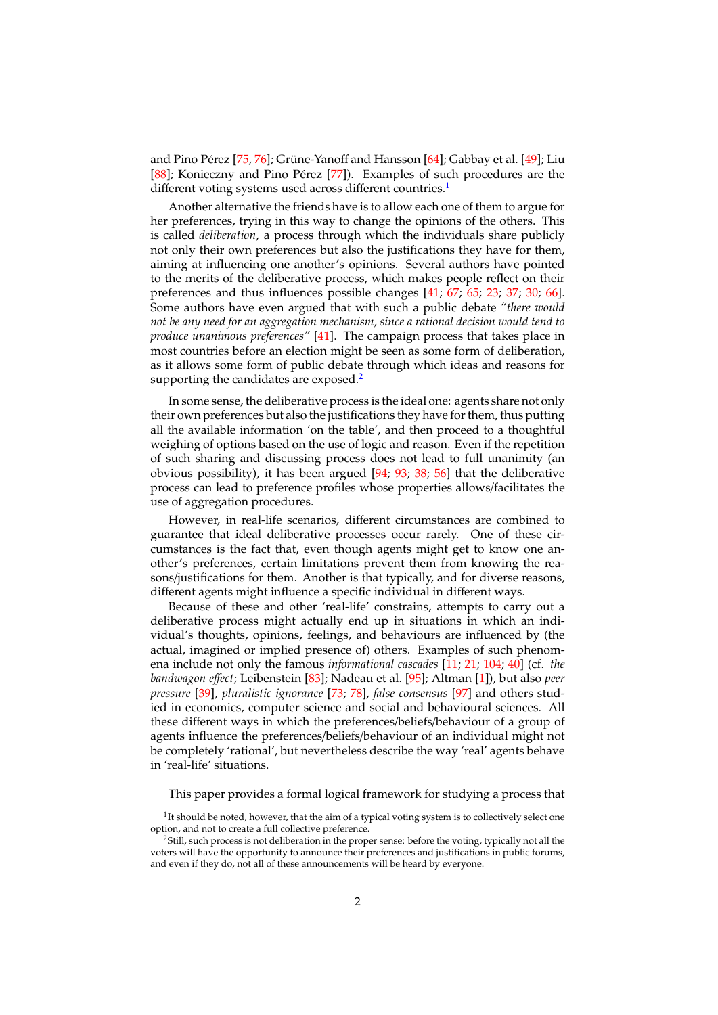<span id="page-1-2"></span>and Pino Pérez [\[75,](#page-45-0) [76\]](#page-45-1); Grüne-Yanoff and Hansson [\[64\]](#page-44-0); Gabbay et al. [\[49\]](#page-43-0); Liu [\[88\]](#page-46-0); Konieczny and Pino Pérez [\[77\]](#page-45-2)). Examples of such procedures are the different voting systems used across different countries.<sup>[1](#page-1-0)</sup>

Another alternative the friends have is to allow each one of them to argue for her preferences, trying in this way to change the opinions of the others. This is called *deliberation*, a process through which the individuals share publicly not only their own preferences but also the justifications they have for them, aiming at influencing one another's opinions. Several authors have pointed to the merits of the deliberative process, which makes people reflect on their preferences and thus influences possible changes [\[41;](#page-42-1) [67;](#page-44-1) [65;](#page-44-2) [23;](#page-41-0) [37;](#page-42-2) [30;](#page-42-3) [66\]](#page-44-3). Some authors have even argued that with such a public debate *"there would not be any need for an aggregation mechanism, since a rational decision would tend to produce unanimous preferences"* [\[41\]](#page-42-1). The campaign process that takes place in most countries before an election might be seen as some form of deliberation, as it allows some form of public debate through which ideas and reasons for supporting the candidates are exposed.<sup>[2](#page-1-1)</sup>

In some sense, the deliberative process is the ideal one: agents share not only their own preferences but also the justifications they have for them, thus putting all the available information 'on the table', and then proceed to a thoughtful weighing of options based on the use of logic and reason. Even if the repetition of such sharing and discussing process does not lead to full unanimity (an obvious possibility), it has been argued [\[94;](#page-46-1) [93;](#page-46-2) [38;](#page-42-4) [56\]](#page-44-4) that the deliberative process can lead to preference profiles whose properties allows/facilitates the use of aggregation procedures.

However, in real-life scenarios, different circumstances are combined to guarantee that ideal deliberative processes occur rarely. One of these circumstances is the fact that, even though agents might get to know one another's preferences, certain limitations prevent them from knowing the reasons/justifications for them. Another is that typically, and for diverse reasons, different agents might influence a specific individual in different ways.

Because of these and other 'real-life' constrains, attempts to carry out a deliberative process might actually end up in situations in which an individual's thoughts, opinions, feelings, and behaviours are influenced by (the actual, imagined or implied presence of) others. Examples of such phenomena include not only the famous *informational cascades* [\[11;](#page-40-3) [21;](#page-41-1) [104;](#page-47-0) [40\]](#page-42-5) (cf. *the bandwagon e*ff*ect*; Leibenstein [\[83\]](#page-46-3); Nadeau et al. [\[95\]](#page-46-4); Altman [\[1\]](#page-39-0)), but also *peer pressure* [\[39\]](#page-42-6), *pluralistic ignorance* [\[73;](#page-45-3) [78\]](#page-45-4), *false consensus* [\[97\]](#page-47-1) and others studied in economics, computer science and social and behavioural sciences. All these different ways in which the preferences/beliefs/behaviour of a group of agents influence the preferences/beliefs/behaviour of an individual might not be completely 'rational', but nevertheless describe the way 'real' agents behave in 'real-life' situations.

This paper provides a formal logical framework for studying a process that

<span id="page-1-0"></span> $1$ It should be noted, however, that the aim of a typical voting system is to collectively select one option, and not to create a full collective preference.

<span id="page-1-1"></span><sup>2</sup>Still, such process is not deliberation in the proper sense: before the voting, typically not all the voters will have the opportunity to announce their preferences and justifications in public forums, and even if they do, not all of these announcements will be heard by everyone.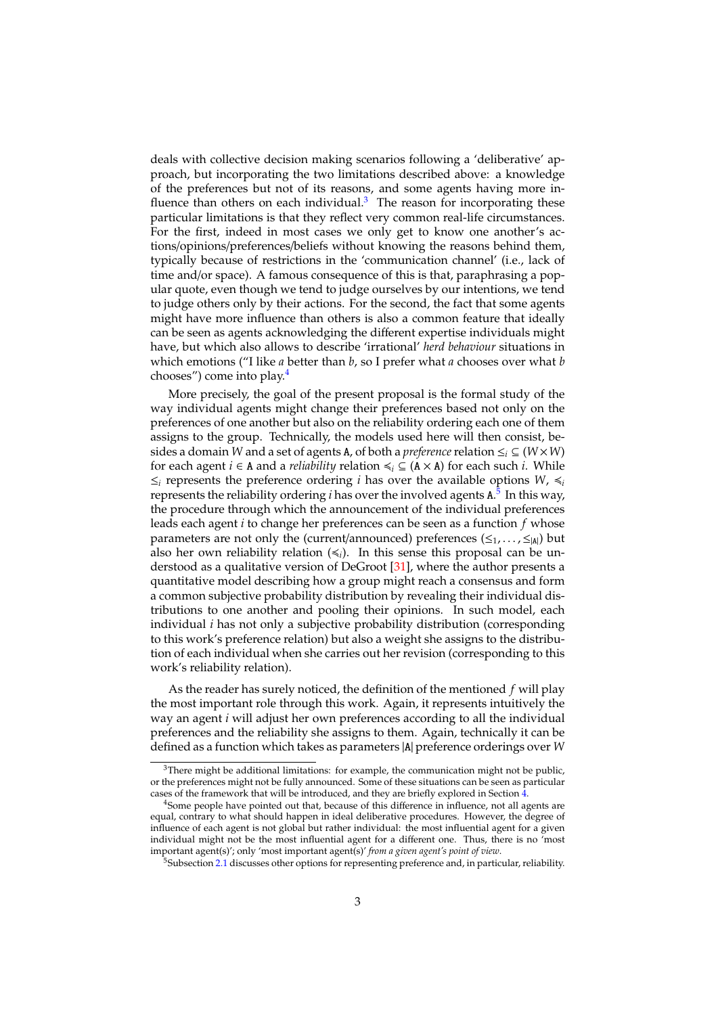<span id="page-2-3"></span>deals with collective decision making scenarios following a 'deliberative' approach, but incorporating the two limitations described above: a knowledge of the preferences but not of its reasons, and some agents having more influence than others on each individual. $3$  The reason for incorporating these particular limitations is that they reflect very common real-life circumstances. For the first, indeed in most cases we only get to know one another's actions/opinions/preferences/beliefs without knowing the reasons behind them, typically because of restrictions in the 'communication channel' (i.e., lack of time and/or space). A famous consequence of this is that, paraphrasing a popular quote, even though we tend to judge ourselves by our intentions, we tend to judge others only by their actions. For the second, the fact that some agents might have more influence than others is also a common feature that ideally can be seen as agents acknowledging the different expertise individuals might have, but which also allows to describe 'irrational' *herd behaviour* situations in which emotions ("I like *a* better than *b*, so I prefer what *a* chooses over what *b* chooses") come into play.[4](#page-2-1)

More precisely, the goal of the present proposal is the formal study of the way individual agents might change their preferences based not only on the preferences of one another but also on the reliability ordering each one of them assigns to the group. Technically, the models used here will then consist, besides a domain *W* and a set of agents A, of both a *preference*relation ≤*<sup>i</sup>* ⊆ (*W*×*W*) for each agent *i* ∈ A and a *reliability* relation  $\leq_i$  ⊆ (A × A) for each such *i*. While  $≤<sub>i</sub>$  represents the preference ordering *i* has over the available options *W*,  $≤<sub>i</sub>$ represents the reliability ordering *i* has over the involved agents A. [5](#page-2-2) In this way, the procedure through which the announcement of the individual preferences leads each agent *i* to change her preferences can be seen as a function *f* whose parameters are not only the (current/announced) preferences ( $\leq_1, \ldots, \leq_{|A|}$ ) but also her own reliability relation  $(\leq_i)$ . In this sense this proposal can be understood as a qualitative version of DeGroot [\[31\]](#page-42-7), where the author presents a quantitative model describing how a group might reach a consensus and form a common subjective probability distribution by revealing their individual distributions to one another and pooling their opinions. In such model, each individual *i* has not only a subjective probability distribution (corresponding to this work's preference relation) but also a weight she assigns to the distribution of each individual when she carries out her revision (corresponding to this work's reliability relation).

As the reader has surely noticed, the definition of the mentioned *f* will play the most important role through this work. Again, it represents intuitively the way an agent *i* will adjust her own preferences according to all the individual preferences and the reliability she assigns to them. Again, technically it can be defined as a function which takes as parameters |A| preference orderings over *W*

<span id="page-2-0"></span> $3$ There might be additional limitations: for example, the communication might not be public, or the preferences might not be fully announced. Some of these situations can be seen as particular cases of the framework that will be introduced, and they are briefly explored in Section [4.](#page-27-0)

<span id="page-2-1"></span><sup>&</sup>lt;sup>4</sup>Some people have pointed out that, because of this difference in influence, not all agents are equal, contrary to what should happen in ideal deliberative procedures. However, the degree of influence of each agent is not global but rather individual: the most influential agent for a given individual might not be the most influential agent for a different one. Thus, there is no 'most important agent(s)'; only 'most important agent(s)' *from a given agent's point of view*.

<span id="page-2-2"></span><sup>&</sup>lt;sup>5</sup>Subsection [2.1](#page-6-0) discusses other options for representing preference and, in particular, reliability.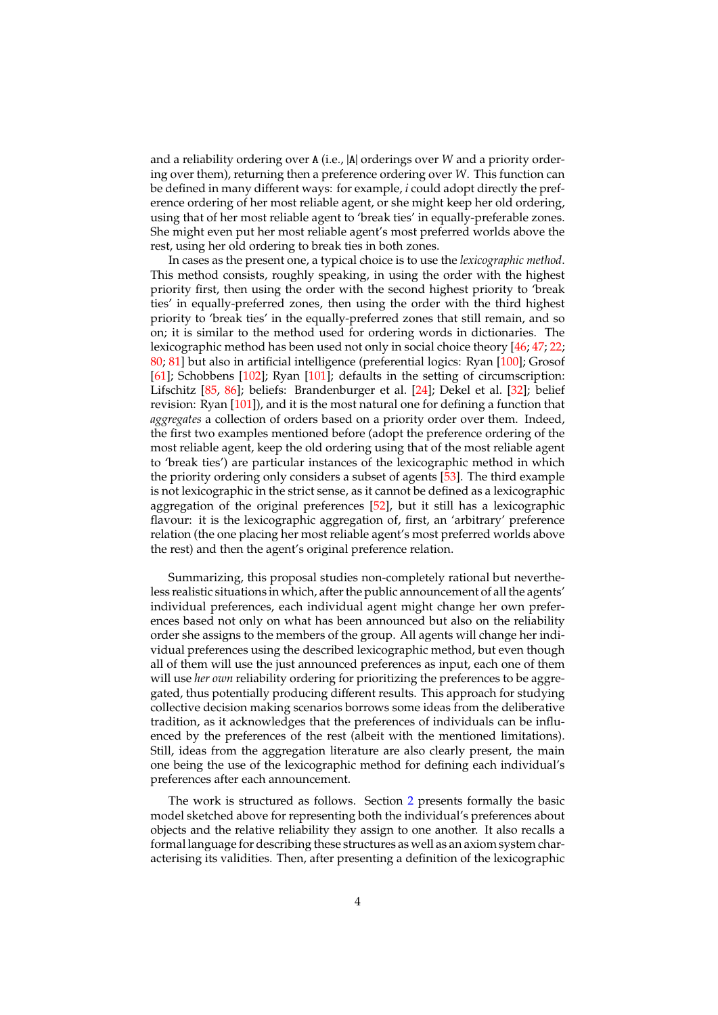<span id="page-3-0"></span>and a reliability ordering over A (i.e., |A| orderings over *W* and a priority ordering over them), returning then a preference ordering over *W*. This function can be defined in many different ways: for example, *i* could adopt directly the preference ordering of her most reliable agent, or she might keep her old ordering, using that of her most reliable agent to 'break ties' in equally-preferable zones. She might even put her most reliable agent's most preferred worlds above the rest, using her old ordering to break ties in both zones.

In cases as the present one, a typical choice is to use the *lexicographic method*. This method consists, roughly speaking, in using the order with the highest priority first, then using the order with the second highest priority to 'break ties' in equally-preferred zones, then using the order with the third highest priority to 'break ties' in the equally-preferred zones that still remain, and so on; it is similar to the method used for ordering words in dictionaries. The lexicographic method has been used not only in social choice theory [\[46;](#page-43-1) [47;](#page-43-2) [22;](#page-41-2) [80;](#page-45-5) [81\]](#page-45-6) but also in artificial intelligence (preferential logics: Ryan [\[100\]](#page-47-2); Grosof [\[61\]](#page-44-5); Schobbens [\[102\]](#page-47-3); Ryan [\[101\]](#page-47-4); defaults in the setting of circumscription: Lifschitz [\[85,](#page-46-5) [86\]](#page-46-6); beliefs: Brandenburger et al. [\[24\]](#page-41-3); Dekel et al. [\[32\]](#page-42-8); belief revision: Ryan [\[101\]](#page-47-4)), and it is the most natural one for defining a function that *aggregates* a collection of orders based on a priority order over them. Indeed, the first two examples mentioned before (adopt the preference ordering of the most reliable agent, keep the old ordering using that of the most reliable agent to 'break ties') are particular instances of the lexicographic method in which the priority ordering only considers a subset of agents [\[53\]](#page-43-3). The third example is not lexicographic in the strict sense, as it cannot be defined as a lexicographic aggregation of the original preferences [\[52\]](#page-43-4), but it still has a lexicographic flavour: it is the lexicographic aggregation of, first, an 'arbitrary' preference relation (the one placing her most reliable agent's most preferred worlds above the rest) and then the agent's original preference relation.

Summarizing, this proposal studies non-completely rational but nevertheless realistic situations in which, after the public announcement of all the agents' individual preferences, each individual agent might change her own preferences based not only on what has been announced but also on the reliability order she assigns to the members of the group. All agents will change her individual preferences using the described lexicographic method, but even though all of them will use the just announced preferences as input, each one of them will use *her own* reliability ordering for prioritizing the preferences to be aggregated, thus potentially producing different results. This approach for studying collective decision making scenarios borrows some ideas from the deliberative tradition, as it acknowledges that the preferences of individuals can be influenced by the preferences of the rest (albeit with the mentioned limitations). Still, ideas from the aggregation literature are also clearly present, the main one being the use of the lexicographic method for defining each individual's preferences after each announcement.

The work is structured as follows. Section [2](#page-4-0) presents formally the basic model sketched above for representing both the individual's preferences about objects and the relative reliability they assign to one another. It also recalls a formal language for describing these structures as well as an axiom system characterising its validities. Then, after presenting a definition of the lexicographic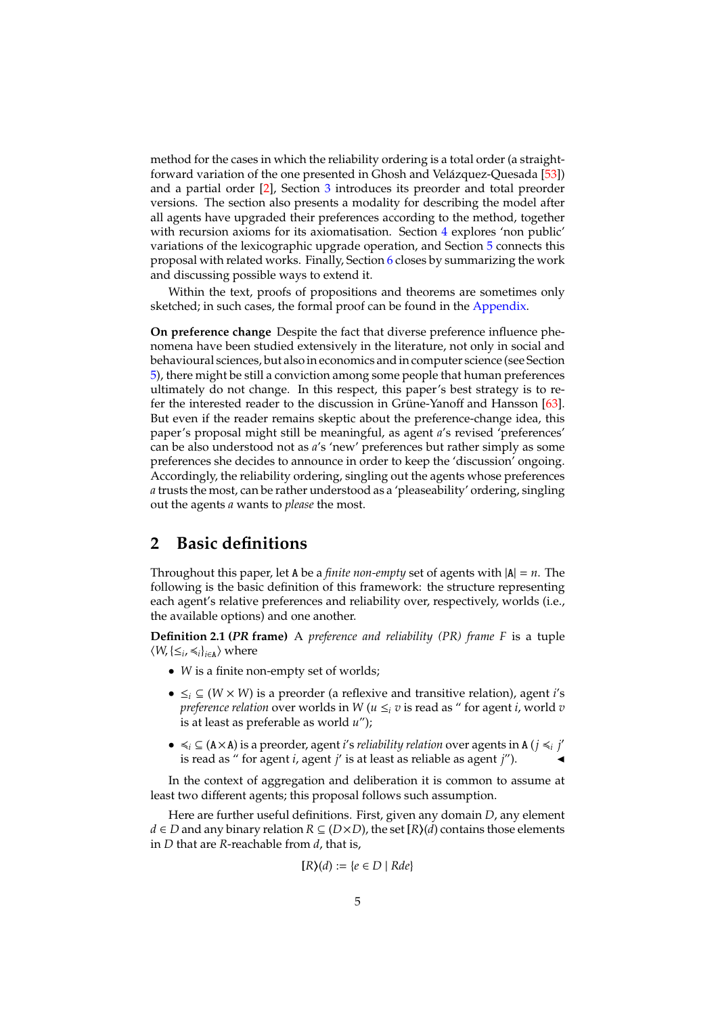<span id="page-4-1"></span>method for the cases in which the reliability ordering is a total order (a straightforward variation of the one presented in Ghosh and Velázquez-Quesada [\[53\]](#page-43-3)) and a partial order [\[2\]](#page-40-4), Section [3](#page-13-0) introduces its preorder and total preorder versions. The section also presents a modality for describing the model after all agents have upgraded their preferences according to the method, together with recursion axioms for its axiomatisation. Section [4](#page-27-0) explores 'non public' variations of the lexicographic upgrade operation, and Section [5](#page-31-0) connects this proposal with related works. Finally, Section [6](#page-33-0) closes by summarizing the work and discussing possible ways to extend it.

Within the text, proofs of propositions and theorems are sometimes only sketched; in such cases, the formal proof can be found in the [Appendix.](#page-34-0)

**On preference change** Despite the fact that diverse preference influence phenomena have been studied extensively in the literature, not only in social and behavioural sciences, but also in economics and in computer science (see Section [5\)](#page-31-0), there might be still a conviction among some people that human preferences ultimately do not change. In this respect, this paper's best strategy is to refer the interested reader to the discussion in Grüne-Yanoff and Hansson [\[63\]](#page-44-6). But even if the reader remains skeptic about the preference-change idea, this paper's proposal might still be meaningful, as agent *a*'s revised 'preferences' can be also understood not as *a*'s 'new' preferences but rather simply as some preferences she decides to announce in order to keep the 'discussion' ongoing. Accordingly, the reliability ordering, singling out the agents whose preferences *a* trusts the most, can be rather understood as a 'pleaseability' ordering, singling out the agents *a* wants to *please* the most.

# <span id="page-4-0"></span>**2 Basic definitions**

Throughout this paper, let A be a *finite non-empty* set of agents with |A| = *n*. The following is the basic definition of this framework: the structure representing each agent's relative preferences and reliability over, respectively, worlds (i.e., the available options) and one another.

**Definition 2.1 (***PR* **frame)** A *preference and reliability (PR) frame F* is a tuple  $\langle W, \{\leq_i, \leq_i\}_{i \in A} \rangle$  where

- *W* is a finite non-empty set of worlds;
- ≤*<sup>i</sup>* ⊆ (*W* × *W*) is a preorder (a reflexive and transitive relation), agent *i*'s *preference relation* over worlds in *W* ( $u \leq i$  *v* is read as " for agent *i*, world *v* is at least as preferable as world *u*");
- $\leq i \subseteq (A \times A)$  is a preorder, agent *i's reliability relation* over agents in A (*j*  $\leq i$  *j'* is read as " for agent *i*, agent *j'* is at least as reliable as agent *j*").

In the context of aggregation and deliberation it is common to assume at least two different agents; this proposal follows such assumption.

Here are further useful definitions. First, given any domain *D*, any element *d* ∈ *D* and any binary relation  $R$  ⊆ (*D*×*D*), the set [*R*)(*d*) contains those elements in *D* that are *R*-reachable from *d*, that is,

$$
[R\mathcal{H}] := \{e \in D \mid Rde\}
$$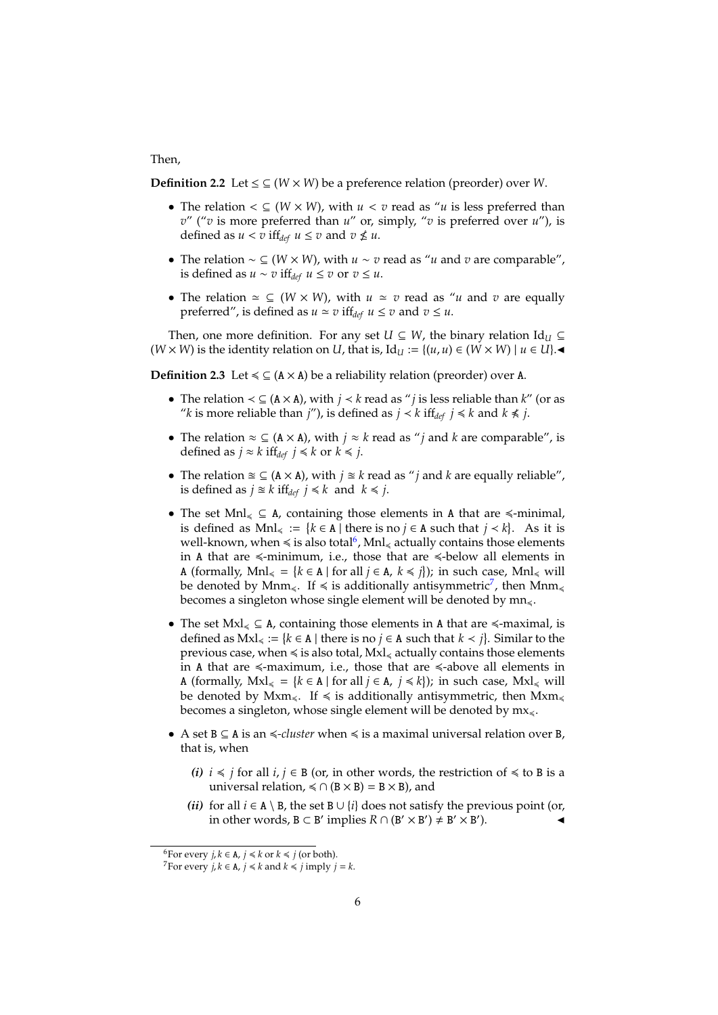<span id="page-5-2"></span>Then,

**Definition 2.2** Let ≤ ⊆ (*W* × *W*) be a preference relation (preorder) over *W*.

- The relation  $\lt\subseteq$  (*W*  $\times$  *W*), with  $u \lt v$  read as "*u* is less preferred than *v*" ("*v* is more preferred than *u*" or, simply, "*v* is preferred over *u*"), is defined as  $u < v$  iff<sub>def</sub>  $u \le v$  and  $v \nleq u$ .
- The relation ∼ ⊆ (*W* × *W*), with *u* ∼ *v* read as "*u* and *v* are comparable", is defined as  $u \sim v$  iff<sub>def</sub>  $u \le v$  or  $v \le u$ .
- The relation  $\simeq \subseteq (W \times W)$ , with  $u \simeq v$  read as "*u* and *v* are equally preferred", is defined as  $u \approx v$  iff<sub>def</sub>  $u \le v$  and  $v \le u$ .

Then, one more definition. For any set  $U \subseteq W$ , the binary relation  $Id_{U} \subseteq$ (*W* × *W*) is the identity relation on *U*, that is,  $Id_{U} := \{(u, u) \in (W \times W) \mid u \in U\}$ .

<span id="page-5-4"></span>**Definition 2.3** Let  $\leq$  ( $A \times A$ ) be a reliability relation (preorder) over A.

- The relation ≺ ⊆ (A × A), with *j* ≺ *k* read as "*j* is less reliable than *k*" (or as *"* $k$  is more reliable than *j*"), is defined as *j* ≺  $k$  iff<sub>*def*</sub> *j* ≤  $k$  and  $k$   $\neq$  *j*.
- The relation  $\approx \subseteq (A \times A)$ , with  $j \approx k$  read as "*j* and *k* are comparable", is defined as  $j \approx k$  iff<sub>def</sub>  $j \le k$  or  $k \le j$ .
- The relation  $\approx \subseteq (A \times A)$ , with  $j \approx k$  read as "*j* and *k* are equally reliable", is defined as  $j \approx k$  iff<sub>def</sub>  $j \le k$  and  $k \le j$ .
- The set  $Mnl_{\leq} \subseteq A$ , containing those elements in A that are  $\leq$ -minimal, is defined as Mnl<sub>≼</sub> := { $k \in A$  | there is no *j* ∈ A such that *j* <  $k$ }. As it is well-known, when  $\leq$  is also total<sup>[6](#page-5-0)</sup>, Mnl<sub> $\leq$ </sub> actually contains those elements in A that are  $\leq$ -minimum, i.e., those that are  $\leq$ -below all elements in A (formally, Mnl<sub>≤</sub> = { $k \in A$  | for all  $j \in A$ ,  $k \le j$ }); in such case, Mnl<sub>≤</sub> will be denoted by Mnm. If  $\leq$  is additionally antisymmetric<sup>[7](#page-5-1)</sup>, then Mnm. becomes a singleton whose single element will be denoted by  $mn_{\leq}$ .
- The set  $Mx \leq A$ , containing those elements in A that are  $\leq$ -maximal, is defined as  $MxI_{\leq} := \{k \in A \mid \text{there is no } j \in A \text{ such that } k \leq j\}$ . Similar to the previous case, when  $\leq$  is also total,  $MxI_{\leq}$  actually contains those elements in A that are  $\leq$ -maximum, i.e., those that are  $\leq$ -above all elements in A (formally,  $MxI_≤ = {k ∈ A | for all j ∈ A, j ≤ k}}$ ); in such case,  $MxI_≤$  will be denoted by Mxm<sub> $\leq$ </sub>. If  $\leq$  is additionally antisymmetric, then Mxm<sub> $\leq$ </sub> becomes a singleton, whose single element will be denoted by  $mx_{\leq}$ .
- A set B ⊆ A is an  $\leq$ -*cluster* when  $\leq$  is a maximal universal relation over B, that is, when
	- *(i)*  $i \le j$  for all  $i, j \in B$  (or, in other words, the restriction of ≤ to B is a universal relation,  $\le \cap (B \times B) = B \times B$ , and
	- *(ii)* for all *i* ∈ **A** \ B, the set B ∪ {*i*} does not satisfy the previous point (or, in other words,  $B \subset B'$  implies  $R \cap (B' \times B') \neq B' \times B'$  $\blacksquare$ ).

<span id="page-5-3"></span><span id="page-5-0"></span><sup>&</sup>lt;sup>6</sup>For every *j*,  $k \in A$ ,  $j \le k$  or  $k \le j$  (or both).

<span id="page-5-1"></span> $^7$ For every *j*,  $k \in A$ ,  $j \le k$  and  $k \le i$  imply  $j = k$ .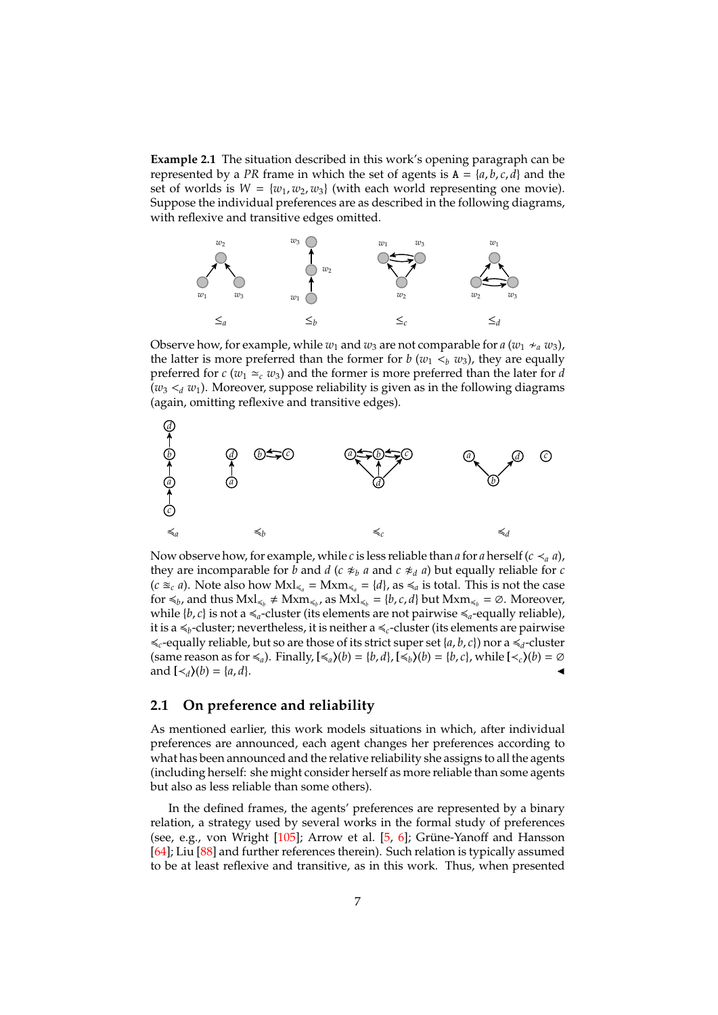<span id="page-6-1"></span>**Example 2.1** The situation described in this work's opening paragraph can be represented by a *PR* frame in which the set of agents is  $A = \{a, b, c, d\}$  and the set of worlds is  $W = \{w_1, w_2, w_3\}$  (with each world representing one movie). Suppose the individual preferences are as described in the following diagrams, with reflexive and transitive edges omitted.



Observe how, for example, while  $w_1$  and  $w_3$  are not comparable for  $a(w_1 \star_a w_3)$ , the latter is more preferred than the former for  $b$  ( $w_1$   $\lt_b$   $w_3$ ), they are equally preferred for *c* ( $w_1 \approx_c w_3$ ) and the former is more preferred than the later for *d*  $(w_3 <_d w_1)$ . Moreover, suppose reliability is given as in the following diagrams (again, omitting reflexive and transitive edges).



Now observe how, for example, while *c* is less reliable than *a* for *a* herself ( $c <sub>a</sub> a$ ), they are incomparable for *b* and *d* (*c*  $\ast_b$  *a* and *c*  $\ast_d$  *a*) but equally reliable for *c*  $(c \approx_c a)$ . Note also how  $Mxl_{\leq a} = Mxm_{\leq a} = \{d\}$ , as  $\leq_a$  is total. This is not the case  $f \circ f \preccurlyeq_b$ , and thus  $MxI_{\leq b} \neq MxI_{\leq b}$ , as  $MxI_{\leq b} = \{b, c, d\}$  but  $MxI_{\leq b} = \emptyset$ . Moreover, while  ${b, c}$  is not a  $\leq a$ -cluster (its elements are not pairwise  $\leq a$ -equally reliable), it is a  $\leq_b$ -cluster; nevertheless, it is neither a  $\leq_c$ -cluster (its elements are pairwise  $\leq_c$ -equally reliable, but so are those of its strict super set {*a*, *b*, *c*}) nor a  $\leq_d$ -cluster (same reason as for  $\leq_a$ ). Finally,  $[\leq_a)(b) = \{b, d\}$ ,  $[\leq_b)(b) = \{b, c\}$ , while  $[\leq_c)(b) = \emptyset$ and  $[\prec_d (b)] = \{a, d\}.$ 

## <span id="page-6-0"></span>**2.1 On preference and reliability**

As mentioned earlier, this work models situations in which, after individual preferences are announced, each agent changes her preferences according to what has been announced and the relative reliability she assigns to all the agents (including herself: she might consider herself as more reliable than some agents but also as less reliable than some others).

In the defined frames, the agents' preferences are represented by a binary relation, a strategy used by several works in the formal study of preferences (see, e.g., von Wright  $[105]$ ; Arrow et al.  $[5, 6]$  $[5, 6]$  $[5, 6]$ ; Grüne-Yanoff and Hansson [\[64\]](#page-44-0); Liu [\[88\]](#page-46-0) and further references therein). Such relation is typically assumed to be at least reflexive and transitive, as in this work. Thus, when presented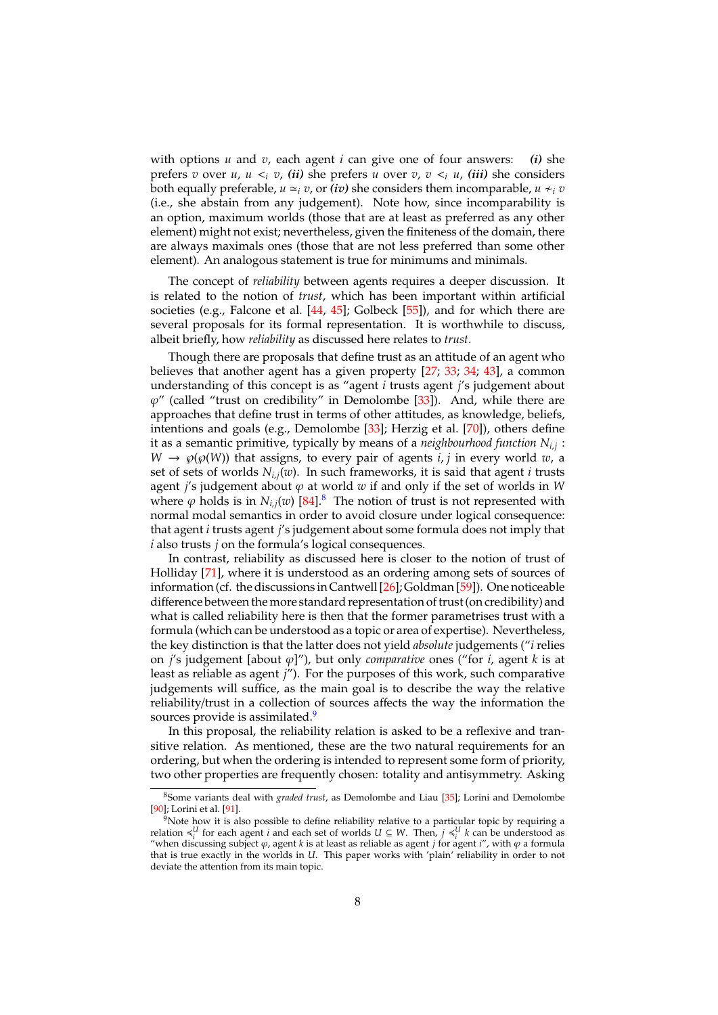<span id="page-7-2"></span>with options *u* and *v*, each agent *i* can give one of four answers: *(i)* she prefers *v* over *u*, *u*  $\lt_i v$ , *(ii)* she prefers *u* over *v*, *v*  $\lt_i u$ , *(iii)* she considers both equally preferable,  $u \approx_i v$ , or *(iv)* she considers them incomparable,  $u \nsim_i v$ (i.e., she abstain from any judgement). Note how, since incomparability is an option, maximum worlds (those that are at least as preferred as any other element) might not exist; nevertheless, given the finiteness of the domain, there are always maximals ones (those that are not less preferred than some other element). An analogous statement is true for minimums and minimals.

The concept of *reliability* between agents requires a deeper discussion. It is related to the notion of *trust*, which has been important within artificial societies (e.g., Falcone et al.  $[44, 45]$  $[44, 45]$  $[44, 45]$ ; Golbeck  $[55]$ ), and for which there are several proposals for its formal representation. It is worthwhile to discuss, albeit briefly, how *reliability* as discussed here relates to *trust*.

Though there are proposals that define trust as an attitude of an agent who believes that another agent has a given property [\[27;](#page-41-4) [33;](#page-42-9) [34;](#page-42-10) [43\]](#page-43-7), a common understanding of this concept is as "agent *i* trusts agent *j*'s judgement about  $\varphi$ " (called "trust on credibility" in Demolombe [\[33\]](#page-42-9)). And, while there are approaches that define trust in terms of other attitudes, as knowledge, beliefs, intentions and goals (e.g., Demolombe [\[33\]](#page-42-9); Herzig et al. [\[70\]](#page-45-7)), others define it as a semantic primitive, typically by means of a *neighbourhood function Ni*,*<sup>j</sup>* :  $W \to \varphi(\varphi(W))$  that assigns, to every pair of agents *i*, *j* in every world *w*, a set of sets of worlds *Ni*,*j*(*w*). In such frameworks, it is said that agent *i* trusts agent *j's* judgement about  $\varphi$  at world  $w$  if and only if the set of worlds in W where  $\varphi$  holds is in  $N_{i,j}(w)$  [\[84\]](#page-46-7).<sup>[8](#page-7-0)</sup> The notion of trust is not represented with normal modal semantics in order to avoid closure under logical consequence: that agent *i* trusts agent *j*'s judgement about some formula does not imply that *i* also trusts *j* on the formula's logical consequences.

In contrast, reliability as discussed here is closer to the notion of trust of Holliday [\[71\]](#page-45-8), where it is understood as an ordering among sets of sources of information (cf. the discussions in Cantwell [\[26\]](#page-41-5); Goldman [\[59\]](#page-44-8)). One noticeable difference between the more standard representation of trust (on credibility) and what is called reliability here is then that the former parametrises trust with a formula (which can be understood as a topic or area of expertise). Nevertheless, the key distinction is that the latter does not yield *absolute* judgements ("*i* relies on *j*'s judgement [about ϕ]"), but only *comparative* ones ("for *i*, agent *k* is at least as reliable as agent *j*"). For the purposes of this work, such comparative judgements will suffice, as the main goal is to describe the way the relative reliability/trust in a collection of sources affects the way the information the sources provide is assimilated.<sup>[9](#page-7-1)</sup>

In this proposal, the reliability relation is asked to be a reflexive and transitive relation. As mentioned, these are the two natural requirements for an ordering, but when the ordering is intended to represent some form of priority, two other properties are frequently chosen: totality and antisymmetry. Asking

<span id="page-7-0"></span><sup>8</sup>Some variants deal with *graded trust*, as Demolombe and Liau [\[35\]](#page-42-11); Lorini and Demolombe [\[90\]](#page-46-8); Lorini et al. [\[91\]](#page-46-9).

<span id="page-7-1"></span> $9^9$ Note how it is also possible to define reliability relative to a particular topic by requiring a relation  $\leq_i^U$  for each agent *i* and each set of worlds  $U \subseteq W$ . Then,  $j \leq_i^U k$  can be understood as "when discussing subject  $\varphi$ , agent *k* is at least as reliable as agent *j* for agent *i*", with  $\varphi$  a formula that is true exactly in the worlds in *U*. This paper works with 'plain' reliability in order to not deviate the attention from its main topic.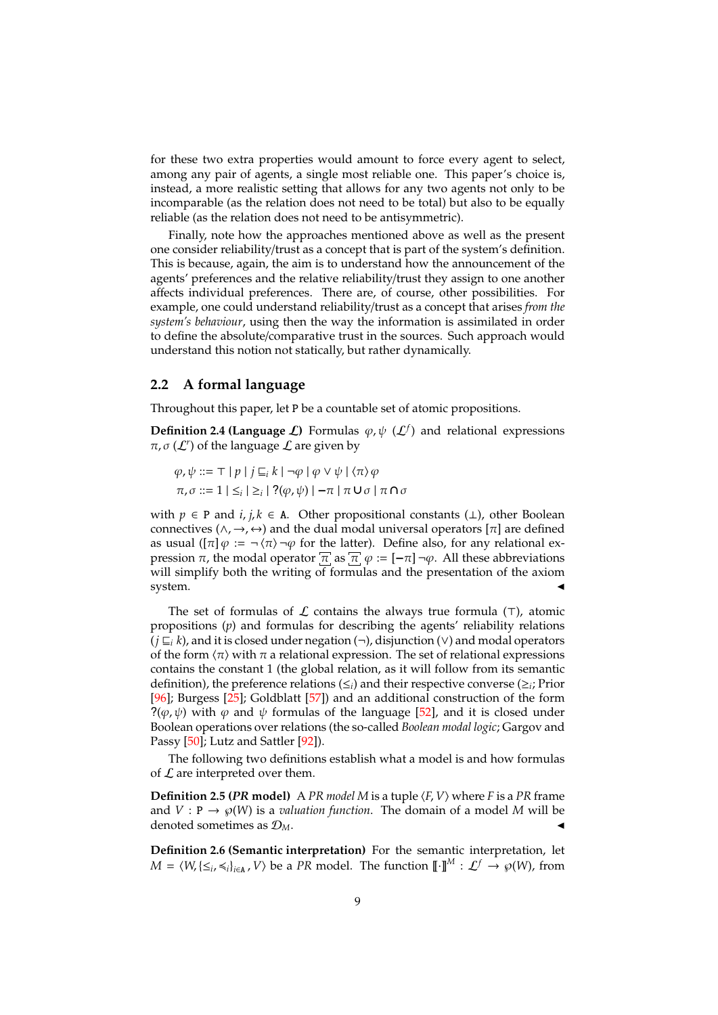<span id="page-8-1"></span>for these two extra properties would amount to force every agent to select, among any pair of agents, a single most reliable one. This paper's choice is, instead, a more realistic setting that allows for any two agents not only to be incomparable (as the relation does not need to be total) but also to be equally reliable (as the relation does not need to be antisymmetric).

Finally, note how the approaches mentioned above as well as the present one consider reliability/trust as a concept that is part of the system's definition. This is because, again, the aim is to understand how the announcement of the agents' preferences and the relative reliability/trust they assign to one another affects individual preferences. There are, of course, other possibilities. For example, one could understand reliability/trust as a concept that arises *from the system's behaviour*, using then the way the information is assimilated in order to define the absolute/comparative trust in the sources. Such approach would understand this notion not statically, but rather dynamically.

### **2.2 A formal language**

Throughout this paper, let P be a countable set of atomic propositions.

**Definition 2.4 (Language L)** Formulas  $\varphi$ ,  $\psi$  ( $\mathcal{L}^f$ ) and relational expressions  $\pi$ ,  $\sigma$  ( $\mathcal{L}^r$ ) of the language  $\mathcal L$  are given by

$$
\varphi, \psi ::= \top | p | j \sqsubseteq_i k | \neg \varphi | \varphi \lor \psi | \langle \pi \rangle \varphi
$$
  

$$
\pi, \sigma ::= 1 | \leq_i | \geq_i | ?(\varphi, \psi) | -\pi | \pi \mathbf{U} \sigma | \pi \mathbf{\Omega} \sigma
$$

with *p* ∈ P and *i*, *j*, *k* ∈ A. Other propositional constants ( $\bot$ ), other Boolean connectives ( $\land$ ,  $\rightarrow$ ,  $\leftrightarrow$ ) and the dual modal universal operators [ $\pi$ ] are defined as usual ( $[\pi]\varphi := \neg \langle \pi \rangle \neg \varphi$  for the latter). Define also, for any relational expression π, the modal operator  $\pi$  as  $\pi$  φ := [−π]¬φ. All these abbreviations will simplify both the writing of formulas and the presentation of the axiom system.

The set of formulas of  $\mathcal L$  contains the always true formula ( $\tau$ ), atomic propositions (*p*) and formulas for describing the agents' reliability relations  $(j \sqsubseteq_i k)$ , and it is closed under negation  $(\neg)$ , disjunction  $(\vee)$  and modal operators of the form  $\langle \pi \rangle$  with  $\pi$  a relational expression. The set of relational expressions contains the constant 1 (the global relation, as it will follow from its semantic definition), the preference relations (≤*i*) and their respective converse (≥*<sup>i</sup>* ; Prior [\[96\]](#page-47-6); Burgess [\[25\]](#page-41-6); Goldblatt [\[57\]](#page-44-9)) and an additional construction of the form  $?(\varphi, \psi)$  with  $\varphi$  and  $\psi$  formulas of the language [\[52\]](#page-43-4), and it is closed under Boolean operations over relations (the so-called *Boolean modal logic*; Gargov and Passy [\[50\]](#page-43-8); Lutz and Sattler [\[92\]](#page-46-10)).

The following two definitions establish what a model is and how formulas of  $\mathcal L$  are interpreted over them.

**Definition 2.5 (PR model)** A PR model M is a tuple  $\langle F, V \rangle$  where *F* is a PR frame and  $V : P \to \wp(W)$  is a *valuation function*. The domain of a model M will be denoted sometimes as  $\mathcal{D}_M$ .

<span id="page-8-0"></span>**Definition 2.6 (Semantic interpretation)** For the semantic interpretation, let *M* =  $\langle W, {\{\leq_i, \leq_i\}}_{i \in A}, V \rangle$  be a *PR* model. The function  $\llbracket \cdot \rrbracket^M : L^f \to \wp(W)$ , from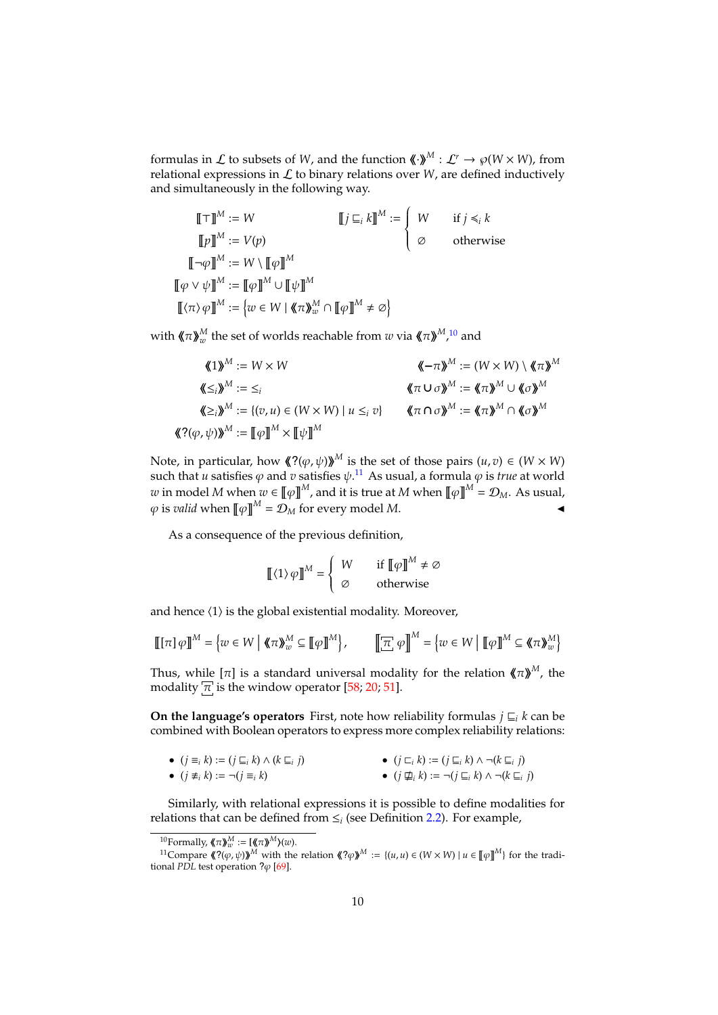<span id="page-9-2"></span>formulas in  $\mathcal L$  to subsets of *W*, and the function  $\langle \phi \rangle^M : \mathcal L^r \to \wp(W \times W)$ , from relational expressions in  $\mathcal L$  to binary relations over  $W$ , are defined inductively and simultaneously in the following way.

$$
\llbracket \top \rrbracket^{M} := W \qquad \qquad \llbracket j \sqsubseteq_i k \rrbracket^{M} := \begin{cases} W & \text{if } j \leq_i k \\ \varnothing & \text{otherwise} \end{cases}
$$
\n
$$
\llbracket \neg \varphi \rrbracket^{M} := W \setminus \llbracket \varphi \rrbracket^{M}
$$
\n
$$
\llbracket \varphi \lor \psi \rrbracket^{M} := \llbracket \varphi \rrbracket^{M} \cup \llbracket \psi \rrbracket^{M}
$$
\n
$$
\llbracket \langle \pi \rangle \varphi \rrbracket^{M} := \{ w \in W \mid \langle \pi \rangle_{w}^{M} \cap \llbracket \varphi \rrbracket^{M} \neq \varnothing \}
$$

with  $\pmb{\langle} \pi \pmb{\rangle}^M_w$  the set of worlds reachable from  $w$  via  $\pmb{\langle} \pi \pmb{\rangle}^M,^1$  and

$$
\langle (1)^{M} := W \times W
$$
  

$$
\langle (1)^{M} := W \times W
$$
  

$$
\langle (1)^{M} := (W \times W) \setminus (\langle \pi \rangle)^{M}
$$
  

$$
\langle (1)^{M} := \leq_{i}
$$
  

$$
\langle (1)^{M} := \leq_{i}
$$
  

$$
\langle (1)^{M} := \leq_{i}
$$
  

$$
\langle (1)^{M} \times \mathbb{I} \times \mathbb{I} \times \mathbb{I} \times \mathbb{I} \times \mathbb{I} \times \mathbb{I} \times \mathbb{I} \times \mathbb{I} \times \mathbb{I} \times \mathbb{I} \times \mathbb{I} \times \mathbb{I} \times \mathbb{I} \times \mathbb{I} \times \mathbb{I} \times \mathbb{I} \times \mathbb{I} \times \mathbb{I} \times \mathbb{I} \times \mathbb{I} \times \mathbb{I} \times \mathbb{I} \times \mathbb{I} \times \mathbb{I} \times \mathbb{I} \times \mathbb{I} \times \mathbb{I} \times \mathbb{I} \times \mathbb{I} \times \mathbb{I} \times \mathbb{I} \times \mathbb{I} \times \mathbb{I} \times \mathbb{I} \times \mathbb{I} \times \mathbb{I} \times \mathbb{I} \times \mathbb{I} \times \mathbb{I} \times \mathbb{I} \times \mathbb{I} \times \mathbb{I} \times \mathbb{I} \times \mathbb{I} \times \mathbb{I} \times \mathbb{I} \times \mathbb{I} \times \mathbb{I} \times \mathbb{I} \times \mathbb{I} \times \mathbb{I} \times \mathbb{I} \times \mathbb{I} \times \mathbb{I} \times \mathbb{I} \times \mathbb{I} \times \mathbb{I} \times \mathbb{I} \times \mathbb{I} \times \mathbb{I} \times \mathbb{I} \times \mathbb{I} \times \mathbb{I} \times \mathbb{I} \times \mathbb{I} \times \mathbb{I} \times \mathbb{I} \times \mathbb{I} \times \mathbb{I} \times \mathbb{I} \times \mathbb{I} \times \mathbb{I} \times \mathbb{I} \times \mathbb{I} \times \mathbb{I} \times \
$$

Note, in particular, how  $\mathcal{P}(\varphi, \psi)\mathcal{V}^M$  is the set of those pairs  $(u, v) \in (W \times W)$ such that  $u$  satisfies  $\varphi$  and  $v$  satisfies  $\psi^{.11}$  $\psi^{.11}$  $\psi^{.11}$  As usual, a formula  $\varphi$  is  $true$  at world  $w$  in model  $M$  when  $w\in \llbracket \varphi \rrbracket^M$ , and it is true at  $M$  when  $\llbracket \varphi \rrbracket^M = \mathcal{D}_M.$  As usual,  $\varphi$  is *valid* when  $[\![\varphi]\!]^M = \mathcal{D}_M$  for every model *M*.

As a consequence of the previous definition,

$$
\llbracket \langle 1 \rangle \varphi \rrbracket^{M} = \begin{cases} W & \text{if } \llbracket \varphi \rrbracket^{M} \neq \varnothing \\ \varnothing & \text{otherwise} \end{cases}
$$

and hence  $\langle 1 \rangle$  is the global existential modality. Moreover,

$$
\llbracket [\pi] \varphi \rrbracket^M = \{ w \in W \mid \langle \!\langle \pi \rangle \rangle^M_w \subseteq \llbracket \varphi \rrbracket^M \}, \qquad \llbracket \overline{\pi} \varphi \rrbracket^M = \{ w \in W \mid \llbracket \varphi \rrbracket^M \subseteq \langle \!\langle \pi \rangle \rangle^M_w \}
$$

Thus, while  $[\pi]$  is a standard universal modality for the relation  $\langle \pi \rangle^M$ , the modality  $\pi$  is the window operator [\[58;](#page-44-10) [20;](#page-41-7) [51\]](#page-43-9).

**On the language's operators** First, note how reliability formulas  $j \sqsubseteq i$  *k* can be combined with Boolean operators to express more complex reliability relations:

\n- \n
$$
(j \equiv_i k) := (j \sqsubseteq_i k) \land (k \sqsubseteq_i j)
$$
\n
\n- \n $(j \not\equiv_i k) := \neg(j \equiv_i k)$ \n
\n- \n $(j \not\equiv_i k) := \neg(j \equiv_i k) \land \neg(k \sqsubseteq_i j)$ \n
\n- \n $(j \not\equiv_i k) := \neg(j \sqsubseteq_i k) \land \neg(k \sqsubseteq_i j)$ \n
\n

Similarly, with relational expressions it is possible to define modalities for relations that can be defined from  $\leq_i$  (see Definition [2.2\)](#page-5-2). For example,

<span id="page-9-1"></span><span id="page-9-0"></span><sup>&</sup>lt;sup>10</sup>Formally,  $\langle\!\langle \pi \rangle\!\rangle_w^M := [\langle\!\langle \pi \rangle\!\rangle^M \rangle\!\langle w).$ 

<sup>&</sup>lt;sup>11</sup>Compare  $\mathcal{P}(\varphi,\psi)\mathcal{V}^M$  with the relation  $\mathcal{P}(\varphi)\mathcal{V}^M := \{(u,u) \in (W \times W) \mid u \in [\![\varphi]\!]^M\}$  for the traditional *PDL* test operation  $?$  $\varphi$  [\[69\]](#page-45-9).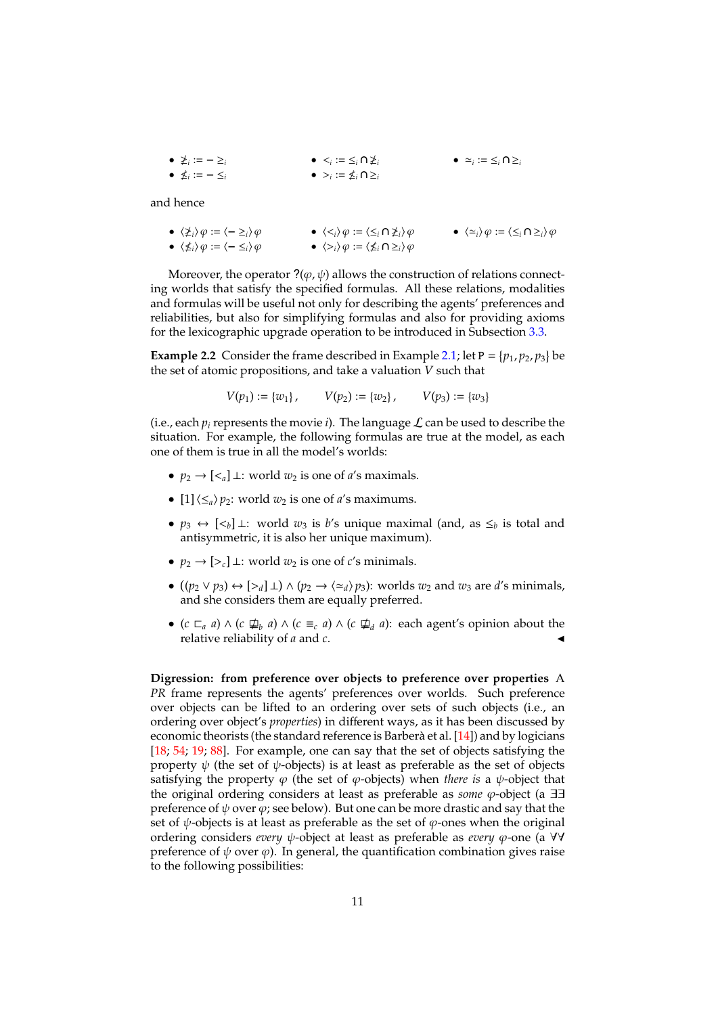<span id="page-10-0"></span>

| $\bullet \; \succeq_i := - \geq_i$ | $\bullet \leq i := \leq_i \cap \not\geq_i$ | $\bullet \cong_i := \le_i \bigcap \ge_i$ |
|------------------------------------|--------------------------------------------|------------------------------------------|
| $\bullet \leq_i := - \leq_i$       | $\bullet$ > $_i := \nleq_i \bigcap \geq_i$ |                                          |

and hence

| $\bullet \langle \not\geq_i \rangle \varphi := \langle -\geq_i \rangle \varphi$ | • $\langle \langle \cdot \rangle \varphi := \langle \leq_i \bigcap \Sigma_i \rangle \varphi$ | • $\langle \simeq_i \rangle \varphi := \langle \leq_i \bigcap \geq_i \rangle \varphi$ |
|---------------------------------------------------------------------------------|----------------------------------------------------------------------------------------------|---------------------------------------------------------------------------------------|
| $\bullet \langle \nleq_i \rangle \varphi := \langle -\leq_i \rangle \varphi$    | • $\langle >_i \rangle \varphi := \langle \nleq_i \bigcap \sum_i \varphi$                    |                                                                                       |

Moreover, the operator  $?(\varphi, \psi)$  allows the construction of relations connecting worlds that satisfy the specified formulas. All these relations, modalities and formulas will be useful not only for describing the agents' preferences and reliabilities, but also for simplifying formulas and also for providing axioms for the lexicographic upgrade operation to be introduced in Subsection [3.3.](#page-16-0)

**Example 2.2** Consider the frame described in Example [2.1;](#page-5-3) let  $P = \{p_1, p_2, p_3\}$  be the set of atomic propositions, and take a valuation *V* such that

 $V(p_1) := \{w_1\}, \qquad V(p_2) := \{w_2\}, \qquad V(p_3) := \{w_3\}$ 

(i.e., each  $p_i$  represents the movie *i*). The language  $\mathcal L$  can be used to describe the situation. For example, the following formulas are true at the model, as each one of them is true in all the model's worlds:

- $p_2 \rightarrow \llbracket \lt_{a} \rrbracket$   $\perp$ : world  $w_2$  is one of *a*'s maximals.
- [1] $\langle \leq_a \rangle p_2$ : world  $w_2$  is one of *a*'s maximums.
- $p_3 \leftrightarrow \llbracket \langle \xi_h \rangle \rrbracket$  is world  $w_3$  is *b's* unique maximal (and, as  $\leq_h$  is total and antisymmetric, it is also her unique maximum).
- $p_2 \rightarrow [>_{c}] \perp$ : world  $w_2$  is one of *c*'s minimals.
- $((p_2 \lor p_3) \leftrightarrow [\gt_d] \bot) \land (p_2 \rightarrow \langle \simeq_d \rangle p_3)$ : worlds  $w_2$  and  $w_3$  are *d*'s minimals, and she considers them are equally preferred.
- (*c*  $\sqsubset_a$  *a*)  $\wedge$  (*c*  $\sqsubsetneq_b$  *a*)  $\wedge$  (*c*  $\sqsubsetneq_a$  *a*): each agent's opinion about the relative reliability of *a* and *c*. J

**Digression: from preference over objects to preference over properties** A *PR* frame represents the agents' preferences over worlds. Such preference over objects can be lifted to an ordering over sets of such objects (i.e., an ordering over object's *properties*) in different ways, as it has been discussed by economic theorists (the standard reference is Barberà et al. [\[14\]](#page-41-8)) and by logicians [\[18;](#page-41-9) [54;](#page-43-10) [19;](#page-41-10) [88\]](#page-46-0). For example, one can say that the set of objects satisfying the property  $\psi$  (the set of  $\psi$ -objects) is at least as preferable as the set of objects satisfying the property  $\varphi$  (the set of  $\varphi$ -objects) when *there is* a  $\psi$ -object that the original ordering considers at least as preferable as *some* ϕ-object (a ∃∃ preference of  $\psi$  over  $\varphi$ ; see below). But one can be more drastic and say that the set of  $\psi$ -objects is at least as preferable as the set of  $\varphi$ -ones when the original ordering considers *every* ψ-object at least as preferable as *every* ϕ-one (a ∀∀ preference of  $\psi$  over  $\varphi$ ). In general, the quantification combination gives raise to the following possibilities: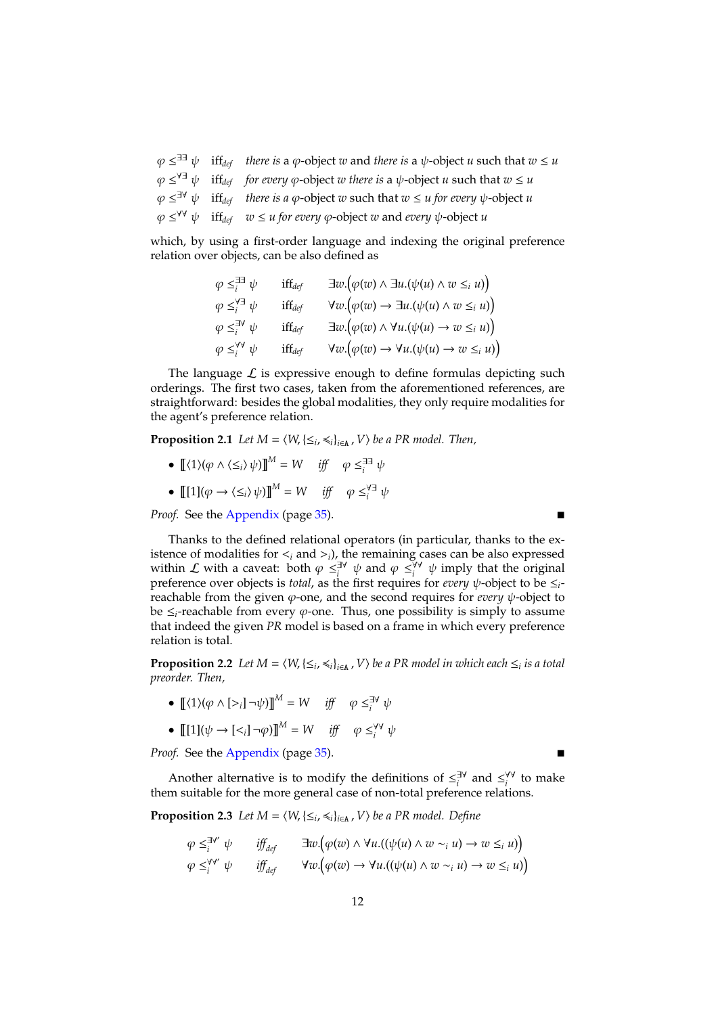$\varphi \leq^{\exists \exists} \psi$  iff<sub>def</sub> there is a  $\varphi$ -object  $w$  and there is a  $\psi$ -object  $u$  such that  $w \leq u$  $\varphi \leq^{\forall \exists} \psi$  iff<sub>def</sub> for every  $\varphi$ -object *w there is* a  $\psi$ -object *u* such that  $w \leq u$  $\varphi \leq^{\exists \forall} \psi$  iff<sub>def</sub> there is a  $\varphi$ -object w such that  $w \leq u$  for every  $\psi$ -object u  $\varphi \leq^{\forall \forall} \psi$  iff<sub>def</sub>  $w \leq u$  for every  $\varphi$ -object  $w$  and every  $\psi$ -object  $u$ 

which, by using a first-order language and indexing the original preference relation over objects, can be also defined as

$$
\varphi \leq_i^{\exists \exists} \psi \quad \text{iff}_{def} \quad \exists w. (\varphi(w) \land \exists u. (\psi(u) \land w \leq_i u))
$$
  

$$
\varphi \leq_i^{\forall \exists} \psi \quad \text{iff}_{def} \quad \forall w. (\varphi(w) \rightarrow \exists u. (\psi(u) \land w \leq_i u))
$$
  

$$
\varphi \leq_i^{\exists \forall} \psi \quad \text{iff}_{def} \quad \exists w. (\varphi(w) \land \forall u. (\psi(u) \rightarrow w \leq_i u))
$$
  

$$
\varphi \leq_i^{\forall \forall} \psi \quad \text{iff}_{def} \quad \forall w. (\varphi(w) \rightarrow \forall u. (\psi(u) \rightarrow w \leq_i u))
$$

The language  $\mathcal L$  is expressive enough to define formulas depicting such orderings. The first two cases, taken from the aforementioned references, are straightforward: besides the global modalities, they only require modalities for the agent's preference relation.

<span id="page-11-0"></span>**Proposition 2.1** *Let*  $M = \langle W, \{ \leq_i, \leq_i \} \rangle_{i \in A}$ ,  $V \rangle$  *be a PR model. Then,* 

- $[(\langle 1 \rangle (\varphi \wedge \langle \leq_i \rangle \psi)]^M = W$  *iff*  $\varphi \leq_i^{\exists \exists}$  $\frac{1}{i}$  $\frac{1}{i}$
- $[[1](\varphi \to \langle \leq_i \rangle \psi)]^M = W$  *iff*  $\varphi \leq_i^{\forall \exists}$  $i^{\text{H}}$   $\psi$

*Proof.* See the [Appendix](#page-34-1) (page [35\)](#page-34-1).

Thanks to the defined relational operators (in particular, thanks to the existence of modalities for  $\lt_i$  and  $\gt_i$ ), the remaining cases can be also expressed within  $\mathcal L$  with a caveat: both  $\varphi \leq_i^{\exists \forall}$  $\psi$  and  $\varphi \leq_i^{\forall \forall}$  $\psi_i^{\forall \forall}$   $\psi$  imply that the original preference over objects is *total*, as the first requires for *every* ψ-object to be ≤*i*reachable from the given  $\varphi$ -one, and the second requires for *every*  $\psi$ -object to be  $\leq_i$ -reachable from every  $\varphi$ -one. Thus, one possibility is simply to assume that indeed the given *PR* model is based on a frame in which every preference relation is total.

<span id="page-11-1"></span>**Proposition 2.2** *Let*  $M = \langle W, \{\leq_i, \leq_i\}_{i \in A}, V \rangle$  *be a PR model in which each*  $\leq_i$  *is a total preorder. Then,*

- $[(1)(\varphi \wedge [>_i] \neg \psi)]^M = W$  *iff*  $\varphi \leq_i^{\exists \forall}$  $\frac{1}{i}$ <sup>4</sup> ψ
- $[[1](\psi \rightarrow [\langle_i] \neg \varphi)]^M = W$  *iff*  $\varphi \leq_i^{\forall \forall}$  $\frac{i}{4}$  ψ

*Proof.* See the [Appendix](#page-34-2) (page [35\)](#page-34-2).

Another alternative is to modify the definitions of  $\leq_i^{\exists \forall}$  $\frac{d}{i}$  and  $\leq_i^{V}$  $\int_{i}^{y}$  to make them suitable for the more general case of non-total preference relations.

<span id="page-11-2"></span>**Proposition 2.3** *Let*  $M = \langle W, \{\leq_i, \leq_i\}_{i \in A}, V \rangle$  *be a PR model. Define* 

$$
\varphi \leq_i^{\exists V} \psi \qquad \text{iff}_{def} \qquad \exists w. (\varphi(w) \land \forall u. ((\psi(u) \land w \sim_i u) \to w \leq_i u))
$$
  

$$
\varphi \leq_i^{\forall V} \psi \qquad \text{iff}_{def} \qquad \forall w. (\varphi(w) \to \forall u. ((\psi(u) \land w \sim_i u) \to w \leq_i u))
$$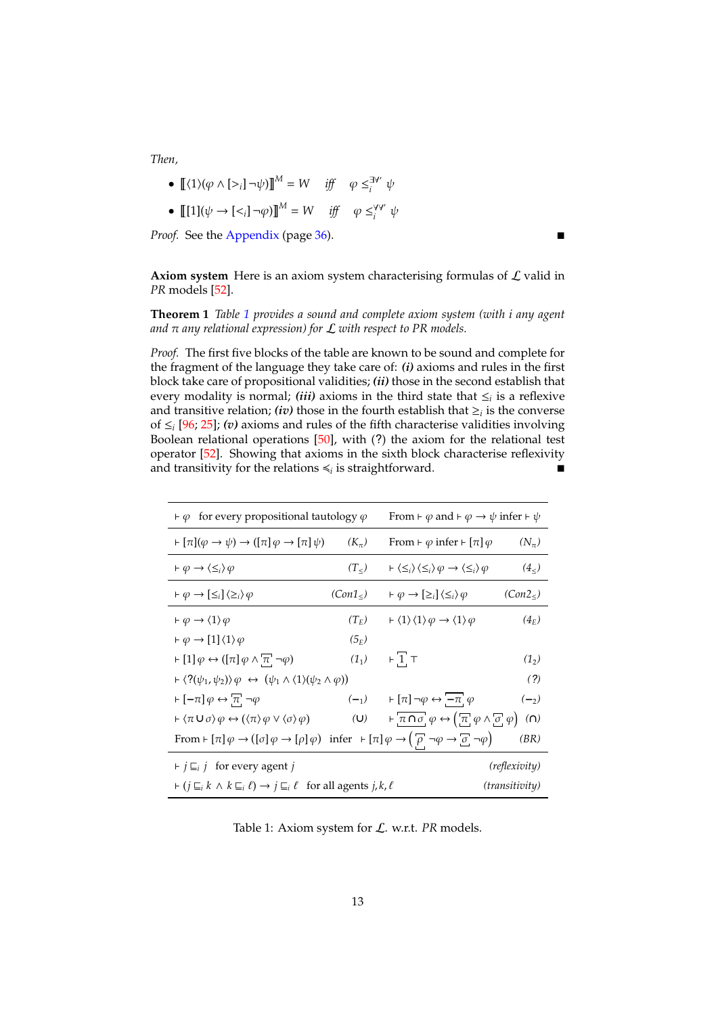<span id="page-12-1"></span>*Then,*

- $[(1)(\varphi \wedge [>_i] \neg \psi)]^M = W$  *iff*  $\varphi \leq_i^{3\forall'}$  $\frac{1}{i}$ <sup>4</sup> ψ
- $[[1](\psi \rightarrow [\langle i] \neg \varphi)]^M = W$  *iff*  $\varphi \leq_i^{\forall \forall \psi}$  $\frac{i}{i}$  ψ

*Proof.* See the [Appendix](#page-35-0) (page [36\)](#page-35-0).

**Axiom system** Here is an axiom system characterising formulas of  $\mathcal{L}$  valid in *PR* models [\[52\]](#page-43-4).

**Theorem 1** *Table [1](#page-12-0) provides a sound and complete axiom system (with i any agent and* π *any relational expression) for* L *with respect to PR models.*

*Proof.* The first five blocks of the table are known to be sound and complete for the fragment of the language they take care of: *(i)* axioms and rules in the first block take care of propositional validities; *(ii)* those in the second establish that every modality is normal; *(iii)* axioms in the third state that  $\leq_i$  is a reflexive and transitive relation; *(iv)* those in the fourth establish that  $\geq$ <sub>*i*</sub> is the converse of ≤*<sup>i</sup>* [\[96;](#page-47-6) [25\]](#page-41-6); *(v)* axioms and rules of the fifth characterise validities involving Boolean relational operations  $[50]$ , with  $(?)$  the axiom for the relational test operator [\[52\]](#page-43-4). Showing that axioms in the sixth block characterise reflexivity and transitivity for the relations  $\leq i$  is straightforward.

| $\theta$ for every propositional tautology $\varphi$                                                                                                                                                     |             | From $\vdash \varphi$ and $\vdash \varphi \rightarrow \psi$ infer $\vdash \psi$                           |                      |
|----------------------------------------------------------------------------------------------------------------------------------------------------------------------------------------------------------|-------------|-----------------------------------------------------------------------------------------------------------|----------------------|
| $\vdash [\pi](\varphi \rightarrow \psi) \rightarrow ([\pi]\varphi \rightarrow [\pi]\psi)$                                                                                                                | $(K_{\pi})$ | From $\vdash \varphi$ infer $\vdash [\pi] \varphi$                                                        | $(N_\pi)$            |
| $\vdash \varphi \rightarrow \langle \leq_i \rangle \varphi$                                                                                                                                              | $(T_<)$     | $\vdash \langle \leq_i \rangle \langle \leq_i \rangle \varphi \rightarrow \langle \leq_i \rangle \varphi$ | $(4_{<})$            |
| $\vdash \varphi \rightarrow [\leq_i] \langle \geq_i \rangle \varphi$                                                                                                                                     | $(Con1_<)$  | $\vdash \varphi \rightarrow [\geq_i] \langle \leq_i \rangle \varphi$                                      | (Con2 <sub>5</sub> ) |
| $\vdash \varphi \rightarrow \langle 1 \rangle \varphi$                                                                                                                                                   | $(T_E)$     | $+\langle 1\rangle\langle 1\rangle\varphi \rightarrow \langle 1\rangle\varphi$                            | $(4_F)$              |
| $\vdash \varphi \rightarrow [1]\langle 1 \rangle \varphi$                                                                                                                                                | $(5_F)$     |                                                                                                           |                      |
| $\vdash [1]\varphi \leftrightarrow ([\pi]\varphi \wedge [\overline{\pi}] \neg \varphi)$                                                                                                                  | $(1_1)$     | $\vdash$ $\overline{1}$ , $\top$                                                                          | $(1_{2})$            |
| $\vdash \langle ?(\psi_1,\psi_2)\rangle \varphi \leftrightarrow (\psi_1 \wedge \langle 1\rangle(\psi_2 \wedge \varphi))$                                                                                 |             |                                                                                                           | (?)                  |
| $\vdash [-\pi]\varphi \leftrightarrow \pi \neg \varphi$                                                                                                                                                  |             | $(-_1)$ $\qquad \vdash [\pi] \neg \varphi \leftrightarrow \neg \neg \pi \varphi$                          | $(-2)$               |
| $\vdash \langle \pi \mathsf{U} \sigma \rangle \varphi \leftrightarrow (\langle \pi \rangle \varphi \vee \langle \sigma \rangle \varphi)$                                                                 | (U)         | $\vdash \pi \cap \sigma \varphi \leftrightarrow (\pi \varphi \wedge \sigma \varphi)$                      | (n)                  |
| From $\vdash [\pi] \varphi \rightarrow ([\sigma] \varphi \rightarrow [\rho] \varphi)$ infer $\vdash [\pi] \varphi \rightarrow (\overline{\rho} \neg \varphi \rightarrow \overline{\sigma} \neg \varphi)$ |             |                                                                                                           | (BR)                 |
| $\vdash j \sqsubseteq_i j$ for every agent j                                                                                                                                                             |             |                                                                                                           | (reflexivity)        |
| $\vdash (i \sqsubseteq_i k \land k \sqsubseteq_i \ell) \rightarrow i \sqsubseteq_i \ell$ for all agents $i, k, \ell$<br>( <i>transitivity</i> )                                                          |             |                                                                                                           |                      |

<span id="page-12-0"></span>Table 1: Axiom system for L. w.r.t. *PR* models.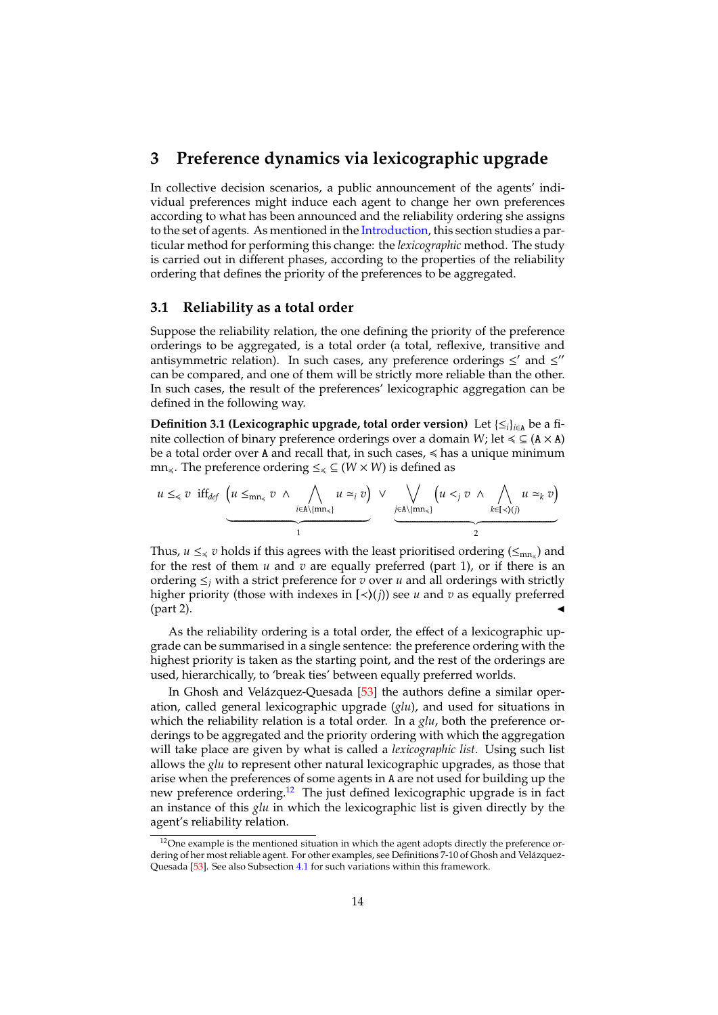# <span id="page-13-4"></span><span id="page-13-0"></span>**3 Preference dynamics via lexicographic upgrade**

In collective decision scenarios, a public announcement of the agents' individual preferences might induce each agent to change her own preferences according to what has been announced and the reliability ordering she assigns to the set of agents. As mentioned in the [Introduction,](#page-0-0) this section studies a particular method for performing this change: the *lexicographic* method. The study is carried out in different phases, according to the properties of the reliability ordering that defines the priority of the preferences to be aggregated.

### **3.1 Reliability as a total order**

Suppose the reliability relation, the one defining the priority of the preference orderings to be aggregated, is a total order (a total, reflexive, transitive and antisymmetric relation). In such cases, any preference orderings  $\leq'$  and  $\leq''$ can be compared, and one of them will be strictly more reliable than the other. In such cases, the result of the preferences' lexicographic aggregation can be defined in the following way.

<span id="page-13-2"></span>**Definition 3.1 (Lexicographic upgrade, total order version)** Let  $\{\leq_i\}_{i\in A}$  be a finite collection of binary preference orderings over a domain *W*; let  $\leq$  ⊆ (**A** × **A**) be a total order over A and recall that, in such cases,  $\leq$  has a unique minimum mn<sub>≼</sub>. The preference ordering  $\leq_{\leq}$  ⊆ (*W* × *W*) is defined as

$$
u \leq_{\leq} v \text{ iff } \underbrace{ \big( u \leq_{mn_{\leq}} v \ \wedge \ \bigwedge_{i \in A \setminus \{mn_{\leq}\}} u \simeq_{i} v \big) \ \vee \ \bigvee_{j \in A \setminus \{mn_{\leq}\}} \big( u <_{j} v \ \wedge \ \bigwedge_{k \in \{>\}(j)} u \simeq_{k} v \big) \ \wedge \ \big( \bigwedge_{j \in A \setminus \{mn_{\leq}\}} u \simeq_{j} v \big) \ \wedge \ \big( \bigwedge_{j \in A \setminus \{mn_{\leq}\}} u \simeq_{j} v \big) \ \wedge \ \big( \bigwedge_{j \in A \setminus \{mn_{\leq}\}} u \simeq_{j} v \big) \ \wedge \ \big( \bigwedge_{j \in A \setminus \{mn_{\leq}\}} u \simeq_{j} v \big) \ \wedge \ \big( \bigwedge_{j \in A \setminus \{mn_{\leq}\}} u \simeq_{j} v \big) \ \wedge \ \big( \bigwedge_{j \in A \setminus \{mn_{\leq}\}} u \simeq_{j} v \big) \ \wedge \ \big( \bigwedge_{j \in A \setminus \{mn_{\leq}\}} u \simeq_{j} v \big) \ \wedge \ \big( \bigwedge_{j \in A \setminus \{mn_{\leq}\}} u \simeq_{j} v \big) \ \wedge \ \big( \bigwedge_{j \in A \setminus \{mn_{\leq}\}} u \simeq_{j} v \big) \ \wedge \ \big( \bigwedge_{j \in A \setminus \{mn_{\leq}\}} u \simeq_{j} v \big) \ \wedge \ \big( \bigwedge_{j \in A \setminus \{mn_{\leq}\}} u \simeq_{j} v \big) \ \wedge \ \big( \bigwedge_{j \in A \setminus \{mn_{\leq}\}} u \simeq_{j} v \big) \ \wedge \ \big( \bigwedge_{j \in A \setminus \{mn_{\leq}\}} u \simeq_{j} v \big) \ \wedge \ \big( \bigwedge_{j \in A \setminus \{mn_{\leq}\}} u \simeq_{j} v \big) \ \wedge \ \big( \bigwedge_{j \in A \setminus \{mn_{\leq}\}} u \simeq_{j} v \big) \ \wedge \ \
$$

Thus,  $u \leq z$  *v* holds if this agrees with the least prioritised ordering  $(\leq_{mn} z)$  and for the rest of them *u* and *v* are equally preferred (part 1), or if there is an ordering ≤*<sup>j</sup>* with a strict preference for *v* over *u* and all orderings with strictly higher priority (those with indexes in  $\left[\langle\cdot\rangle(i)\right]$  see *u* and *v* as equally preferred  $(\text{part } 2).$ 

As the reliability ordering is a total order, the effect of a lexicographic upgrade can be summarised in a single sentence: the preference ordering with the highest priority is taken as the starting point, and the rest of the orderings are used, hierarchically, to 'break ties' between equally preferred worlds.

In Ghosh and Velázquez-Quesada [\[53\]](#page-43-3) the authors define a similar operation, called general lexicographic upgrade (*glu*), and used for situations in which the reliability relation is a total order. In a *glu*, both the preference orderings to be aggregated and the priority ordering with which the aggregation will take place are given by what is called a *lexicographic list*. Using such list allows the *glu* to represent other natural lexicographic upgrades, as those that arise when the preferences of some agents in A are not used for building up the new preference ordering.<sup>[12](#page-13-1)</sup> The just defined lexicographic upgrade is in fact an instance of this *glu* in which the lexicographic list is given directly by the agent's reliability relation.

<span id="page-13-3"></span><span id="page-13-1"></span><sup>&</sup>lt;sup>12</sup>One example is the mentioned situation in which the agent adopts directly the preference ordering of her most reliable agent. For other examples, see Definitions 7-10 of Ghosh and Velázquez-Quesada [\[53\]](#page-43-3). See also Subsection [4.1](#page-27-1) for such variations within this framework.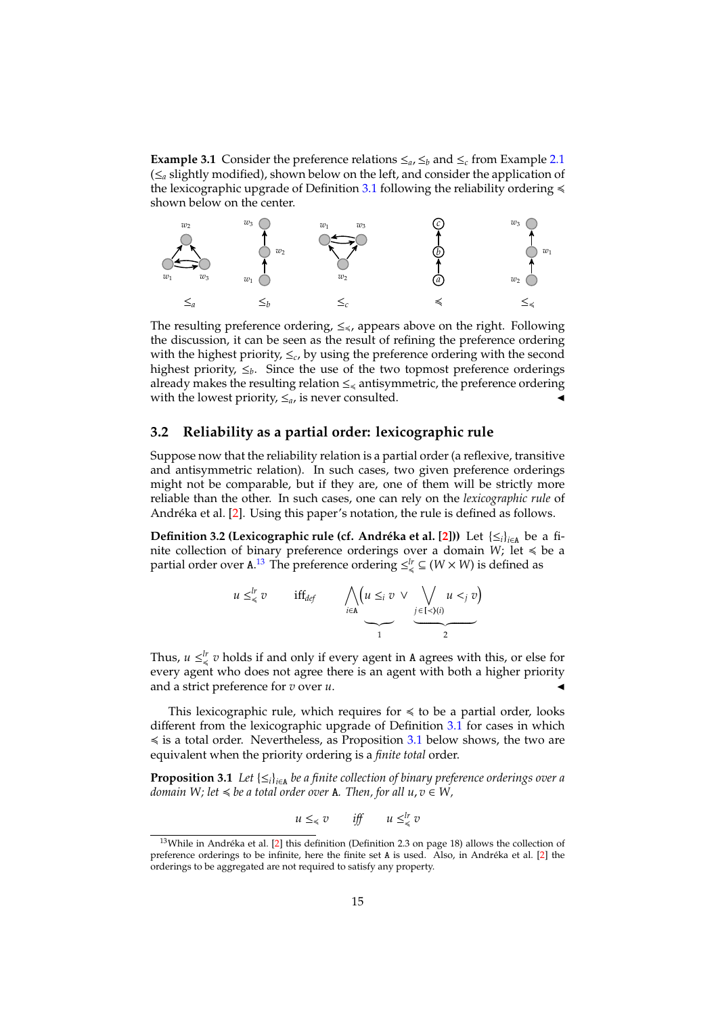<span id="page-14-3"></span>**Example 3.1** Consider the preference relations  $\leq_a$ ,  $\leq_b$  and  $\leq_c$  from Example [2.1](#page-5-3) (≤*<sup>a</sup>* slightly modified), shown below on the left, and consider the application of the lexicographic upgrade of Definition [3.1](#page-13-2) following the reliability ordering  $\leq$ shown below on the center.



The resulting preference ordering,  $\leq_{\leq}$ , appears above on the right. Following the discussion, it can be seen as the result of refining the preference ordering with the highest priority, ≤*<sup>c</sup>* , by using the preference ordering with the second highest priority,  $\leq_b$ . Since the use of the two topmost preference orderings already makes the resulting relation  $\leq_{\leq}$  antisymmetric, the preference ordering with the lowest priority,  $\leq_{a}$ , is never consulted.

### **3.2 Reliability as a partial order: lexicographic rule**

Suppose now that the reliability relation is a partial order (a reflexive, transitive and antisymmetric relation). In such cases, two given preference orderings might not be comparable, but if they are, one of them will be strictly more reliable than the other. In such cases, one can rely on the *lexicographic rule* of Andréka et al. [\[2\]](#page-40-4). Using this paper's notation, the rule is defined as follows.

<span id="page-14-2"></span>**Definition 3.2 (Lexicographic rule (cf. Andréka et al. [\[2\]](#page-40-4)))** Let  $\{\leq_i\}_{i\in A}$  be a finite collection of binary preference orderings over a domain  $W$ ; let  $\leq$  be a partial order over A.<sup>[13](#page-14-0)</sup> The preference ordering  $\leq^{\{r}{s} \subseteq (W \times W)$  is defined as

$$
u \leq^l_{\leq} v \qquad \text{iff}_{def} \qquad \bigwedge_{i \in \mathbf{A}} \left( u \leq_i v \vee \bigvee_{j \in [\prec \rangle(i)} u <_j v \right)
$$

Thus,  $u \leq_{\leq}^{lr} v$  holds if and only if every agent in A agrees with this, or else for every agent who does not agree there is an agent with both a higher priority and a strict preference for *v* over *u*.

This lexicographic rule, which requires for  $\leq$  to be a partial order, looks different from the lexicographic upgrade of Definition [3.1](#page-13-2) for cases in which  $\leq$  is a total order. Nevertheless, as Proposition [3.1](#page-14-1) below shows, the two are equivalent when the priority ordering is a *finite total* order.

<span id="page-14-1"></span>**Proposition 3.1** *Let* {≤*i*}*i*∈<sup>A</sup> *be a finite collection of binary preference orderings over a domain W; let*  $\leq$  *be a total order over A. Then, for all*  $u, v \in W$ *,* 

$$
u \leq_{\leq} v \qquad \text{iff} \qquad u \leq_{\leq}^{lr} v
$$

<span id="page-14-0"></span><sup>13</sup>While in Andréka et al. [\[2\]](#page-40-4) this definition (Definition 2.3 on page 18) allows the collection of preference orderings to be infinite, here the finite set A is used. Also, in Andréka et al. [\[2\]](#page-40-4) the orderings to be aggregated are not required to satisfy any property.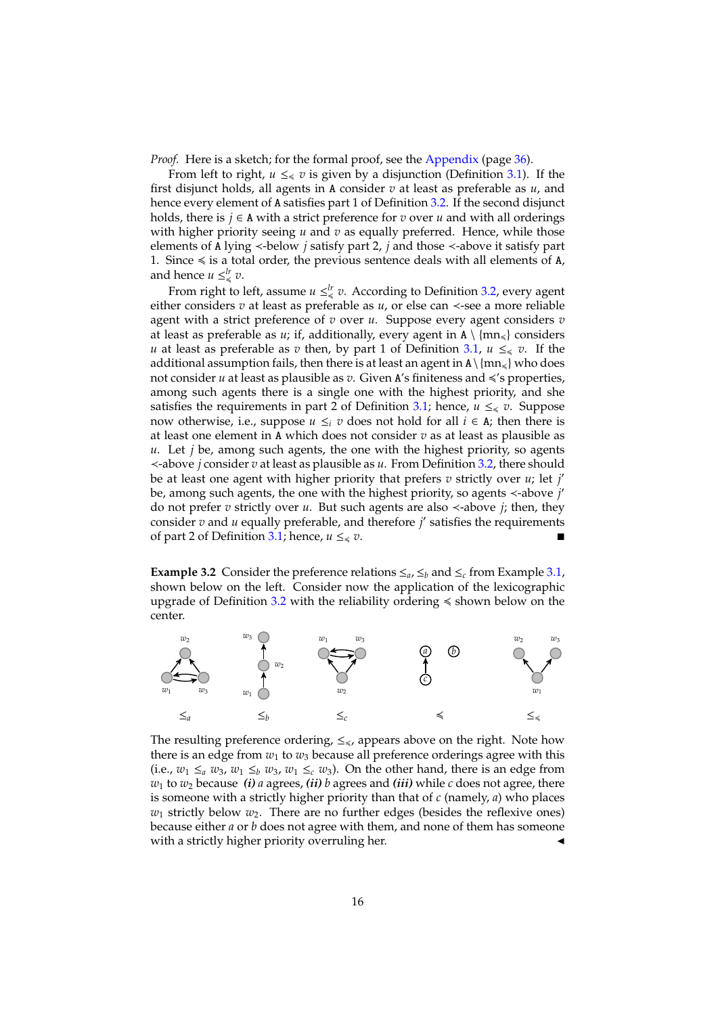Proof. Here is a sketch; for the formal proof, see the [Appendix](#page-35-1) (page [36\)](#page-35-1).

From left to right,  $u \leq x$  is given by a disjunction (Definition [3.1\)](#page-13-2). If the first disjunct holds, all agents in A consider *v* at least as preferable as *u*, and hence every element of A satisfies part 1 of Definition [3.2.](#page-14-2) If the second disjunct holds, there is *j* ∈ A with a strict preference for *v* over *u* and with all orderings with higher priority seeing *u* and *v* as equally preferred. Hence, while those elements of A lying ≺-below *j* satisfy part 2, *j* and those ≺-above it satisfy part 1. Since  $\le$  is a total order, the previous sentence deals with all elements of  $A$ , and hence  $u \leq^{lr}_{\leq} v$ .

From right to left, assume  $u \leq^{\text{lr}}_{\preccurlyeq} v$ . According to Definition [3.2,](#page-14-2) every agent either considers *v* at least as preferable as *u*, or else can ≺-see a more reliable agent with a strict preference of *v* over *u*. Suppose every agent considers *v* at least as preferable as *u*; if, additionally, every agent in  $A \setminus \{mn_{\leq}\}\$ considers *u* at least as preferable as *v* then, by part 1 of Definition [3.1,](#page-13-2)  $u \leq v$ . If the additional assumption fails, then there is at least an agent in  $A \setminus \{mn_{\preceq}\}$  who does not consider *u* at least as plausible as *v*. Given  $\bf{A}'$ s finiteness and  $\leq$ 's properties, among such agents there is a single one with the highest priority, and she satisfies the requirements in part 2 of Definition [3.1;](#page-13-2) hence,  $u \leq x$ . Suppose now otherwise, i.e., suppose  $u \leq_i v$  does not hold for all  $i \in A$ ; then there is at least one element in A which does not consider *v* as at least as plausible as *u*. Let *j* be, among such agents, the one with the highest priority, so agents ≺-above *j* consider *v* at least as plausible as *u*. From Definition [3.2,](#page-14-2) there should be at least one agent with higher priority that prefers *v* strictly over *u*; let *j* 0 be, among such agents, the one with the highest priority, so agents ≺-above *j* 0 do not prefer *v* strictly over *u*. But such agents are also ≺-above *j*; then, they consider *v* and *u* equally preferable, and therefore *j*' satisfies the requirements of part 2 of Definition [3.1;](#page-13-2) hence,  $u \leq \infty$ .

**Example 3.2** Consider the preference relations  $\leq_{a}$ ,  $\leq_{b}$  and  $\leq_{c}$  from Example [3.1,](#page-13-3) shown below on the left. Consider now the application of the lexicographic upgrade of Definition [3.2](#page-14-2) with the reliability ordering  $\leq$  shown below on the center.



The resulting preference ordering,  $\leq_{\leq}$ , appears above on the right. Note how there is an edge from  $w_1$  to  $w_3$  because all preference orderings agree with this (i.e.,  $w_1 \leq_a w_3$ ,  $w_1 \leq_b w_3$ ,  $w_1 \leq_c w_3$ ). On the other hand, there is an edge from  $w_1$  to  $w_2$  because *(i) a* agrees, *(ii) b* agrees and *(iii)* while *c* does not agree, there is someone with a strictly higher priority than that of *c* (namely, *a*) who places  $w_1$  strictly below  $w_2$ . There are no further edges (besides the reflexive ones) because either *a* or *b* does not agree with them, and none of them has someone with a strictly higher priority overruling her.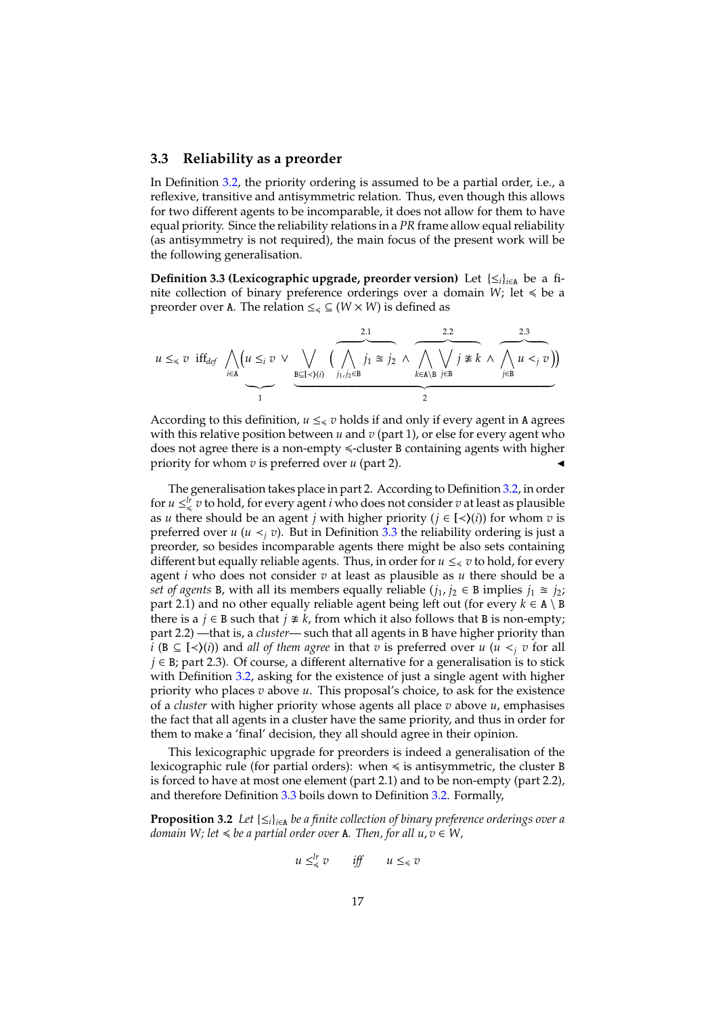### <span id="page-16-0"></span>**3.3 Reliability as a preorder**

In Definition [3.2,](#page-14-2) the priority ordering is assumed to be a partial order, i.e., a reflexive, transitive and antisymmetric relation. Thus, even though this allows for two different agents to be incomparable, it does not allow for them to have equal priority. Since the reliability relations in a *PR* frame allow equal reliability (as antisymmetry is not required), the main focus of the present work will be the following generalisation.

<span id="page-16-1"></span>**Definition 3.3 (Lexicographic upgrade, preorder version)** Let  $\{\leq_i\}_{i\in A}$  be a finite collection of binary preference orderings over a domain  $W$ ; let  $\leq$  be a preorder over A. The relation  $\leq_{\leq} \subseteq (W \times W)$  is defined as

$$
u \leq_{\leq} v \quad \text{iff}_{def} \quad \bigwedge_{i \in A} \left( u \leq_{i} v \quad \vee \quad \bigvee_{B \subseteq [-\diamondsuit(i)} \left( \bigwedge_{j_{1},j_{2} \in B} j_{2} \land \bigwedge_{k \in A \setminus B} \bigvee_{j \in B} j \notin k \land \bigwedge_{j \in B} u <_{j} v \right) \right)
$$

According to this definition,  $u \leq z$  *v* holds if and only if every agent in A agrees with this relative position between *u* and *v* (part 1), or else for every agent who does not agree there is a non-empty  $\leq$ -cluster B containing agents with higher priority for whom  $v$  is preferred over  $u$  (part 2).

The generalisation takes place in part 2. According to Definition [3.2,](#page-14-2) in order for *u* ≤<sup>*lr*</sup> *v* to hold, for every agent *i* who does not consider *v* at least as plausible as *u* there should be an agent *j* with higher priority ( $j \in [\langle \rangle(i)]$  for whom *v* is preferred over  $u$  ( $u \lt_i v$ ). But in Definition [3.3](#page-16-1) the reliability ordering is just a preorder, so besides incomparable agents there might be also sets containing different but equally reliable agents. Thus, in order for  $u \leq 0$  to hold, for every agent *i* who does not consider *v* at least as plausible as *u* there should be a *set of agents* **B**, with all its members equally reliable  $(i_1, i_2 \in B$  implies  $j_1 \approx i_2$ ; part 2.1) and no other equally reliable agent being left out (for every  $k \in A \setminus B$ there is a  $j \in B$  such that  $j \not\cong k$ , from which it also follows that B is non-empty; part 2.2) —that is, a *cluster*— such that all agents in B have higher priority than *i* (**B** ⊆  $\leq$   $\leq$   $\leq$   $\leq$   $\leq$   $\leq$  *o*)) and *all of them agree* in that *v* is preferred over *u* (*u* <*j v* for all *j* ∈ B; part 2.3). Of course, a different alternative for a generalisation is to stick with Definition [3.2,](#page-14-2) asking for the existence of just a single agent with higher priority who places *v* above *u*. This proposal's choice, to ask for the existence of a *cluster* with higher priority whose agents all place *v* above *u*, emphasises the fact that all agents in a cluster have the same priority, and thus in order for them to make a 'final' decision, they all should agree in their opinion.

This lexicographic upgrade for preorders is indeed a generalisation of the lexicographic rule (for partial orders): when  $\leq$  is antisymmetric, the cluster B is forced to have at most one element (part 2.1) and to be non-empty (part 2.2), and therefore Definition [3.3](#page-16-1) boils down to Definition [3.2.](#page-14-2) Formally,

<span id="page-16-2"></span>**Proposition 3.2** *Let*  $\{\leq_i\}_{i\in A}$  *be a finite collection of binary preference orderings over a domain W; let*  $\leq$  *be a partial order over* **A**. Then, for all  $u, v \in W$ ,

$$
u \leq^{\!lr}_{\leq} v \qquad \text{iff} \qquad u \leq_{\leq} v
$$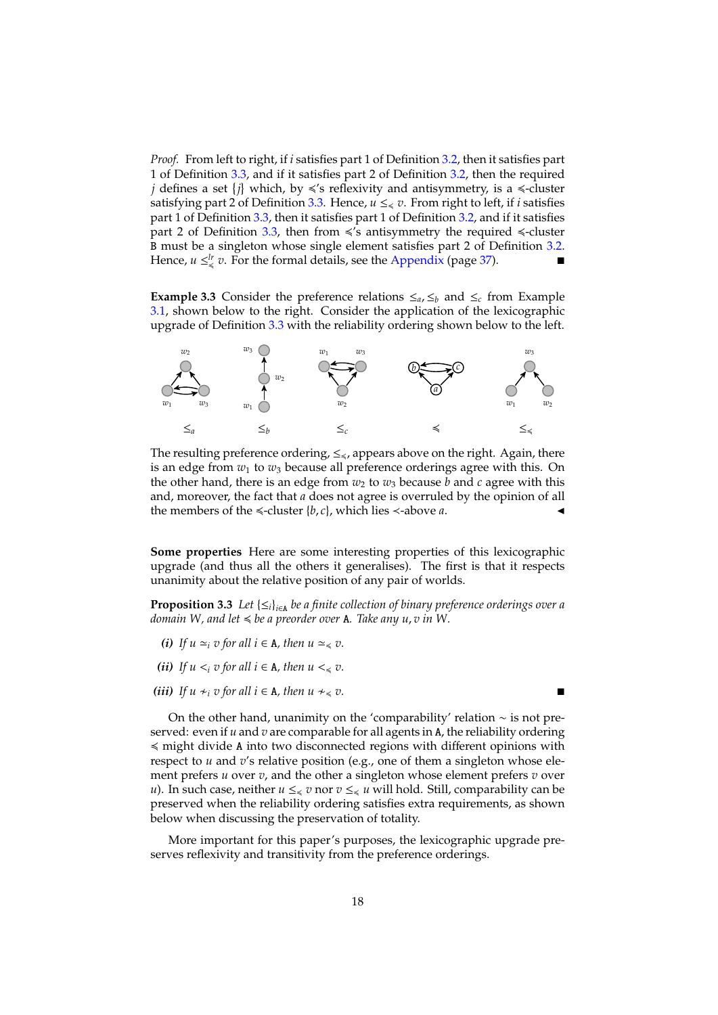*Proof.* From left to right, if *i* satisfies part 1 of Definition [3.2,](#page-14-2) then it satisfies part 1 of Definition [3.3,](#page-16-1) and if it satisfies part 2 of Definition [3.2,](#page-14-2) then the required *j* defines a set {*j*} which, by  $\leq$ 's reflexivity and antisymmetry, is a  $\leq$ -cluster satisfying part 2 of Definition [3.3.](#page-16-1) Hence, *u* ≤<sub>≼</sub> *v*. From right to left, if *i* satisfies part 1 of Definition [3.3,](#page-16-1) then it satisfies part 1 of Definition [3.2,](#page-14-2) and if it satisfies part 2 of Definition [3.3,](#page-16-1) then from  $\leq$ 's antisymmetry the required  $\leq$ -cluster B must be a singleton whose single element satisfies part 2 of Definition [3.2.](#page-14-2) Hence,  $u \leq^l_x v$ . For the formal details, see the [Appendix](#page-36-0) (page [37\)](#page-36-0).

**Example 3.3** Consider the preference relations  $\leq_{a}$ ,  $\leq_{b}$  and  $\leq_{c}$  from Example [3.1,](#page-13-3) shown below to the right. Consider the application of the lexicographic upgrade of Definition [3.3](#page-16-1) with the reliability ordering shown below to the left.



The resulting preference ordering,  $\leq$ , appears above on the right. Again, there is an edge from  $w_1$  to  $w_3$  because all preference orderings agree with this. On the other hand, there is an edge from  $w_2$  to  $w_3$  because *b* and *c* agree with this and, moreover, the fact that *a* does not agree is overruled by the opinion of all the members of the  $\le$ -cluster {*b*, *c*}, which lies  $\le$ -above *a*.

**Some properties** Here are some interesting properties of this lexicographic upgrade (and thus all the others it generalises). The first is that it respects unanimity about the relative position of any pair of worlds.

<span id="page-17-1"></span>**Proposition 3.3** *Let* {≤*i*}*i*∈<sup>A</sup> *be a finite collection of binary preference orderings over a domain W, and let*  $\leq$  *be a preorder over* A. Take any  $u, v$  *in W.* 

- *(i) If*  $u \simeq_i v$  *for all*  $i \in A$ *, then*  $u \simeq \infty v$ *.*
- *(ii) If*  $u \leq v$  *for all*  $i \in A$ *, then*  $u \leq v$ *.*
- *(iii) If*  $u \nleftrightarrow_i v$  *for all*  $i \in A$ *, then*  $u \nleftrightarrow_{\leq} v$ *.*

On the other hand, unanimity on the 'comparability' relation ∼ is not preserved: even if *u* and *v* are comparable for all agents in A, the reliability ordering  $\leq$  might divide A into two disconnected regions with different opinions with respect to *u* and *v*'s relative position (e.g., one of them a singleton whose element prefers *u* over *v*, and the other a singleton whose element prefers *v* over *u*). In such case, neither  $u \leq \infty$  *v* nor  $v \leq \infty$  *u* will hold. Still, comparability can be preserved when the reliability ordering satisfies extra requirements, as shown below when discussing the preservation of totality.

<span id="page-17-0"></span>More important for this paper's purposes, the lexicographic upgrade preserves reflexivity and transitivity from the preference orderings.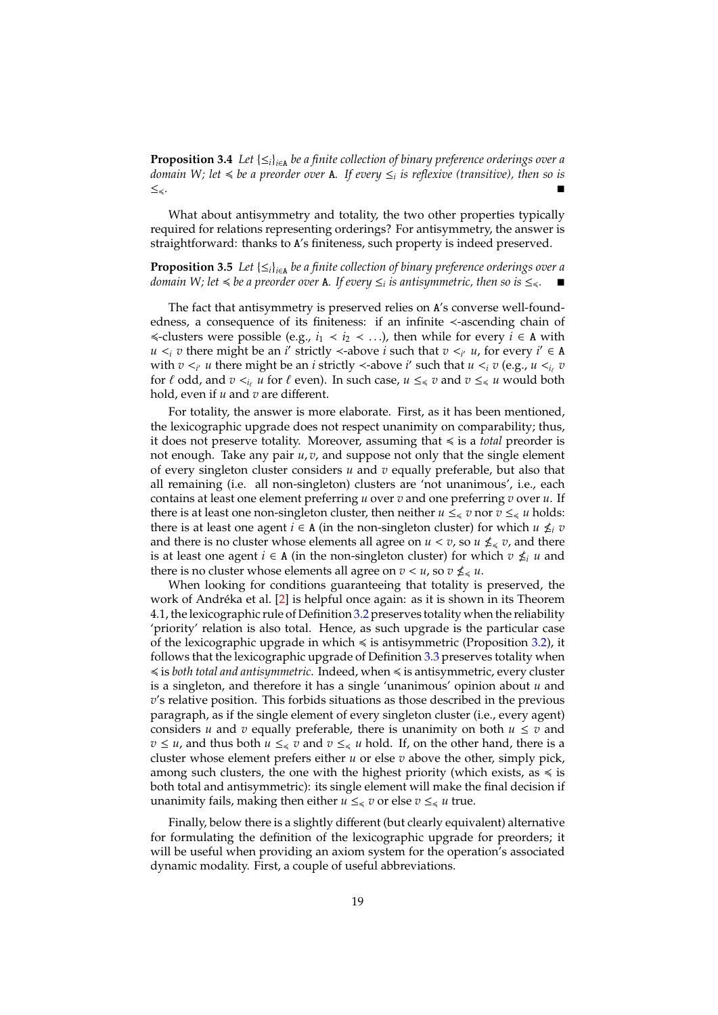<span id="page-18-2"></span>**Proposition 3.4** *Let* {≤*i*}*i*∈<sup>A</sup> *be a finite collection of binary preference orderings over a domain W; let* 4 *be a preorder over* A*. If every* ≤*<sup>i</sup> is reflexive (transitive), then so is* ≤4*.*

What about antisymmetry and totality, the two other properties typically required for relations representing orderings? For antisymmetry, the answer is straightforward: thanks to A's finiteness, such property is indeed preserved.

### <span id="page-18-1"></span>**Proposition 3.5** *Let* {≤*i*}*i*∈<sup>A</sup> *be a finite collection of binary preference orderings over a domain W; let*  $\leq$  *be a preorder over* A. If every  $\leq_i$  is antisymmetric, then so is  $\leq_{\leq}$ .  $\blacksquare$

The fact that antisymmetry is preserved relies on A's converse well-foundedness, a consequence of its finiteness: if an infinite ≺-ascending chain of 4-clusters were possible (e.g., *i*<sup>1</sup> ≺ *i*<sup>2</sup> ≺ . . .), then while for every *i* ∈ A with *u* <*i v* there might be an *i*' strictly ≺-above *i* such that *v* <*<sub>i'</sub> u*, for every *i*' ∈ A with  $v <_{i'} u$  there might be an *i* strictly  $\lt$ -above *i*' such that  $u <_{i} v$  (e.g.,  $u <_{i_{\ell}} v$ for  $\ell$  odd, and  $v <_{i_\ell} u$  for  $\ell$  even). In such case,  $u \leq \ell v$  and  $v \leq \ell u$  would both hold, even if *u* and *v* are different.

For totality, the answer is more elaborate. First, as it has been mentioned, the lexicographic upgrade does not respect unanimity on comparability; thus, it does not preserve totality. Moreover, assuming that  $\leq$  is a *total* preorder is not enough. Take any pair *u*, *v*, and suppose not only that the single element of every singleton cluster considers *u* and *v* equally preferable, but also that all remaining (i.e. all non-singleton) clusters are 'not unanimous', i.e., each contains at least one element preferring *u* over *v* and one preferring *v* over *u*. If there is at least one non-singleton cluster, then neither  $u \leq \sqrt{v}$  nor  $v \leq \sqrt{u}$  holds: there is at least one agent  $i \in A$  (in the non-singleton cluster) for which  $u \nleq i$  *v* and there is no cluster whose elements all agree on  $u < v$ , so  $u \nleq_{\leq} v$ , and there is at least one agent *i* ∈ A (in the non-singleton cluster) for which  $v \nleq i$  *u* and there is no cluster whose elements all agree on  $v < u$ , so  $v \nleq_{\leq} u$ .

When looking for conditions guaranteeing that totality is preserved, the work of Andréka et al. [\[2\]](#page-40-4) is helpful once again: as it is shown in its Theorem 4.1, the lexicographic rule of Definition [3.2](#page-14-2) preserves totality when the reliability 'priority' relation is also total. Hence, as such upgrade is the particular case of the lexicographic upgrade in which  $\leq$  is antisymmetric (Proposition [3.2\)](#page-16-2), it follows that the lexicographic upgrade of Definition [3.3](#page-16-1) preserves totality when  $\leq$  is *both total and antisymmetric*. Indeed, when  $\leq$  is antisymmetric, every cluster is a singleton, and therefore it has a single 'unanimous' opinion about *u* and *v*'s relative position. This forbids situations as those described in the previous paragraph, as if the single element of every singleton cluster (i.e., every agent) considers *u* and *v* equally preferable, there is unanimity on both  $u \le v$  and *v*  $\leq$  *u*, and thus both *u*  $\leq$  *v* and *v*  $\leq$  *v u* hold. If, on the other hand, there is a cluster whose element prefers either *u* or else *v* above the other, simply pick, among such clusters, the one with the highest priority (which exists, as  $\leq$  is both total and antisymmetric): its single element will make the final decision if unanimity fails, making then either  $u \leq x$  or else  $v \leq x$  *u* true.

<span id="page-18-0"></span>Finally, below there is a slightly different (but clearly equivalent) alternative for formulating the definition of the lexicographic upgrade for preorders; it will be useful when providing an axiom system for the operation's associated dynamic modality. First, a couple of useful abbreviations.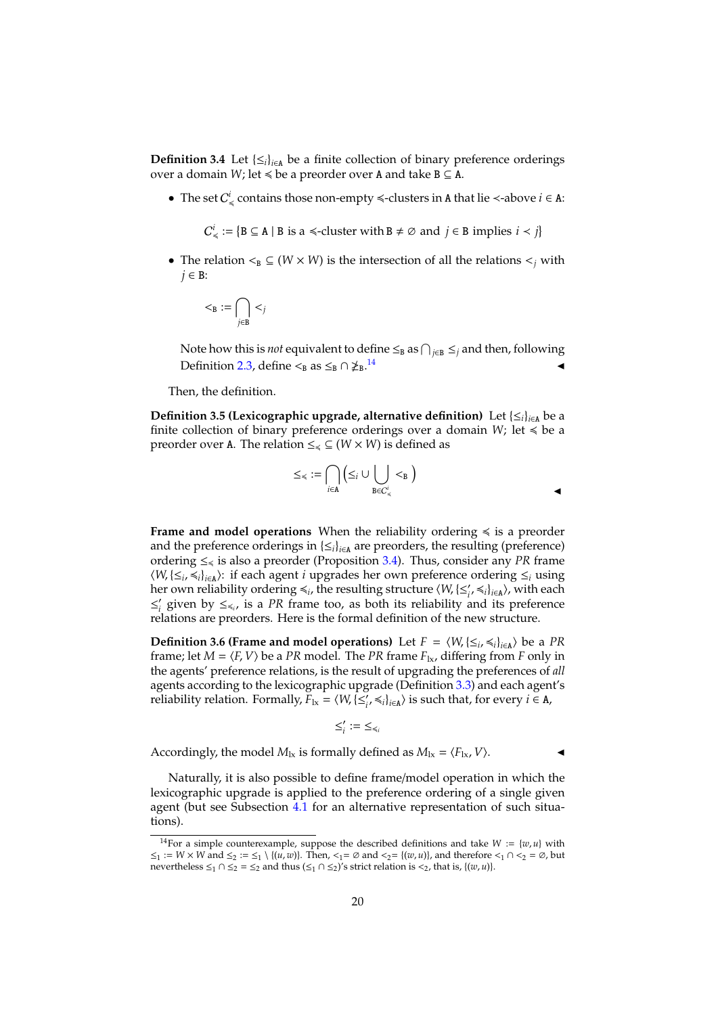**Definition 3.4** Let  $\{\leq_i\}_{i \in A}$  be a finite collection of binary preference orderings over a domain *W*; let  $\leq$  be a preorder over A and take  $B \subseteq A$ .

• The set  $C^i_{\le}$  contains those non-empty  $\le$ -clusters in A that lie  $\le$ -above  $i \in A$ :

$$
C^i_{\leq} := \{ B \subseteq A \mid B \text{ is a } \leq \text{-cluster with } B \neq \emptyset \text{ and } j \in B \text{ implies } i < j \}
$$

• The relation  $\lt_{B} \subseteq (W \times W)$  is the intersection of all the relations  $\lt_{j}$  with *j* ∈ B:

$$
\mathord{<_{\mathrm{B}}}\mathrel{:=}\bigcap_{j\in\mathtt{B}}\mathord{<_{j}}
$$

Note how this is *not* equivalent to define  $\leq_{\text{B}}$  as  $\bigcap_{j\in\text{B}}\leq_j$  and then, following Definition [2.3,](#page-5-4) define  $\lt$ <sub>B</sub> as  $\leq_B \cap \not\geq_B$ .<sup>14</sup>  $14$ 

Then, the definition.

<span id="page-19-2"></span>**Definition 3.5 (Lexicographic upgrade, alternative definition)** Let  $\{\leq_i\}_{i\in A}$  be a finite collection of binary preference orderings over a domain  $W$ ; let  $\leq$  be a preorder over A. The relation  $\leq_{\leq} \subseteq (W \times W)$  is defined as

$$
\leq_{\preccurlyeq} := \bigcap_{i \in A} \left( \leq_i \cup \bigcup_{B \in C_{\preccurlyeq}^i} <_{B} \right)
$$

**Frame and model operations** When the reliability ordering  $\leq$  is a preorder and the preference orderings in  $\{\leq_i\}_{i\in A}$  are preorders, the resulting (preference) ordering ≤<sup>4</sup> is also a preorder (Proposition [3.4\)](#page-17-0). Thus, consider any *PR* frame h*W*, {≤*<sup>i</sup>* ,4*i*}*i*∈<sup>A</sup> i: if each agent *i* upgrades her own preference ordering ≤*<sup>i</sup>* using her own reliability ordering  $\leq i$ , the resulting structure  $\langle W, {\{\leq'_i>, \leq_i\}}_{i\in A} \rangle$ , with each  $\lt'$ *i* given by  $\leq_{\leq i}$ , is a *PR* frame too, as both its reliability and its preference relations are preorders. Here is the formal definition of the new structure.

<span id="page-19-1"></span>**Definition 3.6 (Frame and model operations)** Let  $F = \langle W, \{\leq_i, \leq_i\}_{i \in A} \rangle$  be a PR frame; let  $M = \langle F, V \rangle$  be a *PR* model. The *PR* frame  $F_{\text{lx}}$ , differing from *F* only in the agents' preference relations, is the result of upgrading the preferences of *all* agents according to the lexicographic upgrade (Definition [3.3\)](#page-16-1) and each agent's reliability relation. Formally,  $F_{1x} = \langle W, \{ \leq'_i, \leq_i \}_{i \in \mathbb{A}} \rangle$  is such that, for every  $i \in \mathbb{A}$ ,

$$
\leq'_i \; := \; \leq_{\preccurlyeq_i}
$$

Accordingly, the model  $M_{1x}$  is formally defined as  $M_{1x} = \langle F_{1x}, V \rangle$ .

Naturally, it is also possible to define frame/model operation in which the lexicographic upgrade is applied to the preference ordering of a single given agent (but see Subsection [4.1](#page-27-1) for an alternative representation of such situations).

<span id="page-19-0"></span><sup>&</sup>lt;sup>14</sup>For a simple counterexample, suppose the described definitions and take  $W := \{w, u\}$  with  $\leq_1 := W \times W$  and  $\leq_2 := \leq_1 \setminus \{(u,w)\}\)$ . Then,  $\lt_1 = \emptyset$  and  $\lt_2 = \{(w,u)\}\)$ , and therefore  $\lt_1 \cap \lt_2 = \emptyset$ , but nevertheless  $\leq_1 \cap \leq_2 = \leq_2$  and thus  $(\leq_1 \cap \leq_2)'$ s strict relation is  $\leq_2$ , that is,  $\{(w, u)\}.$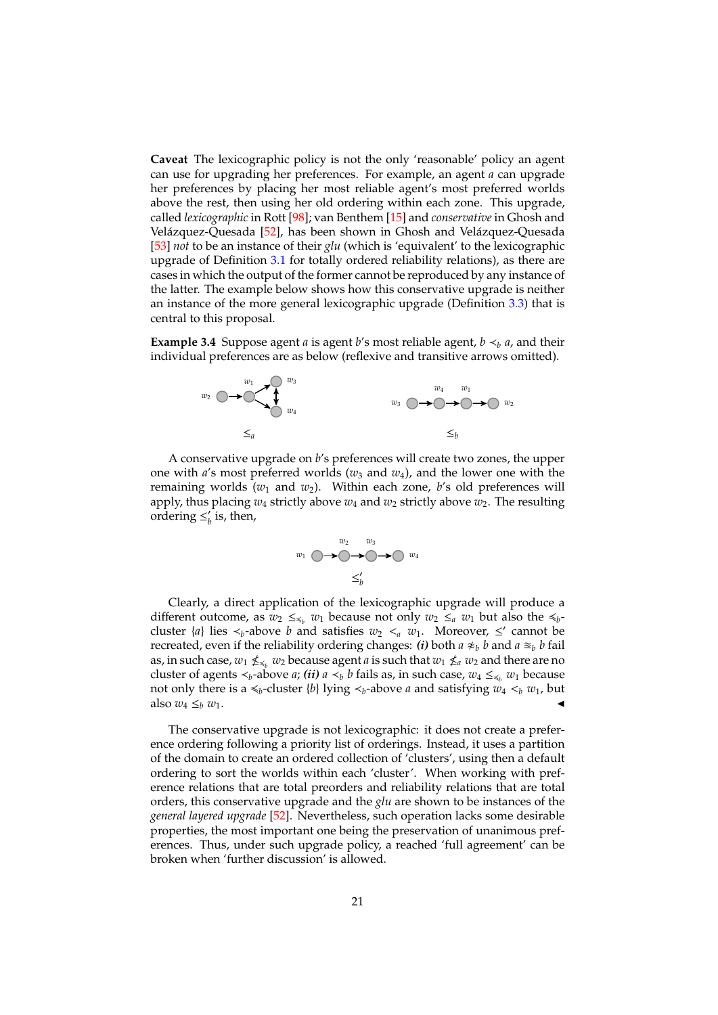<span id="page-20-0"></span>**Caveat** The lexicographic policy is not the only 'reasonable' policy an agent can use for upgrading her preferences. For example, an agent *a* can upgrade her preferences by placing her most reliable agent's most preferred worlds above the rest, then using her old ordering within each zone. This upgrade, called *lexicographic* in Rott [\[98\]](#page-47-7); van Benthem [\[15\]](#page-41-11) and *conservative* in Ghosh and Velázquez-Quesada [\[52\]](#page-43-4), has been shown in Ghosh and Velázquez-Quesada [\[53\]](#page-43-3) *not* to be an instance of their *glu* (which is 'equivalent' to the lexicographic upgrade of Definition [3.1](#page-13-2) for totally ordered reliability relations), as there are cases in which the output of the former cannot be reproduced by any instance of the latter. The example below shows how this conservative upgrade is neither an instance of the more general lexicographic upgrade (Definition [3.3\)](#page-16-1) that is central to this proposal.

**Example 3.4** Suppose agent *a* is agent *b*'s most reliable agent,  $b \prec_b a$ , and their individual preferences are as below (reflexive and transitive arrows omitted).



A conservative upgrade on *b*'s preferences will create two zones, the upper one with  $a'$ s most preferred worlds ( $w_3$  and  $w_4$ ), and the lower one with the remaining worlds  $(w_1 \text{ and } w_2)$ . Within each zone, *b's* old preferences will apply, thus placing  $w_4$  strictly above  $w_4$  and  $w_2$  strictly above  $w_2$ . The resulting ordering  $\leq^{\prime}_{k}$  $_{b}^{\prime}$  is, then,

$$
w_1 \bigcirc \rightarrow \bigcirc \rightarrow \bigcirc \rightarrow \bigcirc w_4
$$
  

$$
\leq'_b
$$

Clearly, a direct application of the lexicographic upgrade will produce a different outcome, as  $w_2 \leq_{\leq_b} w_1$  because not only  $w_2 \leq_a w_1$  but also the  $\leq_b$ cluster {*a*} lies  $\lt_b$ -above *b* and satisfies  $w_2 \lt_a w_1$ . Moreover,  $\le'$  cannot be recreated, even if the reliability ordering changes: *(i)* both  $a \not\approx_b b$  and  $a \approx_b b$  fail as, in such case,  $w_1 \nleq_{\leq_b} w_2$  because agent *a* is such that  $w_1 \nleq_a w_2$  and there are no cluster of agents  $\lt_b$ -above *a*; (*ii*) *a*  $\lt_b$  *b* fails as, in such case,  $w_4 \leq_{\lt_b} w_1$  because not only there is a  $\leq_b$ -cluster {*b*} lying  $\leq_b$ -above *a* and satisfying  $w_4 \leq_b w_1$ , but also  $w_4 \leq_b w_1$ .

The conservative upgrade is not lexicographic: it does not create a preference ordering following a priority list of orderings. Instead, it uses a partition of the domain to create an ordered collection of 'clusters', using then a default ordering to sort the worlds within each 'cluster'. When working with preference relations that are total preorders and reliability relations that are total orders, this conservative upgrade and the *glu* are shown to be instances of the *general layered upgrade* [\[52\]](#page-43-4). Nevertheless, such operation lacks some desirable properties, the most important one being the preservation of unanimous preferences. Thus, under such upgrade policy, a reached 'full agreement' can be broken when 'further discussion' is allowed.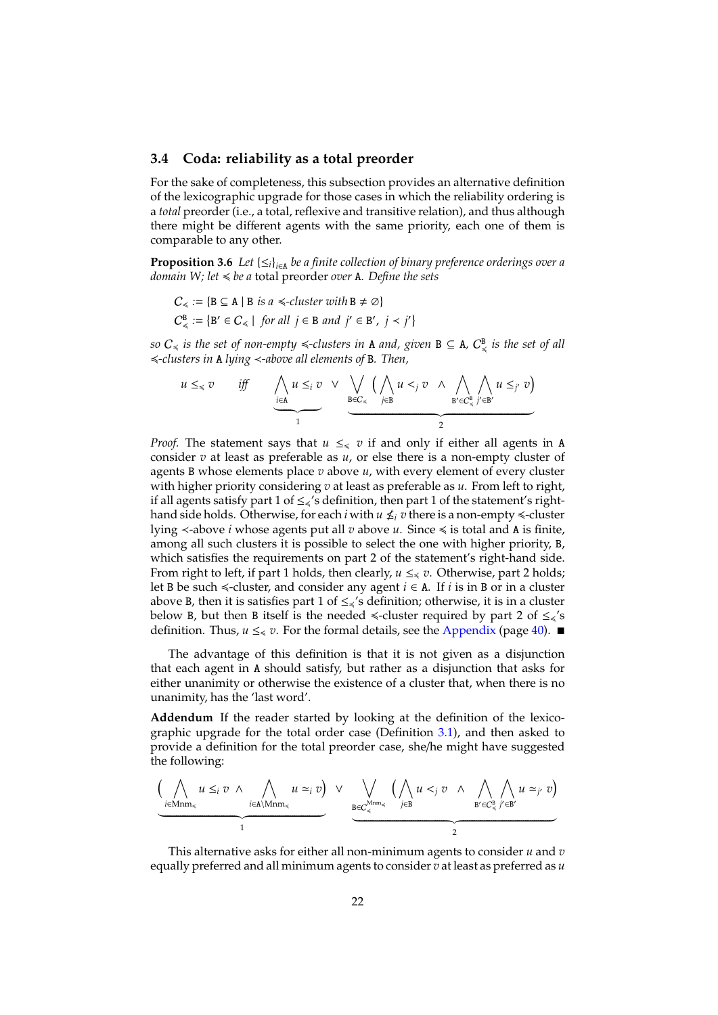### **3.4 Coda: reliability as a total preorder**

For the sake of completeness, this subsection provides an alternative definition of the lexicographic upgrade for those cases in which the reliability ordering is a *total* preorder (i.e., a total, reflexive and transitive relation), and thus although there might be different agents with the same priority, each one of them is comparable to any other.

<span id="page-21-0"></span>**Proposition 3.6** *Let* {≤*i*}*i*∈<sup>A</sup> *be a finite collection of binary preference orderings over a domain W; let* ≤ *be a* total preorder *over* A. Define the sets

$$
C_{\preccurlyeq} := \{ \mathbf{B} \subseteq \mathbf{A} \mid \mathbf{B} \text{ is a } \preccurlyeq\text{-cluster with } \mathbf{B} \neq \emptyset \}
$$
\n
$$
C_{\preccurlyeq}^{\mathbf{B}} := \{ \mathbf{B}' \in C_{\preccurlyeq} \mid \text{for all } j \in \mathbf{B} \text{ and } j' \in \mathbf{B}', j < j' \}
$$

so  $C_$  *is the set of non-empty*  $\leq$ -clusters in **A** and, given **B**  $\subseteq$  **A**,  $C_$  *is the set of all* 4*-clusters in* A *lying* ≺*-above all elements of* B*. Then,*

$$
u \leq_{\leq} v \quad \text{iff} \quad \underset{1}{\underbrace{\bigwedge_{i \in A} u \leq_i v}} \vee \underbrace{\bigvee_{B \in C_{\leq}} \Big(\bigwedge_{j \in B} u <_j v \ \wedge \ \bigwedge_{B' \in C_{\leq}^B} \bigwedge_{j' \in B'} u \leq_{j'} v\Big)}_{2}
$$

*Proof.* The statement says that  $u \leq 0$  if and only if either all agents in A consider *v* at least as preferable as *u*, or else there is a non-empty cluster of agents B whose elements place *v* above *u*, with every element of every cluster with higher priority considering *v* at least as preferable as *u*. From left to right, if all agents satisfy part 1 of  $\leq_{\preccurlyeq}$ 's definition, then part 1 of the statement's righthand side holds. Otherwise, for each *i* with  $u \nleq i$  v there is a non-empty  $\leq$ -cluster lying ≺-above *i* whose agents put all *v* above *u*. Since ≤ is total and A is finite, among all such clusters it is possible to select the one with higher priority, B, which satisfies the requirements on part 2 of the statement's right-hand side. From right to left, if part 1 holds, then clearly,  $u \leq x$ . Otherwise, part 2 holds; let B be such  $\le$ -cluster, and consider any agent *i* ∈ A. If *i* is in B or in a cluster above B, then it is satisfies part 1 of  $\leq$  's definition; otherwise, it is in a cluster below B, but then B itself is the needed  $\leq$ -cluster required by part 2 of  $\leq \leq$ 's definition. Thus,  $u \leq z$  *v*. For the formal details, see the [Appendix](#page-39-1) (page [40\)](#page-39-1). ■

The advantage of this definition is that it is not given as a disjunction that each agent in A should satisfy, but rather as a disjunction that asks for either unanimity or otherwise the existence of a cluster that, when there is no unanimity, has the 'last word'.

**Addendum** If the reader started by looking at the definition of the lexicographic upgrade for the total order case (Definition [3.1\)](#page-13-2), and then asked to provide a definition for the total preorder case, she/he might have suggested the following:

$$
\underbrace{\left(\bigwedge_{i\in \mathsf{Mnm}_\prec} u \leq_i v \wedge \bigwedge_{i\in \mathsf{A}\backslash \mathsf{Mnm}_\prec} u \simeq_i v\right)}_{1} \vee \underbrace{\bigvee_{\mathsf{B}\in C_\prec^{\mathsf{Mnm}_\prec}} \left(\bigwedge_{j\in \mathsf{B}} u <_j v \wedge \bigwedge_{\mathsf{B}'\in C_\prec^{\mathsf{B}}}\bigwedge_{j'\in \mathsf{B}'} u \simeq_{j'} v\right)}_{2}
$$

This alternative asks for either all non-minimum agents to consider *u* and *v* equally preferred and all minimum agents to consider *v* at least as preferred as *u*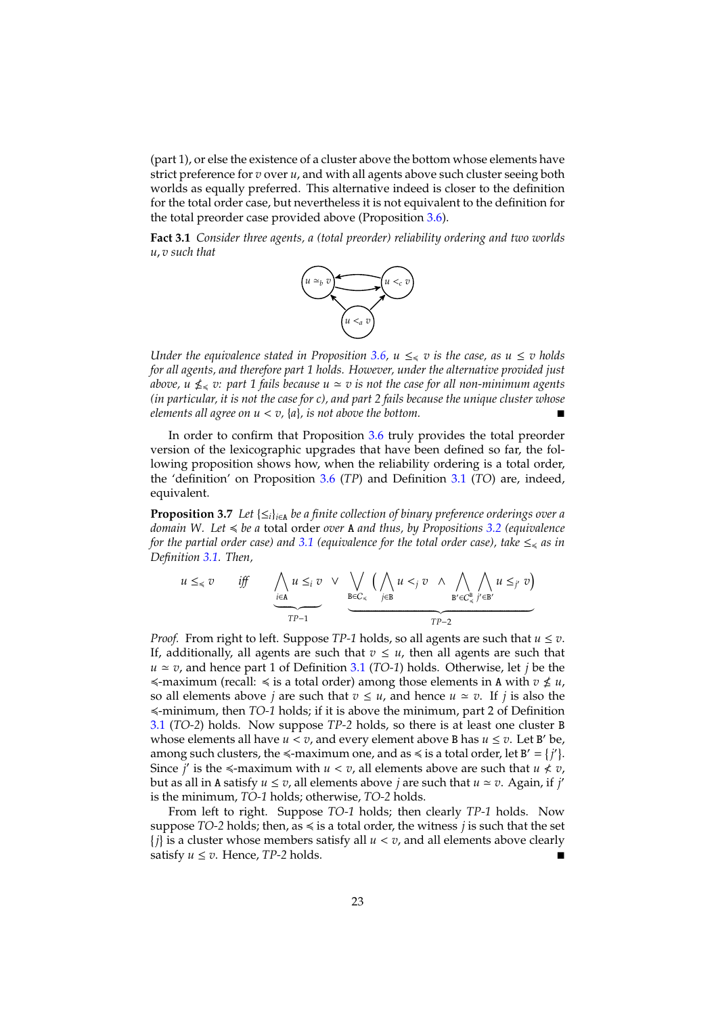(part 1), or else the existence of a cluster above the bottom whose elements have strict preference for *v* over *u*, and with all agents above such cluster seeing both worlds as equally preferred. This alternative indeed is closer to the definition for the total order case, but nevertheless it is not equivalent to the definition for the total preorder case provided above (Proposition [3.6\)](#page-21-0).

**Fact 3.1** *Consider three agents, a (total preorder) reliability ordering and two worlds u*, *v such that*



*Under the equivalence stated in Proposition* [3.6,](#page-21-0)  $u \leq 0$  *is the case, as*  $u \leq v$  *holds for all agents, and therefore part 1 holds. However, under the alternative provided just* above,  $u \nleq_{\leq} v$ : part 1 fails because  $u \simeq v$  is not the case for all non-minimum agents *(in particular, it is not the case for c), and part 2 fails because the unique cluster whose elements all agree on*  $u < v$ *, {a}, is not above the bottom.* 

In order to confirm that Proposition [3.6](#page-21-0) truly provides the total preorder version of the lexicographic upgrades that have been defined so far, the following proposition shows how, when the reliability ordering is a total order, the 'definition' on Proposition [3.6](#page-21-0) (*TP*) and Definition [3.1](#page-13-2) (*TO*) are, indeed, equivalent.

**Proposition 3.7** *Let* {≤*i*}*i*∈<sup>A</sup> *be a finite collection of binary preference orderings over a domain W. Let* 4 *be a* total order *over* A *and thus, by Propositions [3.2](#page-16-2) (equivalence for the partial order case) and [3.1](#page-14-1) (equivalence for the total order case), take* ≤<sup>4</sup> *as in Definition [3.1.](#page-13-2) Then,*

$$
u \leq_{\leq} v \quad \text{iff} \quad \underset{TP-1}{\underbrace{\bigwedge_{i \in A} u \leq_i v}} \vee \underbrace{\bigvee_{B \in C_{\leq}} \Big(\bigwedge_{j \in B} u <_{j} v \ \wedge \ \bigwedge_{B' \in C_{\leq}^{B}} \bigwedge_{j' \in B'} u \leq_{j'} v\Big)}_{TP-2}
$$

*Proof.* From right to left. Suppose *TP-1* holds, so all agents are such that  $u \le v$ . If, additionally, all agents are such that  $v \leq u$ , then all agents are such that  $u \approx v$ , and hence part 1 of Definition [3.1](#page-13-2) (*TO-1*) holds. Otherwise, let *j* be the  $\le$ -maximum (recall:  $\le$  is a total order) among those elements in A with  $v \nleq u$ , so all elements above *j* are such that  $v \leq u$ , and hence  $u \approx v$ . If *j* is also the 4-minimum, then *TO-1* holds; if it is above the minimum, part 2 of Definition [3.1](#page-13-2) (*TO-2*) holds. Now suppose *TP-2* holds, so there is at least one cluster B whose elements all have  $u < v$ , and every element above B has  $u \le v$ . Let B' be, among such clusters, the  $\leq$ -maximum one, and as  $\leq$  is a total order, let B' = {*j'* }. Since  $\tilde{j}'$  is the  $\leq$ -maximum with  $u < v$ , all elements above are such that  $u \nleq v$ , but as all in **A** satisfy  $u \leq v$ , all elements above *j* are such that  $u \approx v$ . Again, if *j* is the minimum, *TO-1* holds; otherwise, *TO-2* holds.

From left to right. Suppose *TO-1* holds; then clearly *TP-1* holds. Now suppose *TO-2* holds; then, as  $\leq$  is a total order, the witness *j* is such that the set  $\{j\}$  is a cluster whose members satisfy all  $u < v$ , and all elements above clearly satisfy  $u \le v$ . Hence, *TP*-2 holds.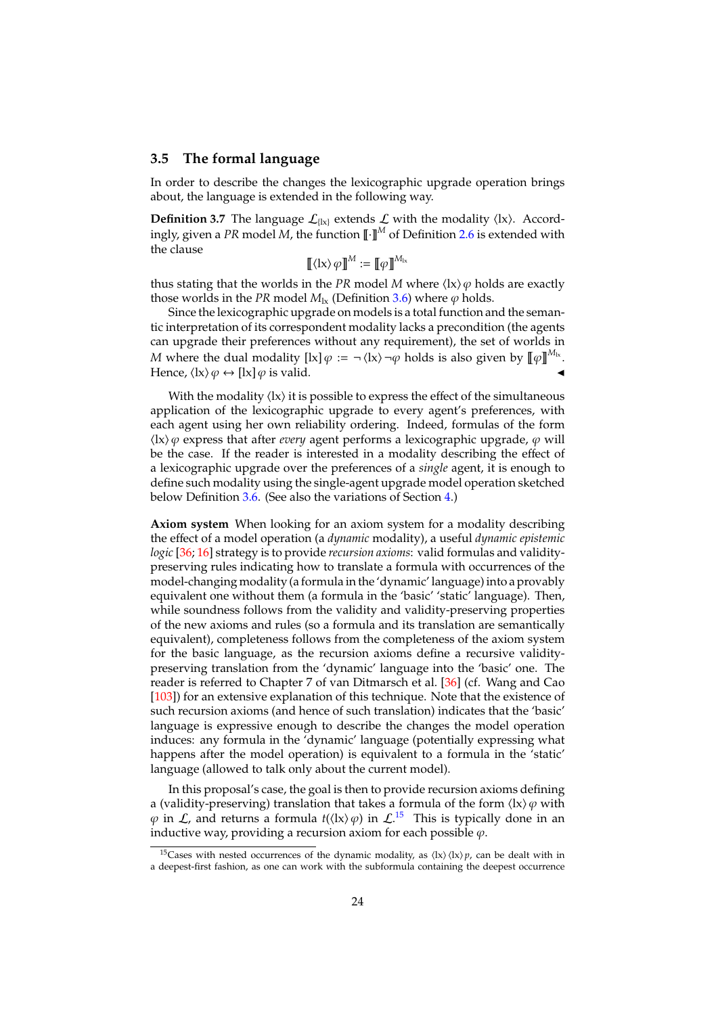### <span id="page-23-2"></span>**3.5 The formal language**

In order to describe the changes the lexicographic upgrade operation brings about, the language is extended in the following way.

<span id="page-23-1"></span>**Definition 3.7** The language  $\mathcal{L}_{\{lx\}}$  extends  $\mathcal{L}$  with the modality  $\langle lx \rangle$ . Accordingly, given a PR model M, the function  $\llbracket \cdot \rrbracket^M$  of Definition [2.6](#page-8-0) is extended with the clause

$$
\llbracket \langle \mathbf{l} \mathbf{x} \rangle \varphi \rrbracket^M := \llbracket \varphi \rrbracket^{M_{\mathrm{lx}}}
$$

thus stating that the worlds in the *PR* model *M* where  $\langle \text{lx} \rangle \varphi$  holds are exactly those worlds in the *PR* model  $M_{1x}$  (Definition [3.6\)](#page-19-1) where  $\varphi$  holds.

Since the lexicographic upgrade on models is a total function and the semantic interpretation of its correspondent modality lacks a precondition (the agents can upgrade their preferences without any requirement), the set of worlds in *M* where the dual modality [lx]  $\varphi := \neg \langle \text{lx} \rangle \neg \varphi$  holds is also given by  $\llbracket \varphi \rrbracket^{M_{\text{lx}}}.$ Hence,  $\langle$ lx $\rangle$  $\varphi \leftrightarrow$  [lx] $\varphi$  is valid.

With the modality  $\langle \text{lx} \rangle$  it is possible to express the effect of the simultaneous application of the lexicographic upgrade to every agent's preferences, with each agent using her own reliability ordering. Indeed, formulas of the form  $\langle x \rangle$   $\varphi$  express that after *every* agent performs a lexicographic upgrade,  $\varphi$  will be the case. If the reader is interested in a modality describing the effect of a lexicographic upgrade over the preferences of a *single* agent, it is enough to define such modality using the single-agent upgrade model operation sketched below Definition [3.6.](#page-19-1) (See also the variations of Section [4.](#page-27-0))

**Axiom system** When looking for an axiom system for a modality describing the effect of a model operation (a *dynamic* modality), a useful *dynamic epistemic logic* [\[36;](#page-42-12) [16\]](#page-41-12) strategy is to provide *recursion axioms*: valid formulas and validitypreserving rules indicating how to translate a formula with occurrences of the model-changing modality (a formula in the 'dynamic' language) into a provably equivalent one without them (a formula in the 'basic' 'static' language). Then, while soundness follows from the validity and validity-preserving properties of the new axioms and rules (so a formula and its translation are semantically equivalent), completeness follows from the completeness of the axiom system for the basic language, as the recursion axioms define a recursive validitypreserving translation from the 'dynamic' language into the 'basic' one. The reader is referred to Chapter 7 of van Ditmarsch et al. [\[36\]](#page-42-12) (cf. Wang and Cao [\[103\]](#page-47-8)) for an extensive explanation of this technique. Note that the existence of such recursion axioms (and hence of such translation) indicates that the 'basic' language is expressive enough to describe the changes the model operation induces: any formula in the 'dynamic' language (potentially expressing what happens after the model operation) is equivalent to a formula in the 'static' language (allowed to talk only about the current model).

In this proposal's case, the goal is then to provide recursion axioms defining a (validity-preserving) translation that takes a formula of the form  $\langle x \rangle \varphi$  with  $\varphi$  in  $\mathcal{L}$ , and returns a formula  $t(\langle 1x \rangle \varphi)$  in  $\mathcal{L}^{15}$  $\mathcal{L}^{15}$  $\mathcal{L}^{15}$  This is typically done in an inductive way, providing a recursion axiom for each possible  $\varphi$ .

<span id="page-23-0"></span><sup>&</sup>lt;sup>15</sup>Cases with nested occurrences of the dynamic modality, as  $\langle \text{lx} \rangle \langle \text{lx} \rangle p$ , can be dealt with in a deepest-first fashion, as one can work with the subformula containing the deepest occurrence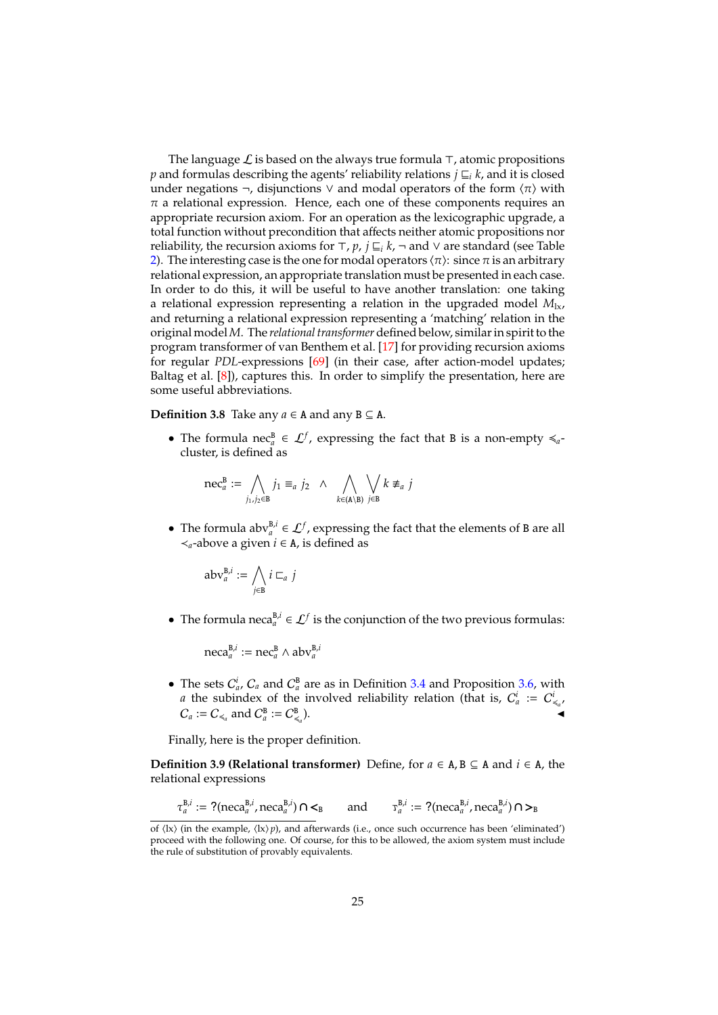<span id="page-24-2"></span>The language  $\mathcal L$  is based on the always true formula  $\tau$ , atomic propositions *p* and formulas describing the agents' reliability relations  $j \sqsubseteq_i k$ , and it is closed under negations ¬, disjunctions  $\vee$  and modal operators of the form  $\langle \pi \rangle$  with  $\pi$  a relational expression. Hence, each one of these components requires an appropriate recursion axiom. For an operation as the lexicographic upgrade, a total function without precondition that affects neither atomic propositions nor reliability, the recursion axioms for  $\top$ , *p*, *i*  $\sqsubseteq$ <sub>i</sub> *k*,  $\neg$  and  $\vee$  are standard (see Table [2\)](#page-26-0). The interesting case is the one for modal operators  $\langle \pi \rangle$ : since  $\pi$  is an arbitrary relational expression, an appropriate translation must be presented in each case. In order to do this, it will be useful to have another translation: one taking a relational expression representing a relation in the upgraded model *M*lx, and returning a relational expression representing a 'matching' relation in the original model*M*. The *relational transformer* defined below, similar in spirit to the program transformer of van Benthem et al. [\[17\]](#page-41-13) for providing recursion axioms for regular *PDL*-expressions [\[69\]](#page-45-9) (in their case, after action-model updates; Baltag et al.  $[8]$ , captures this. In order to simplify the presentation, here are some useful abbreviations.

<span id="page-24-1"></span>**Definition 3.8** Take any  $a \in A$  and any  $B \subseteq A$ .

• The formula nec<sup>B</sup>  $\in \mathcal{L}^f$ , expressing the fact that B is a non-empty  $\leq a$ cluster, is defined as

$$
\text{nec}_a^B := \bigwedge_{j_1,j_2 \in B} j_1 \equiv_a j_2 \quad \land \quad \bigwedge_{k \in (\mathbf{A} \setminus \mathbf{B})} \bigvee_{j \in B} k \not\equiv_a j
$$

• The formula abv $v_a^{\mathbf{B},i} \in \mathcal{L}^f$ , expressing the fact that the elements of B are all ≺*a*-above a given *i* ∈ A, is defined as

$$
\mathrm{abv}_a^{\mathrm{B},i} := \bigwedge_{j \in \mathrm{B}} i \sqsubset_a j
$$

• The formula neca $a_i^{B,i} \in \mathcal{L}^f$  is the conjunction of the two previous formulas:

$$
neca_a^{B,i} := nec_a^B \wedge abv_a^{B,i}
$$

• The sets  $C_a^i$ ,  $C_a$  and  $C_a^B$  are as in Definition [3.4](#page-18-0) and Proposition [3.6,](#page-21-0) with *a* the subindex of the involved reliability relation (that is,  $C_a^i := C_{\leq a}^i$  $C_a := C_{\leq_a}$  and  $C_a^B := C_{\leq_a}^B$ .

Finally, here is the proper definition.

<span id="page-24-0"></span>**Definition 3.9 (Relational transformer)** Define, for *a* ∈ A, B ⊆ A and *i* ∈ A, the relational expressions

$$
\tau_a^{\mathtt{B},i} := ?(\text{neca}_a^{\mathtt{B},i}, \text{neca}_a^{\mathtt{B},i}) \cap \langle \mathtt{B} \text{ and } \tau_a^{\mathtt{B},i} := ?(\text{neca}_a^{\mathtt{B},i}, \text{neca}_a^{\mathtt{B},i}) \cap \rangle_{\mathtt{B}}
$$

of  $\langle$ lx $\rangle$  (in the example,  $\langle$ lx $\rangle$ *p*), and afterwards (i.e., once such occurrence has been 'eliminated') proceed with the following one. Of course, for this to be allowed, the axiom system must include the rule of substitution of provably equivalents.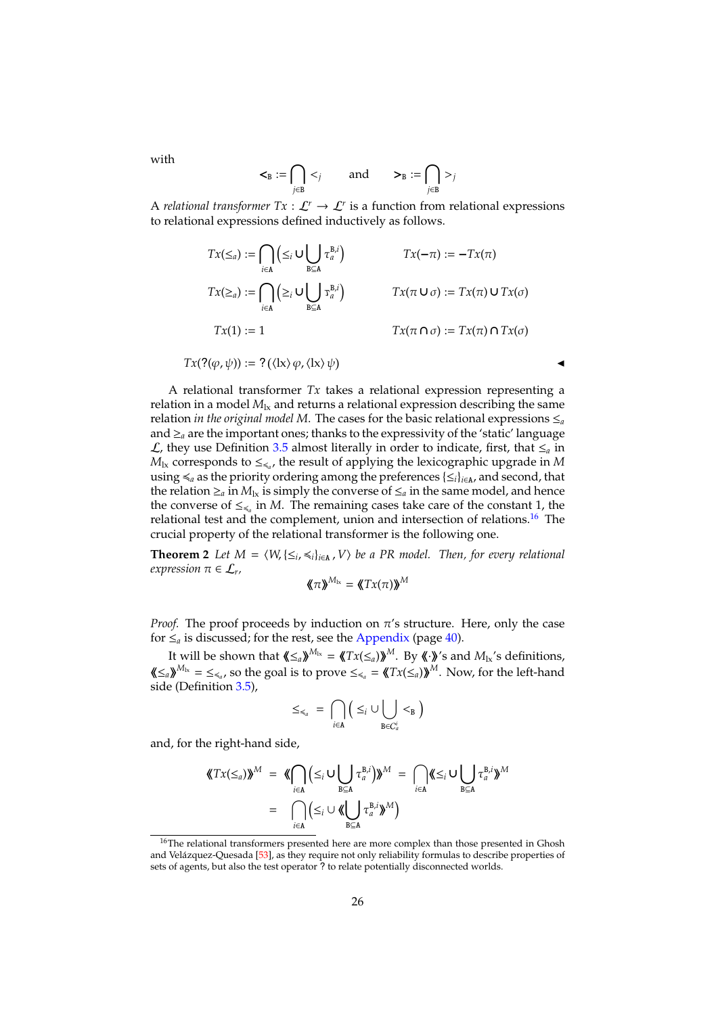$$
\mathbf{\leq}_B := \bigcap_{j \in B} \mathbf{\leq}_j \qquad \text{ and } \qquad \mathbf{\mathbf{\geq}}_B := \bigcap_{j \in B} \mathbf{\geq}_j
$$

A *relational transformer*  $Tx: \mathcal{L}^r \to \mathcal{L}^r$  is a function from relational expressions to relational expressions defined inductively as follows.

$$
Tx(\leq_a) := \bigcap_{i \in A} (\leq_i \cup \bigcup_{B \subseteq A} \tau_a^{B,i}) \qquad Tx(-\pi) := -Tx(\pi)
$$
  

$$
Tx(\geq_a) := \bigcap_{i \in A} (\geq_i \cup \bigcup_{B \subseteq A} \tau_a^{B,i}) \qquad Tx(\pi \cup \sigma) := Tx(\pi) \cup Tx(\sigma)
$$
  

$$
Tx(1) := 1 \qquad Tx(\pi \cap \sigma) := Tx(\pi) \cap Tx(\sigma)
$$

J

$$
Tx(?(\varphi,\psi)) := ?(\langle\mathrm{lx}\rangle\varphi,\langle\mathrm{lx}\rangle\psi)
$$

A relational transformer *Tx* takes a relational expression representing a relation in a model  $M_{1x}$  and returns a relational expression describing the same relation *in the original model M*. The cases for the basic relational expressions  $\leq_a$ and  $\geq_a$  are the important ones; thanks to the expressivity of the 'static' language *L*, they use Definition [3.5](#page-19-2) almost literally in order to indicate, first, that  $≤_a$  in  $M_{\text{lx}}$  corresponds to  $\leq_{\leq a}$ , the result of applying the lexicographic upgrade in *M* using  $\leq a$  as the priority ordering among the preferences  $\leq i\leq h_{\text{rel}}$ , and second, that the relation  $\geq_a$  in  $M_{1x}$  is simply the converse of  $\leq_a$  in the same model, and hence the converse of  $\leq_{\leq_{a}}$  in *M*. The remaining cases take care of the constant 1, the relational test and the complement, union and intersection of relations.<sup>[16](#page-25-0)</sup> The crucial property of the relational transformer is the following one.

<span id="page-25-1"></span>**Theorem 2** *Let*  $M = \langle W, \{ \leq_i, \leq_i \} \rangle_{i \in A}$ ,  $V \rangle$  *be a PR model. Then, for every relational*  $expression \tau \in \mathcal{L}_r$ 

$$
\langle\!\!\!\langle \pi \rangle\!\!\!\rangle^{M_{\rm lx}} = \langle\!\!\!\langle T x(\pi) \rangle\!\!\!\rangle^{M}
$$

*Proof.* The proof proceeds by induction on  $\pi$ 's structure. Here, only the case for  $\leq_a$  is discussed; for the rest, see the [Appendix](#page-39-2) (page [40\)](#page-39-2).

It will be shown that hh≤*a*ii*<sup>M</sup>*lx = hh*Tx*(≤*a*)ii*<sup>M</sup>*. By hh·ii's and *M*lx's definitions,  $\langle \! \langle \leq_{a} \rangle \! \rangle^{M_{\rm lx}} = \, \leq_{\preccurlyeq_{a}}$ , so the goal is to prove  $\leq_{\preccurlyeq_{a}}$  =  $\langle \! \langle Tx(\leq_{a}) \rangle \! \rangle^{M}$ . Now, for the left-hand side (Definition [3.5\)](#page-19-2),

$$
\leq_{\preccurlyeq_a} \ = \ \bigcap_{i \in A} \Big( \leq_i \cup \bigcup_{B \in C_a^i} \lt_B \Big)
$$

and, for the right-hand side,

$$
\langle \!\langle Tx(\leq_a) \rangle \!\rangle^M = \langle \!\langle \bigcap_{i \in A} \left( \leq_i \cup \bigcup_{B \subseteq A} \tau_a^{B,i} \right) \rangle \!\rangle^M = \bigcap_{i \in A} \langle \!\langle \leq_i \cup \bigcup_{B \subseteq A} \tau_a^{B,i} \rangle \!\rangle^M
$$

$$
= \bigcap_{i \in A} \left( \leq_i \cup \langle \bigcup_{B \subseteq A} \tau_a^{B,i} \rangle \!\rangle^M \right)
$$

<span id="page-25-2"></span>with

<span id="page-25-0"></span><sup>&</sup>lt;sup>16</sup>The relational transformers presented here are more complex than those presented in Ghosh and Velázquez-Quesada [\[53\]](#page-43-3), as they require not only reliability formulas to describe properties of sets of agents, but also the test operator? to relate potentially disconnected worlds.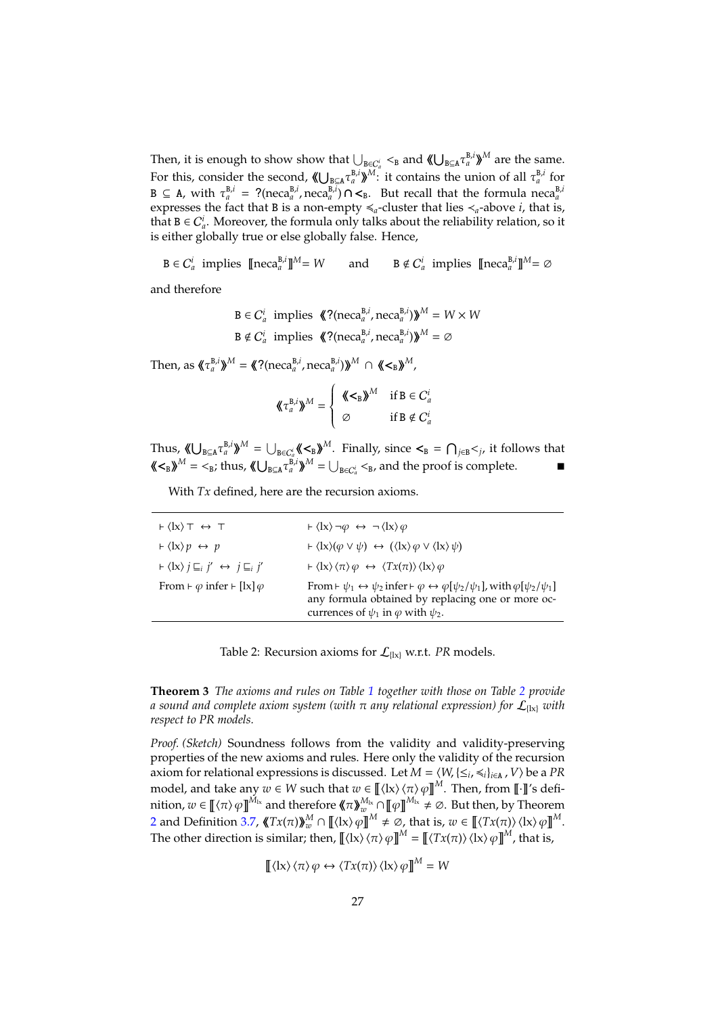Then, it is enough to show show that  $\bigcup_{B \in C_a^i} <_{B}$  and  $\langle \bigcup_{B \subseteq A} \tau_a^{B,i} \rangle$ <sup>M</sup> are the same. For this, consider the second,  $\langle \bigcup_{B \subseteq A} \tau_a^{B,i} \rangle^M$ : it contains the union of all  $\tau_a^{B,i}$  for  $B \subseteq A$ , with  $\tau_a^{B,i} = ?(\text{neca}_a^{B,i}, \text{neca}_a^{B,i}) \cap \langle B \rangle$ . But recall that the formula neca $a_a^{B,i}$ expresses the fact that B is a non-empty  $\leq_a$ -cluster that lies  $\leq_a$ -above *i*, that is, that  $B \in C_a^i$ . Moreover, the formula only talks about the reliability relation, so it is either globally true or else globally false. Hence,

 $B \in C_a^i$  implies  $[\text{neca}_a^{B,i}]\!]^M = W$  and  $B \notin C$  $\lim_{a}$  implies  $\left[\text{neca}_{a}^{\mathbf{B},i}\right]\right]^M = \emptyset$ 

and therefore

 $B \in C_a^i$  implies  $\langle \!\langle \mathcal{O} \rangle \rangle$ (neca $a_a^{B,i}$ , neca $a_a^{B,i}$ )))<sup>*M*</sup> = *W* × *W*  $B \notin C_a^i$  implies  $\langle \!\langle \mathcal{P}(\text{neca}_a^{B,i}, \text{neca}_a^{B,i}) \rangle \!\rangle^M = \emptyset$ 

Then, as  $\langle \langle \tau_a^{\mathbf{B},i} \rangle \rangle^M = \langle \langle \langle \langle \langle \langle \langle \rangle \rangle \rangle \rangle^M \rangle^M \cap \langle \langle \langle \langle \rangle \rangle \rangle^M \rangle^M$ 

$$
\langle \!\!\langle \tau_a^{B,i} \rangle\!\!\rangle^M = \begin{cases} \langle \!\!\langle \prec_B \rangle\!\!\rangle^M & \text{if } B \in C_a^i \\ \varnothing & \text{if } B \notin C_a^i \end{cases}
$$

Thus,  $\pi_{a}^{B,i}$   $\mathcal{F}_{a}^{B,i}$   $\mathcal{F}_{a}^{M}$  =  $\bigcup_{B \in C_{a}^{i}} \langle \mathbf{K}_{B} \rangle^{M}$ . Finally, since  $\mathbf{K}_{B} = \bigcap_{j \in B} \langle j, j \rangle$  it follows that  $(\mathbf{K}_{\mathbf{B}})^M = \langle \mathbf{B}^{\cdot} \rangle$ ; thus,  $(\mathbf{U}_{\mathbf{B} \subseteq \mathbf{A}} \tau_a^{\mathbf{B},i})^M = \bigcup_{\mathbf{B} \in C_a^i} \langle \mathbf{B}^{\cdot}, \mathbf{A} \rangle$  and the proof is complete.

With *Tx* defined, here are the recursion axioms.

| $\vdash$ $\langle$ $\downarrow$ $\chi$ $\rangle$ $\top$ $\leftrightarrow$ $\top$                                                            | $\vdash \langle \text{lx} \rangle \neg \varphi \leftrightarrow \neg \langle \text{lx} \rangle \varphi$                                                                                                                                               |
|---------------------------------------------------------------------------------------------------------------------------------------------|------------------------------------------------------------------------------------------------------------------------------------------------------------------------------------------------------------------------------------------------------|
| $\vdash \langle \mathbf{I} \mathbf{x} \rangle p \leftrightarrow p$                                                                          | $+ \langle x \rangle (\varphi \vee \psi) \leftrightarrow (\langle x \rangle \varphi \vee \langle x \rangle \psi)$                                                                                                                                    |
| $\vdash \langle \mathbf{l} \mathbf{x} \rangle \, \mathbf{i} \sqsubseteq_i \mathbf{j}' \leftrightarrow \mathbf{j} \sqsubseteq_i \mathbf{j}'$ | $+ \langle x \rangle \langle \pi \rangle \varphi \leftrightarrow \langle Tx(\pi) \rangle \langle x \rangle \varphi$                                                                                                                                  |
| From $\vdash \varphi$ infer $\vdash$ [lx] $\varphi$                                                                                         | From $\vdash \psi_1 \leftrightarrow \psi_2$ infer $\vdash \varphi \leftrightarrow \varphi[\psi_2/\psi_1]$ , with $\varphi[\psi_2/\psi_1]$<br>any formula obtained by replacing one or more oc-<br>currences of $\psi_1$ in $\varphi$ with $\psi_2$ . |

<span id="page-26-0"></span>Table 2: Recursion axioms for  $\mathcal{L}_{\{lx\}}$  w.r.t. *PR* models.

**Theorem 3** *The axioms and rules on Table [1](#page-12-0) together with those on Table [2](#page-26-0) provide a sound and complete axiom system (with* π *any relational expression) for* L{lx} *with respect to PR models.*

*Proof. (Sketch)* Soundness follows from the validity and validity-preserving properties of the new axioms and rules. Here only the validity of the recursion axiom for relational expressions is discussed. Let  $M = \langle W, {\{\leq_i, \leq_i\}}_{i \in A}, V \rangle$  be a *PR* model, and take any  $w \in W$  such that  $w \in \llbracket \langle \text{lx} \rangle \langle \pi \rangle \varphi \rrbracket^M$ . Then, from  $\llbracket \cdot \rrbracket'$ s definition,  $w\in \llbracket(\pi)\,\varphi\rrbracket^{M_{\mathrm{lx}}}$  and therefore  $\langle\!\!\!\langle \pi\rangle\!\!\rangle_{w}^{M_{\mathrm{lx}}}\cap\llbracket\!\!\!\langle \varphi\rrbracket^{M_{\mathrm{lx}}}\neq\varnothing.$  But then, by Theorem [2](#page-25-1) and Definition [3.7,](#page-23-1)  $\langle \! \! \langle Tx(\pi)\rangle \! \rangle_{w}^{M} \cap [\![\langle \text{lx}\rangle\, \varphi\!]^{M} \neq \varnothing$ , that is,  $w\in [\![\langle Tx(\pi)\rangle\, \langle \text{lx}\rangle\, \varphi\!]^{M}.$ The other direction is similar; then,  $\llbracket \langle \text{lx} \rangle \langle \pi \rangle \varphi \rrbracket^M = \llbracket \langle Tx(\pi) \rangle \langle \text{lx} \rangle \varphi \rrbracket^M$ , that is,

$$
\llbracket \langle \mathbf{lx} \rangle \langle \pi \rangle \varphi \leftrightarrow \langle Tx(\pi) \rangle \langle \mathbf{lx} \rangle \varphi \rrbracket^M = W
$$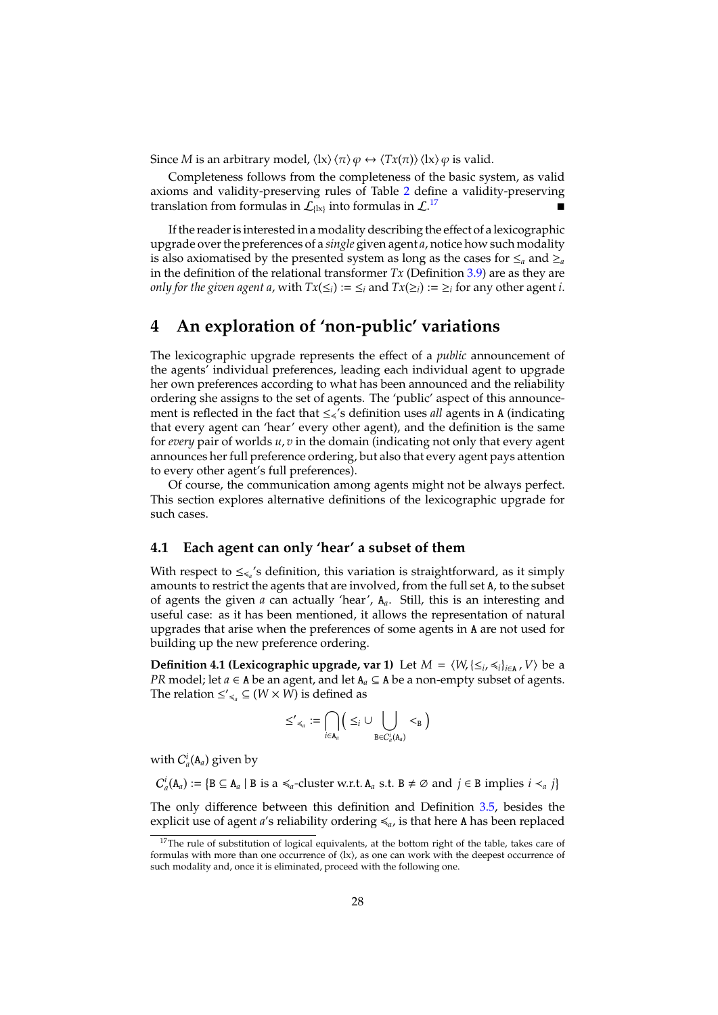Since *M* is an arbitrary model,  $\langle \vert x \rangle \langle \pi \rangle \varphi \leftrightarrow \langle Tx(\pi) \rangle \langle \vert x \rangle \varphi$  is valid.

Completeness follows from the completeness of the basic system, as valid axioms and validity-preserving rules of Table [2](#page-26-0) define a validity-preserving translation from formulas in  $\mathcal{L}_{\text{\tiny{[1x]}}}$  into formulas in  $\mathcal{L}$ . [17](#page-27-2)

If the reader is interested in a modality describing the effect of a lexicographic upgrade over the preferences of a *single* given agent *a*, notice how such modality is also axiomatised by the presented system as long as the cases for  $\leq_a$  and  $\geq_a$ in the definition of the relational transformer *Tx* (Definition [3.9\)](#page-24-0) are as they are *only for the given agent a,* with  $Tx(\leq_i) := \leq_i$  and  $Tx(\geq_i) := \geq_i$  for any other agent *i*.

# <span id="page-27-0"></span>**4 An exploration of 'non-public' variations**

The lexicographic upgrade represents the effect of a *public* announcement of the agents' individual preferences, leading each individual agent to upgrade her own preferences according to what has been announced and the reliability ordering she assigns to the set of agents. The 'public' aspect of this announcement is reflected in the fact that ≤4's definition uses *all* agents in A (indicating that every agent can 'hear' every other agent), and the definition is the same for *every* pair of worlds *u*, *v* in the domain (indicating not only that every agent announces her full preference ordering, but also that every agent pays attention to every other agent's full preferences).

Of course, the communication among agents might not be always perfect. This section explores alternative definitions of the lexicographic upgrade for such cases.

### <span id="page-27-1"></span>**4.1 Each agent can only 'hear' a subset of them**

With respect to ≤<sub>≤a</sub>'s definition, this variation is straightforward, as it simply amounts to restrict the agents that are involved, from the full set A, to the subset of agents the given *a* can actually 'hear', A*a*. Still, this is an interesting and useful case: as it has been mentioned, it allows the representation of natural upgrades that arise when the preferences of some agents in A are not used for building up the new preference ordering.

<span id="page-27-3"></span>**Definition 4.1 (Lexicographic upgrade, var 1)** Let  $M = \langle W, \{\leq_i, \leq_i\}_{i \in A}, V \rangle$  be a *PR* model; let *a* ∈ **A** be an agent, and let **A**<sub>*a*</sub> ⊆ **A** be a non-empty subset of agents. The relation  $\leq'_{\preccurlyeq_a} \subseteq (W \times W)$  is defined as

$$
\le'_{\preceq_a} := \bigcap_{i \in A_a} \Big( \le_i \cup \bigcup_{B \in C_a^i(A_a)} <_B \Big)
$$

with  $C_a^i$ (A<sub>*a*</sub>)</sub> given by

 $C_a^i(\mathbf{A}_a) := \{ \mathbf{B} \subseteq \mathbf{A}_a \mid \mathbf{B} \text{ is a } \leq_a \text{-cluster w.r.t. } \mathbf{A}_a \text{ s.t. } \mathbf{B} \neq \emptyset \text{ and } j \in \mathbf{B} \text{ implies } i \leq_a j \}$ 

The only difference between this definition and Definition [3.5,](#page-19-2) besides the explicit use of agent  $a$ 's reliability ordering  $\leq a$ , is that here A has been replaced

<span id="page-27-2"></span><sup>&</sup>lt;sup>17</sup>The rule of substitution of logical equivalents, at the bottom right of the table, takes care of formulas with more than one occurrence of  $\langle \text{lx} \rangle$ , as one can work with the deepest occurrence of such modality and, once it is eliminated, proceed with the following one.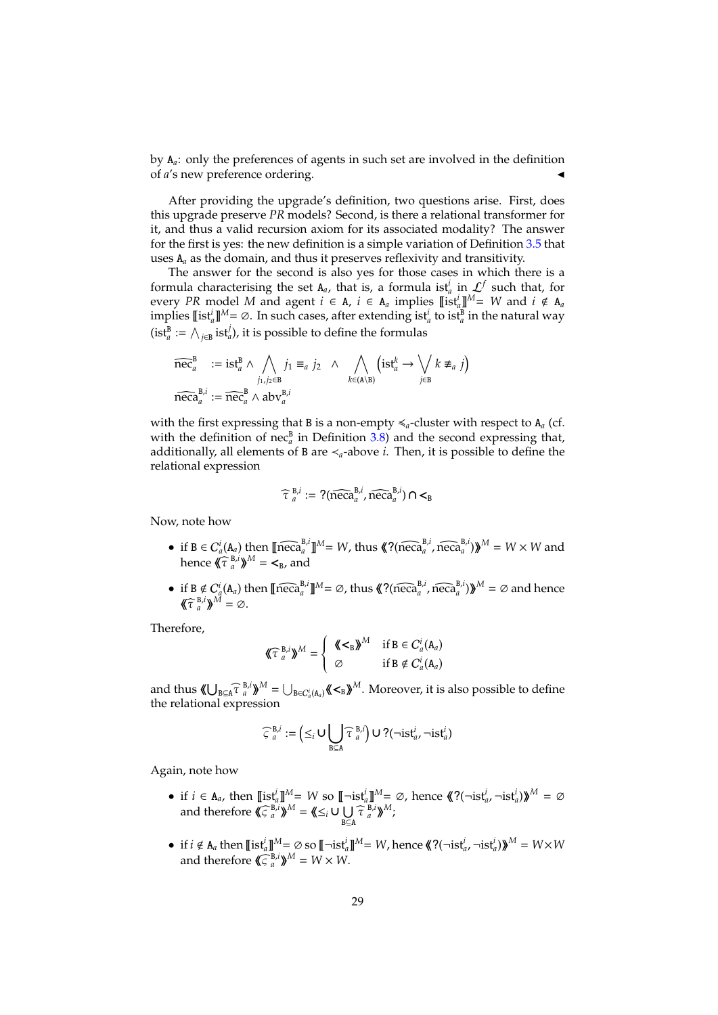by A*a*: only the preferences of agents in such set are involved in the definition of *a's* new preference ordering.

After providing the upgrade's definition, two questions arise. First, does this upgrade preserve *PR* models? Second, is there a relational transformer for it, and thus a valid recursion axiom for its associated modality? The answer for the first is yes: the new definition is a simple variation of Definition [3.5](#page-19-2) that uses A*<sup>a</sup>* as the domain, and thus it preserves reflexivity and transitivity.

The answer for the second is also yes for those cases in which there is a formula characterising the set  $A_a$ , that is, a formula ist<sup>*i*</sup> in  $\mathcal{L}^f$  such that, for every *PR* model *M* and agent  $i \in A$ ,  $i \in A$ <sub>*a*</sub> implies  $\llbracket \text{ist}_{a}^{\dagger} \rrbracket^{M} = W$  and  $i \notin A$ implies  $\llbracket \text{ist}_{a}^i \rrbracket^M = \varnothing$ . In such cases, after extending  $\text{ist}_{a}^i$  to  $\text{ist}_{a}^B$  in the natural way  $(\text{ist}_a^B := \bigwedge_{j \in B} \text{ist}_a^j)$ , it is possible to define the formulas

$$
\widehat{\text{nec}}_a^B := \text{ist}_a^B \wedge \bigwedge_{j_1, j_2 \in B} j_1 \equiv_a j_2 \wedge \bigwedge_{k \in (\mathbf{A} \setminus \mathbf{B})} (\text{ist}_a^k \to \bigvee_{j \in \mathbf{B}} k \neq_a j)
$$
  

$$
\widehat{\text{nec}}_a^{B,i} := \widehat{\text{nec}}_a^B \wedge \text{aby}_a^{B,i}
$$

with the first expressing that B is a non-empty  $\leq a$ -cluster with respect to  $A_a$  (cf. with the definition of nec<sup>B</sup><sub>*a*</sub> in Definition  $3.8$ ) and the second expressing that, additionally, all elements of B are ≺*a*-above *i*. Then, it is possible to define the relational expression

$$
\widehat{\tau}_{a}^{\mathbf{B},i} := ?(\widehat{\text{neca}}_{a}^{\mathbf{B},i}, \widehat{\text{neca}}_{a}^{\mathbf{B},i}) \cap <_{\mathbf{B}}
$$

Now, note how

- if  $B \in C_a^i(A_a)$  then  $[\widehat{\text{meca}}_a^{B,i}]^M = W$ , thus  $\langle (A^{\widehat{\text{meca}}_a^{B,i}}, \widehat{\text{meca}}_a^{B,i}) \rangle^M = W \times W$  and hence  $\left(\widehat{\tau}_{a}^{\mathbf{B},i}\right)^{M}=\boldsymbol{\le}_{\mathbf{B}}$ , and
- if  $B \notin C_a^i(A_a)$  then  $[\widehat{\text{preca}}_a^{B,i}]^M = \emptyset$ , thus  $\langle (\widehat{\text{preca}}_a^{B,i}, \widehat{\text{preca}}_a^{B,i}) \rangle^M = \emptyset$  and hence  $\left\langle \widehat{\tau}_{a}^{\mathbf{B},i}\right\rangle ^{M}=\varnothing.$

Therefore,

$$
\langle \widehat{\tau}_a^{B,i} \rangle \!\!\!\!\rangle^M = \begin{cases} \langle \!\!\!\langle \prec_B \rangle \!\!\!\rangle^M & \text{if } B \in C_a^i(A_a) \\ \varnothing & \text{if } B \notin C_a^i(A_a) \end{cases}
$$

and thus  $\langle \bigcup_{B \in A} \tilde{\mathcal{T}}_a^{B,i} \rangle M = \bigcup_{B \in C_a^i(A_a)} \langle \bigotimes_{B} \rangle M$ . Moreover, it is also possible to define the relational expression

$$
\widehat{\varsigma}_a^{\mathbf{B},i} := \left(\leq_i \cup \bigcup_{\mathbf{B}\subseteq \mathbf{A}} \widehat{\tau}_a^{\mathbf{B},i}\right) \cup ?(\neg \mathrm{ist}_{a'}^i, \neg \mathrm{ist}_{a}^i)
$$

Again, note how

- if  $i \in A_a$ , then  $\llbracket \text{ist}_a^i \rrbracket^M = W$  so  $\llbracket -\text{ist}_a^i \rrbracket^M = \emptyset$ , hence  $\langle \mathcal{R}(\neg \text{ist}_a^i, \neg \text{ist}_a^i) \rangle^M = \emptyset$ and therefore  $\langle \widehat{\zeta}_a^{B,i} \rangle^M = \langle \underline{\zeta}_i \cup \bigcup_{B \subseteq I} \zeta_a$  $\bigcup_{B \subseteq A} \widehat{\tau}^{B,i}_a \}_{a}^{M}$
- if  $i \notin A_a$  then  $[\![\mathbf{list}_a^i]\!]^M = \emptyset$  so  $[\![\neg \mathbf{ist}_a^i]\!]^M = W$ , hence  $(\!(\neg \mathbf{ist}_a^i, \neg \mathbf{ist}_a^i)\!)^M = W \times W$ and therefore  $\langle \widehat{\zeta}_a^{B,i} \rangle\!\!\!\rangle^M = W \times W$ .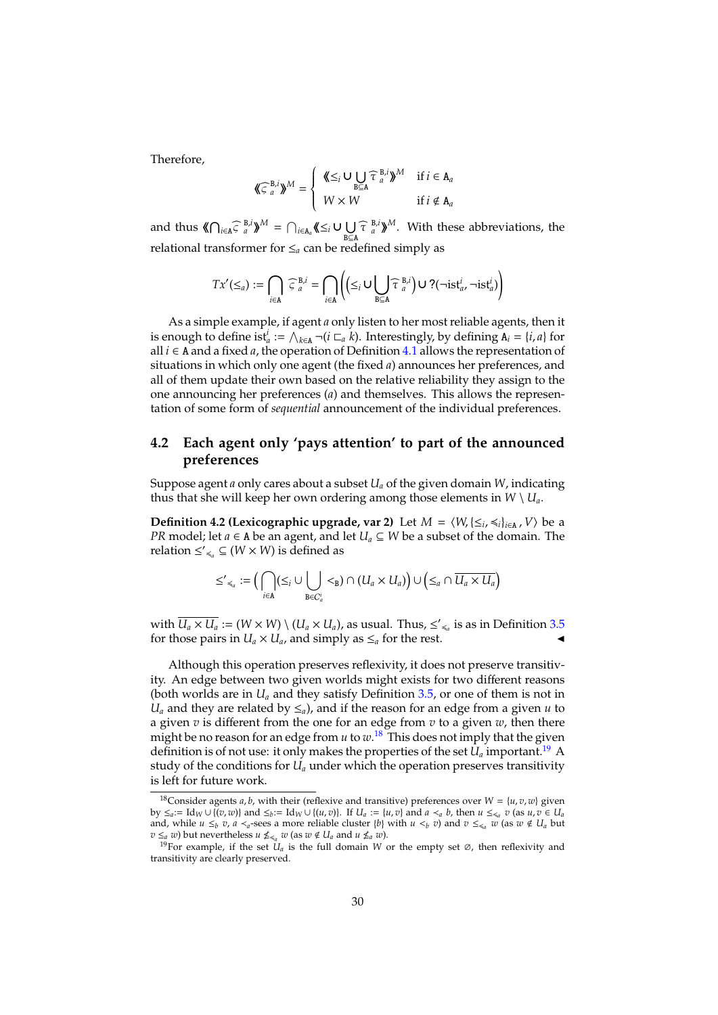Therefore,

$$
\langle \!\langle \widehat{\zeta}_a^{\mathbf{B},i} \rangle\!\rangle^M = \begin{cases} \langle \!\langle \leq_i \cup \bigcup_{\mathbf{B} \subseteq \mathbf{A}} \widehat{\tau}_a^{\mathbf{B},i} \rangle\!\rangle^M & \text{if } i \in \mathbf{A}_a \\ W \times W & \text{if } i \notin \mathbf{A}_a \end{cases}
$$

and thus  $\mathcal{M} \bigcap_{i \in A} \widehat{\varsigma}_a^{-B,i} \mathcal{Y}^M = \bigcap_{i \in A_a} \mathcal{K} \leq_i \cup \bigcup_{B \subseteq B}$  $\bigcup_{B \subseteq A} \widehat{\tau}^{B,i}_{a} \mathcal{V}^{M}$ . With these abbreviations, the relational transformer for  $\leq_a$  can be redefined simply as

$$
Tx'(\leq_a) := \bigcap_{i \in A} \widehat{\varsigma}_a^{B,i} = \bigcap_{i \in A} \left( \left( \leq_i \cup \bigcup_{B \subseteq A} \widehat{\tau}_a^{B,i} \right) \cup ?(\neg \text{ist}_{a'}^i, \neg \text{ist}_{a}^i) \right)
$$

As a simple example, if agent *a* only listen to her most reliable agents, then it is enough to define  $\text{is}_{a}^{i} := \bigwedge_{k \in A} \neg(i \sqsubset_{a} k)$ . Interestingly, by defining  $A_{i} = \{i, a\}$  for all *i* ∈ A and a fixed *a*, the operation of Definition [4.1](#page-27-3) allows the representation of situations in which only one agent (the fixed *a*) announces her preferences, and all of them update their own based on the relative reliability they assign to the one announcing her preferences (*a*) and themselves. This allows the representation of some form of *sequential* announcement of the individual preferences.

# **4.2 Each agent only 'pays attention' to part of the announced preferences**

Suppose agent *a* only cares about a subset *U<sup>a</sup>* of the given domain *W*, indicating thus that she will keep her own ordering among those elements in  $W \setminus U_a$ .

<span id="page-29-2"></span>**Definition 4.2 (Lexicographic upgrade, var 2)** Let  $M = \langle W, \{\leq_i, \leq_i\}_{i \in A}, V \rangle$  be a *PR* model; let *a* ∈ A be an agent, and let *U<sup>a</sup>* ⊆ *W* be a subset of the domain. The relation  $\le'_{\preccurlyeq_a} \subseteq (W \times W)$  is defined as

$$
\leq'_{\preccurlyeq_a} := \Big(\bigcap_{i \in A} (\leq_i \cup \bigcup_{B \in C_a^i} \lt_b) \cap (U_a \times U_a)\Big) \cup \Big(\leq_a \cap \overline{U_a \times U_a}\Big)
$$

with  $\overline{U_a\times U_a}:=(W\times W)\setminus (U_a\times U_a)$ , as usual. Thus,  $\leq'_{\preccurlyeq_a}$  is as in Definition [3.5](#page-19-2) for those pairs in  $U_a \times U_a$ , and simply as  $\leq_a$  for the rest.

Although this operation preserves reflexivity, it does not preserve transitivity. An edge between two given worlds might exists for two different reasons (both worlds are in *U<sup>a</sup>* and they satisfy Definition [3.5,](#page-19-2) or one of them is not in *U<sub>a</sub>* and they are related by  $\leq_a$ ), and if the reason for an edge from a given *u* to a given *v* is different from the one for an edge from *v* to a given *w*, then there might be no reason for an edge from *u* to *w*. [18](#page-29-0) This does not imply that the given definition is of not use: it only makes the properties of the set  $U_a$  important.<sup>[19](#page-29-1)</sup> A study of the conditions for  $U_a$  under which the operation preserves transitivity is left for future work.

<span id="page-29-0"></span><sup>&</sup>lt;sup>18</sup>Consider agents *a*, *b*, with their (reflexive and transitive) preferences over  $W = {u, v, w}$  given by  $\leq_a := \text{Id}_W \cup \{(v, w)\}\$ and  $\leq_b := \text{Id}_W \cup \{(u, v)\}\$ . If  $U_a := \{u, v\}$  and  $a \prec_a b$ , then  $u \leq_{\leq_a} v$  (as  $u, v \in U_a$ and, while  $u \leq_b v$ ,  $a \leq_a$ -sees a more reliable cluster  $\{b\}$  with  $u \leq_b v$ ) and  $v \leq_{\leq_a} w$  (as  $w \notin U_a$  but  $v \leq_a w$ ) but nevertheless  $u \nleq_{a} w$  (as  $w \notin U_a$  and  $u \nleq_a w$ ).

<span id="page-29-1"></span><sup>&</sup>lt;sup>19</sup>For example, if the set  $\hat{U}_a$  is the full domain *W* or the empty set  $\varnothing$ , then reflexivity and transitivity are clearly preserved.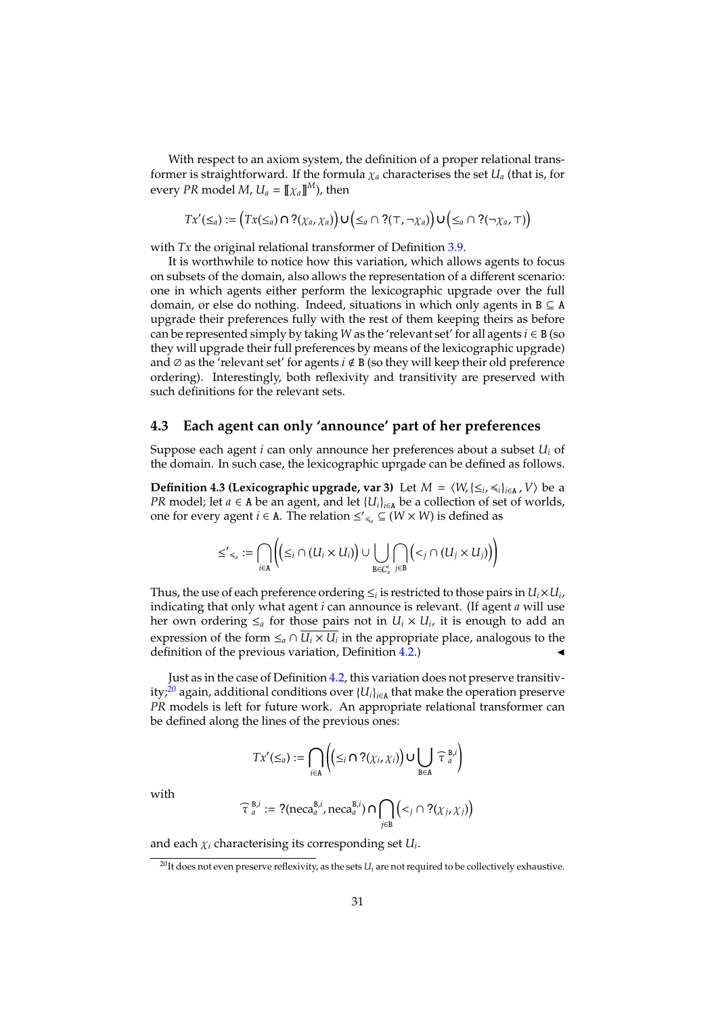With respect to an axiom system, the definition of a proper relational transformer is straightforward. If the formula  $\chi_a$  characterises the set  $U_a$  (that is, for  $\mathbf{P}(\mathbf{P}(\mathbf{P}) = \mathbf{P}(\mathbf{P}(\mathbf{P})) = \mathbf{P}(\mathbf{P}(\mathbf{P}(\mathbf{P}(\mathbf{P}(\mathbf{P}(\mathbf{P}(\mathbf{P}(\mathbf{P}(\mathbf{P}(\mathbf{P}(\mathbf{P}(\mathbf{P}(\mathbf{P}(\mathbf{P}(\mathbf{P}(\mathbf{P}(\mathbf{P}(\mathbf{P}(\mathbf{P}(\mathbf{P}(\mathbf{P}(\mathbf{P}(\mathbf{P}(\mathbf{P}(\mathbf{P}(\mathbf{P}(\mathbf{P}(\mathbf{P}(\mathbf{P}(\math$ 

$$
Tx'(\leq_a) := (Tx(\leq_a) \cap ?(\chi_a, \chi_a)) \cup (\leq_a \cap ?(\top, \neg \chi_a)) \cup (\leq_a \cap ?(\neg \chi_a, \top))
$$

with *Tx* the original relational transformer of Definition [3.9.](#page-24-0)

It is worthwhile to notice how this variation, which allows agents to focus on subsets of the domain, also allows the representation of a different scenario: one in which agents either perform the lexicographic upgrade over the full domain, or else do nothing. Indeed, situations in which only agents in B ⊆ A upgrade their preferences fully with the rest of them keeping theirs as before can be represented simply by taking *W* as the 'relevant set' for all agents *i* ∈ B (so they will upgrade their full preferences by means of the lexicographic upgrade) and ∅ as the 'relevant set' for agents *i* < B (so they will keep their old preference ordering). Interestingly, both reflexivity and transitivity are preserved with such definitions for the relevant sets.

### **4.3 Each agent can only 'announce' part of her preferences**

Suppose each agent *i* can only announce her preferences about a subset *U<sup>i</sup>* of the domain. In such case, the lexicographic uprgade can be defined as follows.

**Definition 4.3 (Lexicographic upgrade, var 3)** Let  $M = \langle W, \{\leq_i, \leq_i\}_{i \in A}, V \rangle$  be a *PR* model; let *a* ∈ A be an agent, and let  ${U_i}_{i \in A}$  be a collection of set of worlds, one for every agent *i* ∈ **A**. The relation  $\le'_{\le a}$  ⊆ ( $W \times W$ ) is defined as

$$
\leq'_{\preccurlyeq_a} := \bigcap_{i \in A} \Biggl( \biggl( \leq_i \cap (U_i \times U_i) \biggr) \cup \bigcup_{B \in C_a^i} \bigcap_{j \in B} \Bigl( <_j \cap (U_j \times U_j) \Bigr) \Biggr)
$$

Thus, the use of each preference ordering  $\leq_i$  is restricted to those pairs in  $U_i \times U_i$ , indicating that only what agent *i* can announce is relevant. (If agent *a* will use her own ordering  $\leq_a$  for those pairs not in  $U_i \times U_i$ , it is enough to add an expression of the form  $\leq_a \cap \overline{U_i \times U_i}$  in the appropriate place, analogous to the definition of the previous variation, Definition [4.2.](#page-29-2))

Just as in the case of Definition [4.2,](#page-29-2) this variation does not preserve transitiv-ity;<sup>[20](#page-30-0)</sup> again, additional conditions over {U<sub>*i*</sub>}<sub>*i*∈A</sub> that make the operation preserve *PR* models is left for future work. An appropriate relational transformer can be defined along the lines of the previous ones:

$$
Tx'(\leq_a) := \bigcap_{i \in A} \left( \left( \leq_i \cap ?(\chi_i, \chi_i) \right) \cup \bigcup_{B \in A} \widehat{\tau}_a^{B,i} \right)
$$

with

$$
\widehat{\tau}_{a}^{\mathtt{B},i}:=?(\mathrm{neca}_{a}^{\mathtt{B},i},\mathrm{neca}_{a}^{\mathtt{B},i})\cap\bigcap_{j\in\mathtt{B}}\left(\lt_{j}\cap ?(\chi_{j},\chi_{j})\right)
$$

and each χ*<sup>i</sup>* characterising its corresponding set *U<sup>i</sup>* .

<span id="page-30-0"></span><sup>20</sup>It does not even preserve reflexivity, as the sets *U<sup>i</sup>* are not required to be collectively exhaustive.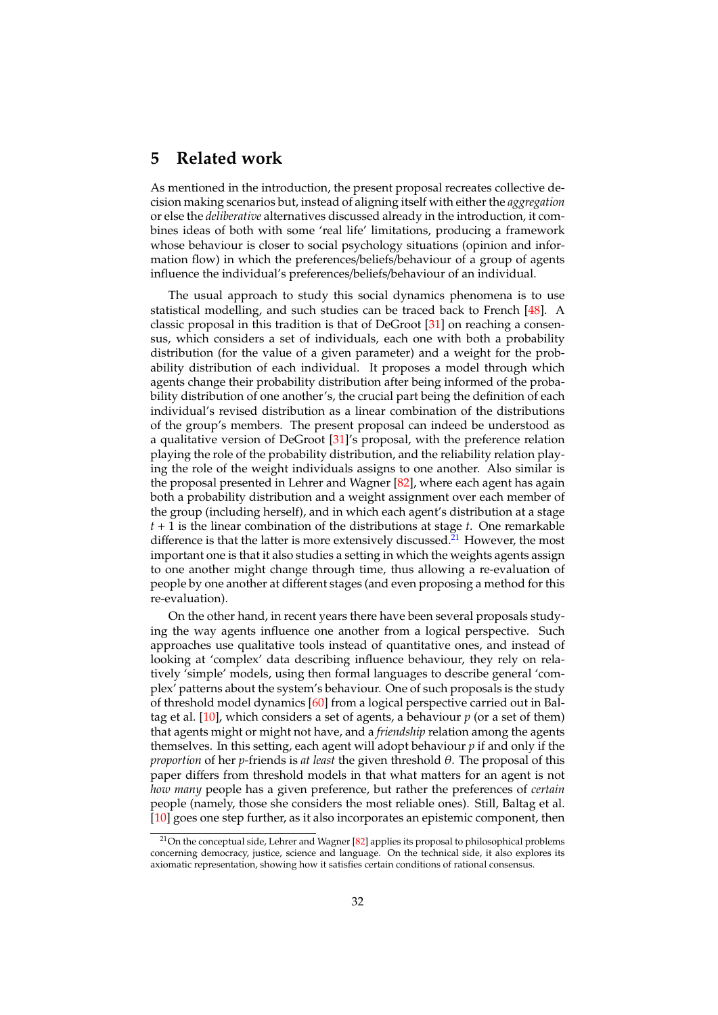# <span id="page-31-2"></span><span id="page-31-0"></span>**5 Related work**

As mentioned in the introduction, the present proposal recreates collective decision making scenarios but, instead of aligning itself with either the *aggregation* or else the *deliberative* alternatives discussed already in the introduction, it combines ideas of both with some 'real life' limitations, producing a framework whose behaviour is closer to social psychology situations (opinion and information flow) in which the preferences/beliefs/behaviour of a group of agents influence the individual's preferences/beliefs/behaviour of an individual.

The usual approach to study this social dynamics phenomena is to use statistical modelling, and such studies can be traced back to French [\[48\]](#page-43-11). A classic proposal in this tradition is that of DeGroot [\[31\]](#page-42-7) on reaching a consensus, which considers a set of individuals, each one with both a probability distribution (for the value of a given parameter) and a weight for the probability distribution of each individual. It proposes a model through which agents change their probability distribution after being informed of the probability distribution of one another's, the crucial part being the definition of each individual's revised distribution as a linear combination of the distributions of the group's members. The present proposal can indeed be understood as a qualitative version of DeGroot [\[31\]](#page-42-7)'s proposal, with the preference relation playing the role of the probability distribution, and the reliability relation playing the role of the weight individuals assigns to one another. Also similar is the proposal presented in Lehrer and Wagner [\[82\]](#page-45-10), where each agent has again both a probability distribution and a weight assignment over each member of the group (including herself), and in which each agent's distribution at a stage *t* + 1 is the linear combination of the distributions at stage *t*. One remarkable difference is that the latter is more extensively discussed. $^{21}$  $^{21}$  $^{21}$  However, the most important one is that it also studies a setting in which the weights agents assign to one another might change through time, thus allowing a re-evaluation of people by one another at different stages (and even proposing a method for this re-evaluation).

On the other hand, in recent years there have been several proposals studying the way agents influence one another from a logical perspective. Such approaches use qualitative tools instead of quantitative ones, and instead of looking at 'complex' data describing influence behaviour, they rely on relatively 'simple' models, using then formal languages to describe general 'complex' patterns about the system's behaviour. One of such proposals is the study of threshold model dynamics [\[60\]](#page-44-11) from a logical perspective carried out in Baltag et al.  $[10]$ , which considers a set of agents, a behaviour  $p$  (or a set of them) that agents might or might not have, and a *friendship* relation among the agents themselves. In this setting, each agent will adopt behaviour *p* if and only if the *proportion* of her *p*-friends is *at least* the given threshold θ. The proposal of this paper differs from threshold models in that what matters for an agent is not *how many* people has a given preference, but rather the preferences of *certain* people (namely, those she considers the most reliable ones). Still, Baltag et al. [\[10\]](#page-40-6) goes one step further, as it also incorporates an epistemic component, then

<span id="page-31-1"></span> $21$ On the conceptual side, Lehrer and Wagner [\[82\]](#page-45-10) applies its proposal to philosophical problems concerning democracy, justice, science and language. On the technical side, it also explores its axiomatic representation, showing how it satisfies certain conditions of rational consensus.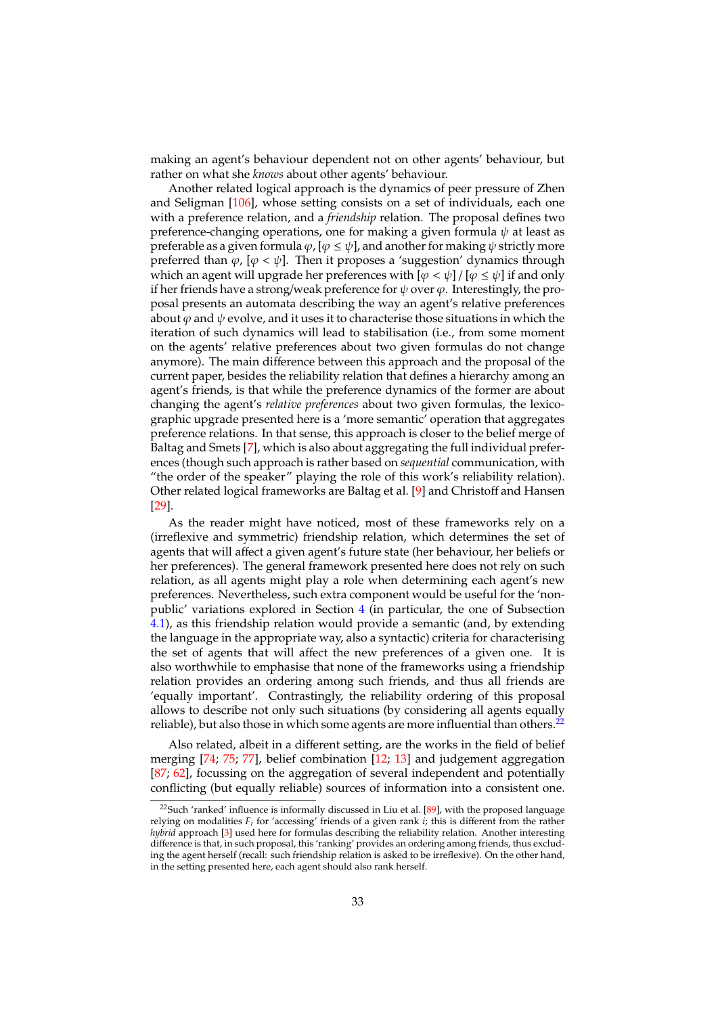<span id="page-32-1"></span>making an agent's behaviour dependent not on other agents' behaviour, but rather on what she *knows* about other agents' behaviour.

Another related logical approach is the dynamics of peer pressure of Zhen and Seligman [\[106\]](#page-47-9), whose setting consists on a set of individuals, each one with a preference relation, and a *friendship* relation. The proposal defines two preference-changing operations, one for making a given formula  $\psi$  at least as preferable as a given formula  $\varphi$ ,  $[\varphi \leq \psi]$ , and another for making  $\psi$  strictly more preferred than  $\varphi$ , [ $\varphi$  <  $\psi$ ]. Then it proposes a 'suggestion' dynamics through which an agent will upgrade her preferences with  $\left[\varphi < \psi\right] / \left[\varphi \leq \psi\right]$  if and only if her friends have a strong/weak preference for  $\psi$  over  $\varphi$ . Interestingly, the proposal presents an automata describing the way an agent's relative preferences about  $\varphi$  and  $\psi$  evolve, and it uses it to characterise those situations in which the iteration of such dynamics will lead to stabilisation (i.e., from some moment on the agents' relative preferences about two given formulas do not change anymore). The main difference between this approach and the proposal of the current paper, besides the reliability relation that defines a hierarchy among an agent's friends, is that while the preference dynamics of the former are about changing the agent's *relative preferences* about two given formulas, the lexicographic upgrade presented here is a 'more semantic' operation that aggregates preference relations. In that sense, this approach is closer to the belief merge of Baltag and Smets [\[7\]](#page-40-7), which is also about aggregating the full individual preferences (though such approach is rather based on *sequential* communication, with "the order of the speaker" playing the role of this work's reliability relation). Other related logical frameworks are Baltag et al. [\[9\]](#page-40-8) and Christoff and Hansen [\[29\]](#page-42-13).

As the reader might have noticed, most of these frameworks rely on a (irreflexive and symmetric) friendship relation, which determines the set of agents that will affect a given agent's future state (her behaviour, her beliefs or her preferences). The general framework presented here does not rely on such relation, as all agents might play a role when determining each agent's new preferences. Nevertheless, such extra component would be useful for the 'nonpublic' variations explored in Section [4](#page-27-0) (in particular, the one of Subsection [4.1\)](#page-27-1), as this friendship relation would provide a semantic (and, by extending the language in the appropriate way, also a syntactic) criteria for characterising the set of agents that will affect the new preferences of a given one. It is also worthwhile to emphasise that none of the frameworks using a friendship relation provides an ordering among such friends, and thus all friends are 'equally important'. Contrastingly, the reliability ordering of this proposal allows to describe not only such situations (by considering all agents equally reliable), but also those in which some agents are more influential than others.<sup>[22](#page-32-0)</sup>

Also related, albeit in a different setting, are the works in the field of belief merging [\[74;](#page-45-11) [75;](#page-45-0) [77\]](#page-45-2), belief combination [\[12;](#page-40-9) [13\]](#page-40-10) and judgement aggregation [\[87;](#page-46-11) [62\]](#page-44-12), focussing on the aggregation of several independent and potentially conflicting (but equally reliable) sources of information into a consistent one.

<span id="page-32-0"></span> $22$ Such 'ranked' influence is informally discussed in Liu et al. [\[89\]](#page-46-12), with the proposed language relying on modalities *F<sup>i</sup>* for 'accessing' friends of a given rank *i*; this is different from the rather *hybrid* approach [\[3\]](#page-40-11) used here for formulas describing the reliability relation. Another interesting difference is that, in such proposal, this 'ranking' provides an ordering among friends, thus excluding the agent herself (recall: such friendship relation is asked to be irreflexive). On the other hand, in the setting presented here, each agent should also rank herself.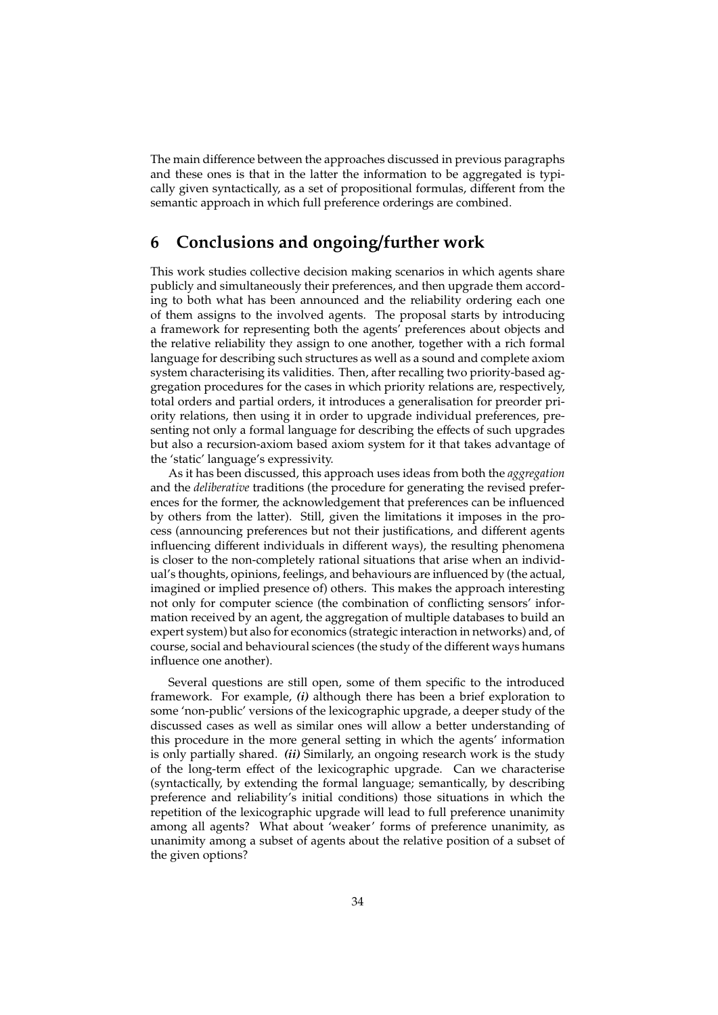The main difference between the approaches discussed in previous paragraphs and these ones is that in the latter the information to be aggregated is typically given syntactically, as a set of propositional formulas, different from the semantic approach in which full preference orderings are combined.

# <span id="page-33-0"></span>**6 Conclusions and ongoing**/**further work**

This work studies collective decision making scenarios in which agents share publicly and simultaneously their preferences, and then upgrade them according to both what has been announced and the reliability ordering each one of them assigns to the involved agents. The proposal starts by introducing a framework for representing both the agents' preferences about objects and the relative reliability they assign to one another, together with a rich formal language for describing such structures as well as a sound and complete axiom system characterising its validities. Then, after recalling two priority-based aggregation procedures for the cases in which priority relations are, respectively, total orders and partial orders, it introduces a generalisation for preorder priority relations, then using it in order to upgrade individual preferences, presenting not only a formal language for describing the effects of such upgrades but also a recursion-axiom based axiom system for it that takes advantage of the 'static' language's expressivity.

As it has been discussed, this approach uses ideas from both the *aggregation* and the *deliberative* traditions (the procedure for generating the revised preferences for the former, the acknowledgement that preferences can be influenced by others from the latter). Still, given the limitations it imposes in the process (announcing preferences but not their justifications, and different agents influencing different individuals in different ways), the resulting phenomena is closer to the non-completely rational situations that arise when an individual's thoughts, opinions, feelings, and behaviours are influenced by (the actual, imagined or implied presence of) others. This makes the approach interesting not only for computer science (the combination of conflicting sensors' information received by an agent, the aggregation of multiple databases to build an expert system) but also for economics (strategic interaction in networks) and, of course, social and behavioural sciences (the study of the different ways humans influence one another).

Several questions are still open, some of them specific to the introduced framework. For example, *(i)* although there has been a brief exploration to some 'non-public' versions of the lexicographic upgrade, a deeper study of the discussed cases as well as similar ones will allow a better understanding of this procedure in the more general setting in which the agents' information is only partially shared. *(ii)* Similarly, an ongoing research work is the study of the long-term effect of the lexicographic upgrade. Can we characterise (syntactically, by extending the formal language; semantically, by describing preference and reliability's initial conditions) those situations in which the repetition of the lexicographic upgrade will lead to full preference unanimity among all agents? What about 'weaker' forms of preference unanimity, as unanimity among a subset of agents about the relative position of a subset of the given options?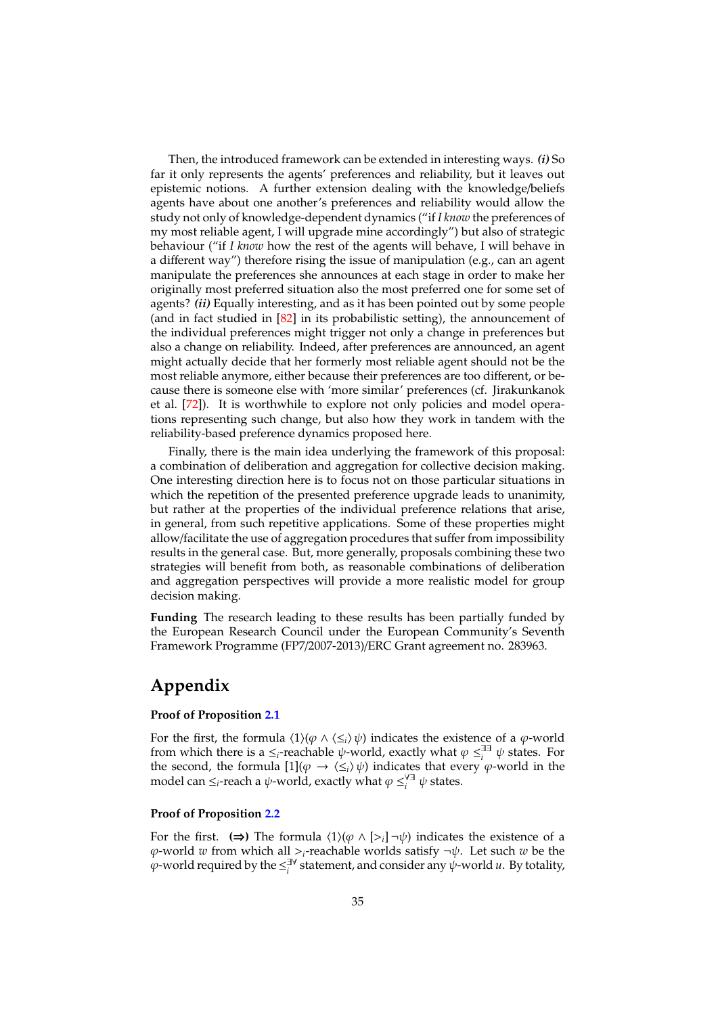<span id="page-34-3"></span>Then, the introduced framework can be extended in interesting ways. *(i)* So far it only represents the agents' preferences and reliability, but it leaves out epistemic notions. A further extension dealing with the knowledge/beliefs agents have about one another's preferences and reliability would allow the study not only of knowledge-dependent dynamics ("if *I know* the preferences of my most reliable agent, I will upgrade mine accordingly") but also of strategic behaviour ("if *I know* how the rest of the agents will behave, I will behave in a different way") therefore rising the issue of manipulation (e.g., can an agent manipulate the preferences she announces at each stage in order to make her originally most preferred situation also the most preferred one for some set of agents? *(ii)* Equally interesting, and as it has been pointed out by some people (and in fact studied in [\[82\]](#page-45-10) in its probabilistic setting), the announcement of the individual preferences might trigger not only a change in preferences but also a change on reliability. Indeed, after preferences are announced, an agent might actually decide that her formerly most reliable agent should not be the most reliable anymore, either because their preferences are too different, or because there is someone else with 'more similar' preferences (cf. Jirakunkanok et al. [\[72\]](#page-45-12)). It is worthwhile to explore not only policies and model operations representing such change, but also how they work in tandem with the reliability-based preference dynamics proposed here.

Finally, there is the main idea underlying the framework of this proposal: a combination of deliberation and aggregation for collective decision making. One interesting direction here is to focus not on those particular situations in which the repetition of the presented preference upgrade leads to unanimity, but rather at the properties of the individual preference relations that arise, in general, from such repetitive applications. Some of these properties might allow/facilitate the use of aggregation procedures that suffer from impossibility results in the general case. But, more generally, proposals combining these two strategies will benefit from both, as reasonable combinations of deliberation and aggregation perspectives will provide a more realistic model for group decision making.

**Funding** The research leading to these results has been partially funded by the European Research Council under the European Community's Seventh Framework Programme (FP7/2007-2013)/ERC Grant agreement no. 283963.

# <span id="page-34-0"></span>**Appendix**

### <span id="page-34-1"></span>**Proof of Proposition [2.1](#page-11-0)**

For the first, the formula  $\langle 1 \rangle(\varphi \wedge \langle \leq i \rangle \psi)$  indicates the existence of a  $\varphi$ -world from which there is a  $\leq_i$ -reachable  $\psi$ -world, exactly what  $\varphi \leq_i^{\exists \exists}$  $\psi$  states. For the second, the formula  $[1](\varphi \rightarrow \langle \leq_i \rangle \psi)$  indicates that every  $\varphi$ -world in the model can  $\leq_i$ -reach a  $\psi$ -world, exactly what  $\varphi \leq_i^{\forall \exists}$  $\int_{i}^{\forall \exists} \psi$  states.

### <span id="page-34-2"></span>**Proof of Proposition [2.2](#page-11-1)**

For the first.  $(\Rightarrow)$  The formula  $\langle 1 \rangle (\varphi \wedge [>i] \neg \psi)$  indicates the existence of a  $\varphi$ -world *w* from which all >*i*-reachable worlds satisfy  $\neg \psi$ . Let such *w* be the  $\varphi$ -world required by the  $\leq^{\exists \forall}_{i}$  $\frac{d}{dt}$  statement, and consider any  $\psi$ -world *u*. By totality,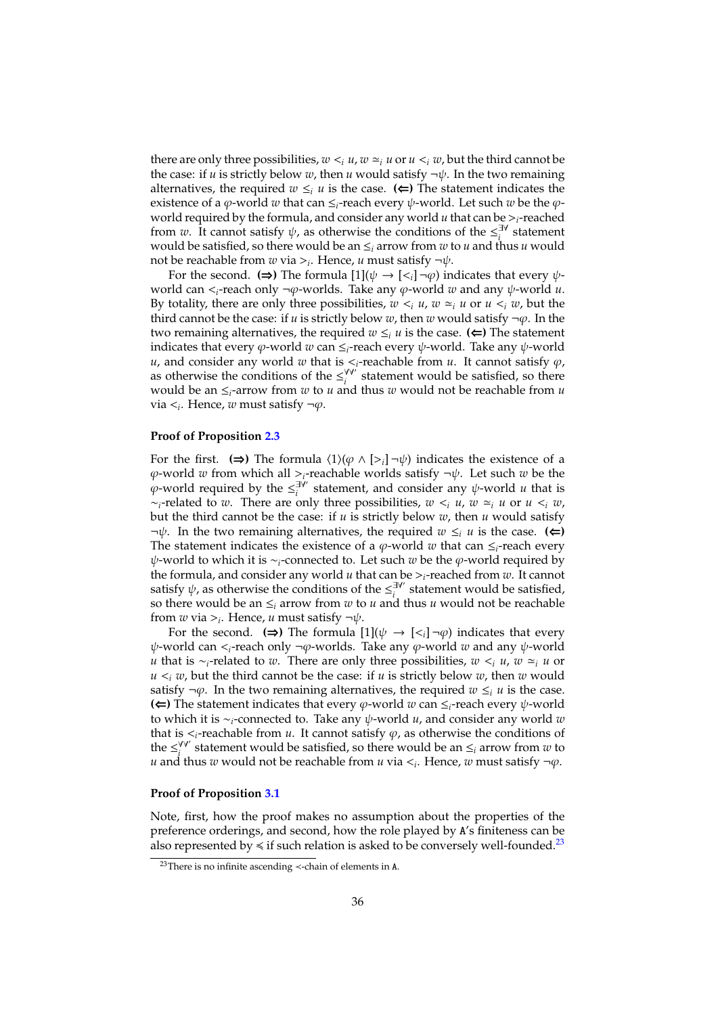there are only three possibilities,  $w *i*$   $u, w \approx i$  *u* or  $u *i*$   $w$ , but the third cannot be the case: if *u* is strictly below *w*, then *u* would satisfy  $\neg \psi$ . In the two remaining alternatives, the required  $w \leq u$  is the case.  $(\Leftarrow)$  The statement indicates the existence of a  $\varphi$ -world *w* that can  $\leq_i$ -reach every  $\psi$ -world. Let such *w* be the  $\varphi$ world required by the formula, and consider any world *u* that can be >*i*-reached from *w*. It cannot satisfy  $\psi$ , as otherwise the conditions of the  $\leq_i^{\exists \forall}$  $\frac{d}{i}^{\text{H}}$  statement would be satisfied, so there would be an ≤*<sup>i</sup>* arrow from *w* to *u* and thus *u* would not be reachable from *w* via >*<sup>i</sup>* . Hence, *u* must satisfy ¬ψ.

For the second.  $(\Rightarrow)$  The formula  $[1](\psi \rightarrow [\langle \cdot, \cdot \rangle] \rightarrow \varphi)$  indicates that every  $\psi$ world can  $\lt_{i}$ -reach only  $\neg \varphi$ -worlds. Take any  $\varphi$ -world *w* and any  $\psi$ -world *u*. By totality, there are only three possibilities,  $w \leq_i u$ ,  $w \approx_i u$  or  $u \leq_i w$ , but the third cannot be the case: if *u* is strictly below *w*, then *w* would satisfy  $\neg \varphi$ . In the two remaining alternatives, the required  $w \leq i$  *u* is the case. ( $\Leftarrow$ ) The statement indicates that every  $\varphi$ -world  $w$  can  $\leq_i$ -reach every  $\psi$ -world. Take any  $\psi$ -world *u*, and consider any world *w* that is  $\lt_i$ -reachable from *u*. It cannot satisfy  $\varphi$ , as otherwise the conditions of the  $\leq_i^{\forall \forall'}$  $\sum_{i=1}^{V}$  statement would be satisfied, so there would be an ≤*i*-arrow from *w* to *u* and thus *w* would not be reachable from *u* via  $\lt_i$ . Hence, *w* must satisfy  $\neg \varphi$ .

#### <span id="page-35-0"></span>**Proof of Proposition [2.3](#page-11-2)**

For the first.  $(\Rightarrow)$  The formula  $\langle 1 \rangle (\varphi \wedge [z_i] \neg \psi)$  indicates the existence of a ϕ-world *w* from which all >*i*-reachable worlds satisfy ¬ψ. Let such *w* be the  $\varphi$ -world required by the  $\leq_i^{\exists \Psi'}$  $\frac{1}{i}$  statement, and consider any *ψ*-world *u* that is  $\sim$ <sub>*i*</sub>-related to *w*. There are only three possibilities, *w*  $\lt_i$  *u*, *w*  $\approx$  *µ u* or *u*  $\lt_i$  *w*, but the third cannot be the case: if  $u$  is strictly below  $w$ , then  $u$  would satisfy  $\neg \psi$ . In the two remaining alternatives, the required  $w \leq i$  *u* is the case.  $(\Leftarrow)$ The statement indicates the existence of a  $\varphi$ -world *w* that can  $\leq_i$ -reach every ψ-world to which it is ∼*i*-connected to. Let such *w* be the ϕ-world required by the formula, and consider any world *u* that can be >*i*-reached from *w*. It cannot satisfy  $\psi$ , as otherwise the conditions of the  $\leq_i^{\exists \forall'}$ <sup>IV</sup> statement would be satisfied, so there would be an  $\leq_i$  arrow from *w* to *u* and thus *u* would not be reachable from *w* via  $>_i$ . Hence, *u* must satisfy  $\neg \psi$ .

For the second.  $(\Rightarrow)$  The formula  $[1](\psi \rightarrow [\langle \cdot, \cdot] \neg \varphi)$  indicates that every ψ-world can <*i*-reach only ¬ϕ-worlds. Take any ϕ-world *w* and any ψ-world *u* that is ∼*i*-related to *w*. There are only three possibilities, *w* <*i u*, *w* ≃*i u* or  $u \lt_i w$ , but the third cannot be the case: if *u* is strictly below *w*, then *w* would satisfy  $\neg \varphi$ . In the two remaining alternatives, the required  $w \leq_i u$  is the case. **(**⇐**)** The statement indicates that every ϕ-world *w* can ≤*i*-reach every ψ-world to which it is ∼*i*-connected to. Take any ψ-world *u*, and consider any world *w* that is  $\langle$ -reachable from *u*. It cannot satisfy  $\varphi$ , as otherwise the conditions of the  $\leq_i^{\forall\forall'}$ <sup>*vv*</sup> statement would be satisfied, so there would be an  $\leq$ <sub>*i*</sub> arrow from *w* to *u* and thus *w* would not be reachable from *u* via <*<sup>i</sup>* . Hence, *w* must satisfy ¬ϕ.

#### <span id="page-35-1"></span>**Proof of Proposition [3.1](#page-14-1)**

Note, first, how the proof makes no assumption about the properties of the preference orderings, and second, how the role played by A's finiteness can be also represented by  $\leq$  if such relation is asked to be conversely well-founded.<sup>[23](#page-35-2)</sup>

<span id="page-35-2"></span><sup>&</sup>lt;sup>23</sup>There is no infinite ascending  $\lt$ -chain of elements in A.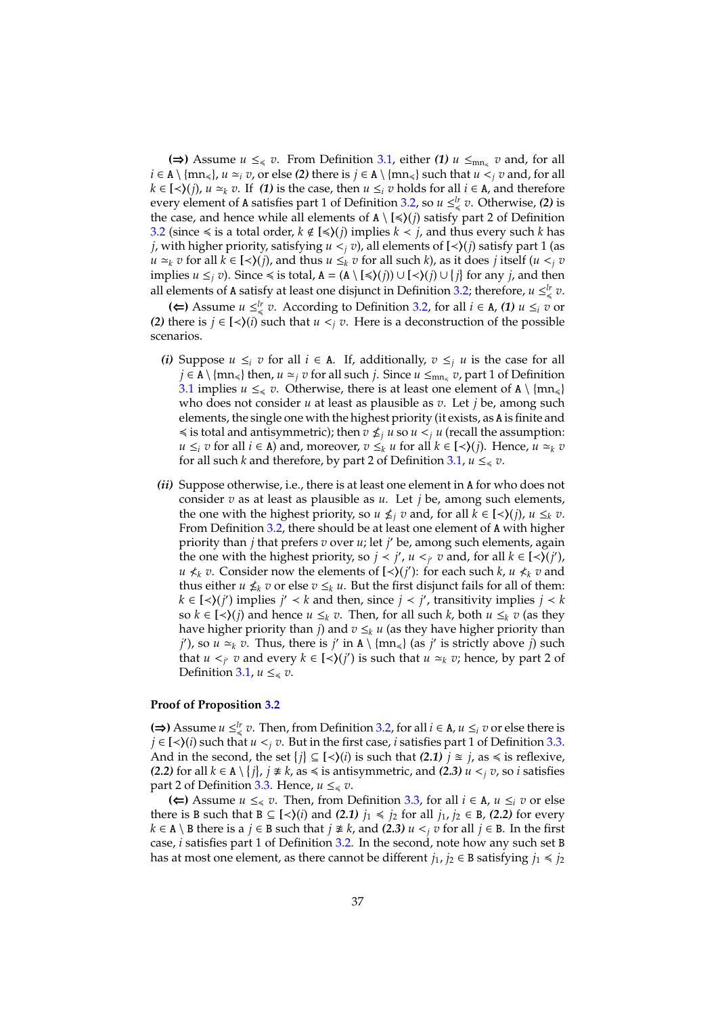(⇒) Assume *u*  $\leq_{\leq} v$ . From Definition [3.1,](#page-13-2) either (1) *u*  $\leq_{mn} v$  and, for all *i* ∈ **A** \ {mn<sub>≤</sub>}, *u*  $\simeq$ <sub>*i*</sub> *v*, or else (2) there is *j* ∈ **A** \ {mn<sub>≤</sub>} such that *u* <*<sub>j</sub> v* and, for all *k* ∈  $[*i*)(*j*)$ , *u*  $\approx$ <sub>*k*</sub> *v*. If (1) is the case, then *u*  $\leq$ <sub>*i*</sub> *v* holds for all *i* ∈ A, and therefore every element of A satisfies part 1 of Definition [3.2,](#page-14-2) so  $u \leq \int_{\leq}^{lr} v$ . Otherwise, (2) is the case, and hence while all elements of  $A \setminus [m]$  satisfy part 2 of Definition [3.2](#page-14-2) (since ≤ is a total order,  $k \notin \{(\le)(j) \text{ implies } k \lt j$ , and thus every such  $k$  has *j*, with higher priority, satisfying  $u \lt_i v$ ), all elements of  $\lfloor \lt \frac{y}{i} \rfloor$  satisfy part 1 (as *u* '*<sup>k</sup> v* for all *k* ∈ **[**≺i(*j*), and thus *u* ≤*<sup>k</sup> v* for all such *k*), as it does *j* itself (*u* <*<sup>j</sup> v* implies *u* ≤*j v*). Since ≤ is total, **A** = (**A** \ **[**≤**)**(*j*)) ∪ **[**≺**)**(*j*) ∪ {*j*} for any *j*, and then all elements of **A** satisfy at least one disjunct in Definition [3.2;](#page-14-2) therefore,  $u \leq^h_{\leq v} v$ .

**(←)** Assume  $u \leq_{\leq}^{lr} v$ . According to Definition [3.2,](#page-14-2) for all  $i \in A$ , **(1)**  $u \leq_{i} v$  or *(2)* there is *j* ∈  $[*i*)(*i*)$  such that *u* <*<sub><i>j*</sub>  $v$ . Here is a deconstruction of the possible scenarios.

- *(i)* Suppose *u* ≤*<sub><i>i</sub> v* for all *i* ∈ A. If, additionally, *v* ≤*<sub><i>i*</sub> *u* is the case for all</sub> *j* ∈ **A** \ {mn<sub>≤</sub>} then, *u*  $\simeq$  *j v* for all such *j*. Since *u*  $\leq$ <sub>mn<sub>4</sub></sub> *v*, part 1 of Definition [3.1](#page-13-2) implies  $u \leq \infty$ . Otherwise, there is at least one element of  $A \setminus \{mn_{\leq}\}\$ who does not consider *u* at least as plausible as *v*. Let *j* be, among such elements, the single one with the highest priority (it exists, as A is finite and  $\le$  is total and antisymmetric); then  $v \nleq j$  *u* so  $u \lt_{j} u$  (recall the assumption: *u* ≤*i v* for all *i* ∈ A) and, moreover, *v* ≤*k u* for all  $k \in \{\\\langle i \rangle(i)$ . Hence,  $u \approx_k v$ for all such *k* and therefore, by part 2 of Definition [3.1,](#page-13-2)  $u \leq \infty$ .
- *(ii)* Suppose otherwise, i.e., there is at least one element in A for who does not consider *v* as at least as plausible as *u*. Let *j* be, among such elements, the one with the highest priority, so  $u \nleq_i v$  and, for all  $k \in \{(\cdot)(j), u \leq_k v\}$ . From Definition [3.2,](#page-14-2) there should be at least one element of A with higher priority than *j* that prefers *v* over *u*; let *j'* be, among such elements, again the one with the highest priority, so  $j \lt j'$ ,  $u \lt_{j'} v$  and, for all  $k \in [\lt{j(j')}$ , *u* ≮*k v*. Consider now the elements of  $[≤)(j')$ : for each such *k*, *u* ≮*k v* and thus either  $u \nleq_k v$  or else  $v \leq_k u$ . But the first disjunct fails for all of them: *k* ∈  $[$  < $\rangle$ (*j*<sup> $\prime$ </sup>) implies *j* < *k* and then, since *j* < *j'*, transitivity implies *j* < *k* so  $k \in \{\\\langle \rangle(i) \rangle$  and hence  $u \leq_k v$ . Then, for all such k, both  $u \leq_k v$  (as they have higher priority than *j*) and  $v \leq_k u$  (as they have higher priority than *j*<sup> $\prime$ </sup>), so  $u \approx k$  *v*. Thus, there is *j*' in **A** \ {mn<sub> $\le$ </sub>} (as *j*' is strictly above *j*) such that  $u <sub>j</sub>$   $v$  and every  $k \in [\prec)(j')$  is such that  $u \simeq_k v$ ; hence, by part 2 of Definition [3.1,](#page-13-2)  $u \leq \infty$ .

### <span id="page-36-0"></span>**Proof of Proposition [3.2](#page-16-2)**

(⇒) Assume *u*  $\leq^{\text{lr}}_{\leq}$  *v*. Then, from Definition [3.2,](#page-14-2) for all *i* ∈ A, *u*  $\leq_i$  *v* or else there is *j* ∈  $[$   $\langle \rangle$ (*i*) such that *u*  $\langle i \rangle$  *v*. But in the first case, *i* satisfies part 1 of Definition [3.3.](#page-16-1) And in the second, the set  $\{j\} \subseteq [\prec \rangle(i)$  is such that  $(2.1)$   $j \approx j$ , as  $\le$  is reflexive, *(2.2)* for all *k* ∈ **A** \ {*j*}, *j*  $\neq$  *k*, as ≤ is antisymmetric, and *(2.3) u* <*j v*, so *i* satisfies part 2 of Definition [3.3.](#page-16-1) Hence,  $u \leq \infty$ .

**(←)** Assume  $u \leq_{\leq} v$ . Then, from Definition [3.3,](#page-16-1) for all  $i \in A$ ,  $u \leq_{i} v$  or else there is B such that B ⊆ [≺)(*i*) and (2.1)  $j_1$  ≤  $j_2$  for all  $j_1$ ,  $j_2$  ∈ B, (2.2) for every *k* ∈ A \ B there is a *j* ∈ B such that *j*  $\neq$  *k*, and (2.3) *u* <*j v* for all *j* ∈ B. In the first case, *i* satisfies part 1 of Definition [3.2.](#page-14-2) In the second, note how any such set B has at most one element, as there cannot be different  $j_1, j_2 \in B$  satisfying  $j_1 \le j_2$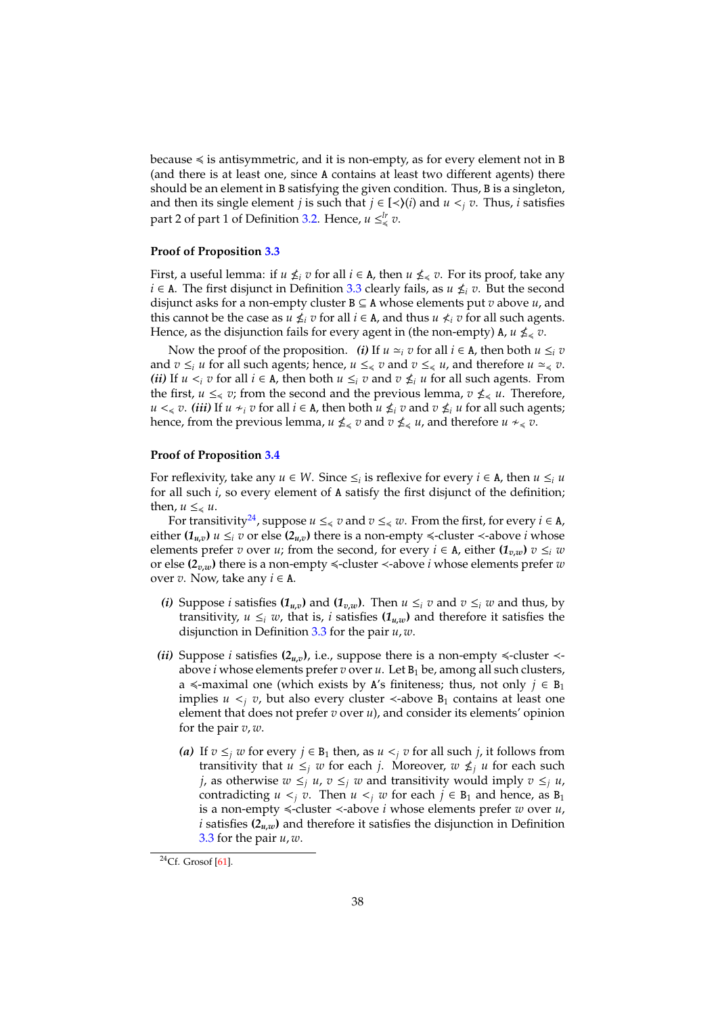<span id="page-37-1"></span>because  $\leq$  is antisymmetric, and it is non-empty, as for every element not in B (and there is at least one, since A contains at least two different agents) there should be an element in B satisfying the given condition. Thus, B is a singleton, and then its single element *j* is such that *j* ∈  $\leq$   $\geq$   $(i)$  and *u*  $\leq$  *j v*. Thus, *i* satisfies part 2 of part 1 of Definition [3.2.](#page-14-2) Hence,  $u \leq_{\preccurlyeq}^{lr} v$ .

#### **Proof of Proposition [3.3](#page-17-1)**

First, a useful lemma: if  $u \nleq_i v$  for all  $i \in A$ , then  $u \nleq_{\leq} v$ . For its proof, take any *i* ∈ A. The first disjunct in Definition [3.3](#page-16-1) clearly fails, as  $u \nleq_i v$ . But the second disjunct asks for a non-empty cluster  $B \subseteq A$  whose elements put *v* above *u*, and this cannot be the case as  $u \nleq_i v$  for all  $i \in A$ , and thus  $u \nleq_i v$  for all such agents. Hence, as the disjunction fails for every agent in (the non-empty) **A**,  $u \nleq \check{v}$ .

Now the proof of the proposition. *(i)* If  $u \approx_i v$  for all  $i \in A$ , then both  $u \leq_i v$ and  $v \leq_i u$  for all such agents; hence,  $u \leq_{\leq} v$  and  $v \leq_{\leq} u$ , and therefore  $u \approx_{\leq} v$ . *(ii)* If *u*  $\lt_i$  *v* for all *i* ∈ A, then both *u*  $\leq_i$  *v* and *v*  $\nleq_i$  *u* for all such agents. From the first,  $u \leq \infty$ ; from the second and the previous lemma,  $v \nleq \infty$  *u*. Therefore, *u*  $\lt$   $\lt$  *v*. *(iii)* If *u*  $\not\sim$  *i v* for all *i* ∈ A, then both *u*  $\not\leq$  *i v* and *v*  $\not\leq$  *i u* for all such agents; hence, from the previous lemma,  $u \nleq \nu$  and  $v \nleq \nu$ , and therefore  $u \nmid \nu \nleq \nu$ .

#### **Proof of Proposition [3.4](#page-17-0)**

For reflexivity, take any  $u \in W$ . Since  $\leq_i$  is reflexive for every  $i \in A$ , then  $u \leq_i u$ for all such *i*, so every element of A satisfy the first disjunct of the definition; then,  $u \leq \leq u$ .

For transitivity<sup>[24](#page-37-0)</sup>, suppose  $u \leq \infty$  *v* and  $v \leq \infty$ . From the first, for every  $i \in A$ , either  $(\mathbf{1}_{u,v})$   $u \leq_i v$  or else  $(\mathbf{2}_{u,v})$  there is a non-empty  $\leq$ -cluster  $\leq$ -above *i* whose elements prefer *v* over *u*; from the second, for every  $i \in A$ , either  $(\mathbf{1}_{v,w})$   $v \leq_i w$ or else  $(2_{v,w})$  there is a non-empty  $\le$ -cluster  $\le$ -above *i* whose elements prefer *w* over *v*. Now, take any  $i \in A$ .

- *(i)* Suppose *i* satisfies  $(1_{u,v})$  and  $(1_{v,w})$ . Then  $u \leq i v$  and  $v \leq i w$  and thus, by transitivity,  $u \leq i$  *w*, that is, *i* satisfies  $(1_{u,w})$  and therefore it satisfies the disjunction in Definition [3.3](#page-16-1) for the pair *u*, *w*.
- *(ii)* Suppose *i* satisfies  $(2_{u,v})$ , i.e., suppose there is a non-empty  $\leq$ -cluster  $\leq$ above *i* whose elements prefer  $v$  over  $u$ . Let  $B_1$  be, among all such clusters, a  $\le$ -maximal one (which exists by A's finiteness; thus, not only *j* ∈ B<sub>1</sub> implies  $u \lt_i v$ , but also every cluster  $\lt$ -above  $B_1$  contains at least one element that does not prefer *v* over *u*), and consider its elements' opinion for the pair *v*, *w*.
	- *(a)* If *v* ≤*j w* for every *j* ∈ B<sub>1</sub> then, as *u* <*j v* for all such *j*, it follows from transitivity that  $u \leq j$  w for each *j*. Moreover,  $w \nleq j$  *u* for each such *j*, as otherwise  $w \leq j$  *u*,  $v \leq j$  *w* and transitivity would imply  $v \leq j$  *u*, contradicting  $u \lt_i v$ . Then  $u \lt_i w$  for each  $j \in B_1$  and hence, as  $B_1$ is a non-empty  $\le$ -cluster  $\le$ -above *i* whose elements prefer *w* over *u*, *i* satisfies  $(2_{u,w})$  and therefore it satisfies the disjunction in Definition [3.3](#page-16-1) for the pair *u*, *w*.

<span id="page-37-0"></span> $24$ Cf. Grosof [\[61\]](#page-44-5).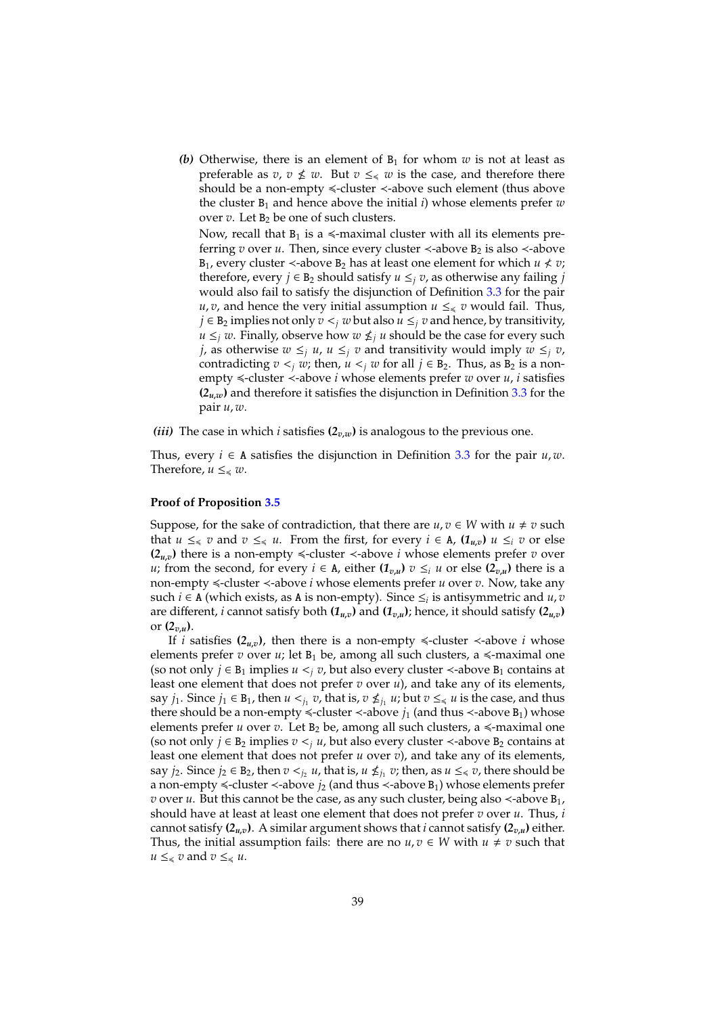*(b)* Otherwise, there is an element of  $B_1$  for whom  $w$  is not at least as preferable as  $v, v \nleq w$ . But  $v \leq w$  is the case, and therefore there should be a non-empty  $\le$ -cluster  $\le$ -above such element (thus above the cluster  $B_1$  and hence above the initial *i*) whose elements prefer  $w$ over  $v$ . Let  $B_2$  be one of such clusters.

Now, recall that  $B_1$  is a  $\leq$ -maximal cluster with all its elements preferring *v* over *u*. Then, since every cluster  $\lt$ -above B<sub>2</sub> is also  $\lt$ -above B<sub>1</sub>, every cluster  $\prec$ -above B<sub>2</sub> has at least one element for which  $u \not\leq v$ ; therefore, every *j* ∈ B<sub>2</sub> should satisfy *u*  $\leq$ <sub>*j*</sub> *v*, as otherwise any failing *j* would also fail to satisfy the disjunction of Definition [3.3](#page-16-1) for the pair *u*, *v*, and hence the very initial assumption  $u \leq \infty$  *v* would fail. Thus, *j* ∈ B<sub>2</sub> implies not only  $v < j$  *w* but also  $u ≤ j$  *v* and hence, by transitivity,  $\mu \leq j$  *w*. Finally, observe how  $w \nleq j$  *u* should be the case for every such *j*, as otherwise  $w \leq_i u$ ,  $u \leq_i v$  and transitivity would imply  $w \leq_i v$ , contradicting  $v \leq_i w$ ; then,  $u \leq_i w$  for all  $j \in B_2$ . Thus, as  $B_2$  is a nonempty 4-cluster ≺-above *i* whose elements prefer *w* over *u*, *i* satisfies  $(2_{u,w})$  and therefore it satisfies the disjunction in Definition [3.3](#page-16-1) for the pair *u*, *w*.

*(iii)* The case in which *i* satisfies  $(2_{v,w})$  is analogous to the previous one.

Thus, every *i* ∈ A satisfies the disjunction in Definition [3.3](#page-16-1) for the pair *u*, *w*. Therefore,  $u \leq_{\leq} w$ .

#### **Proof of Proposition [3.5](#page-18-1)**

Suppose, for the sake of contradiction, that there are  $u, v \in W$  with  $u \neq v$  such that  $u \leq \infty$  *v* and  $v \leq \infty$  *u*. From the first, for every  $i \in A$ ,  $(1_{u,v})$   $u \leq i$  *v* or else ( $2<sub>u,v</sub>$ ) there is a non-empty ≤-cluster <-above *i* whose elements prefer *v* over *u*; from the second, for every *i* ∈ A, either  $(1_{v,u})$  *v* ≤*i u* or else  $(2_{v,u})$  there is a non-empty 4-cluster ≺-above *i* whose elements prefer *u* over *v*. Now, take any such  $i \in A$  (which exists, as A is non-empty). Since  $\leq_i$  is antisymmetric and  $u, v$ are different, *i* cannot satisfy both **(***1u*,*<sup>v</sup>***)** and **(***1v*,*<sup>u</sup>***)**; hence, it should satisfy **(***2u*,*<sup>v</sup>***)** or **(***2v*,*<sup>u</sup>***)**.

If *i* satisfies  $(2<sub>u,v</sub>)$ , then there is a non-empty ≤-cluster <-above *i* whose elements prefer *v* over *u*; let  $B_1$  be, among all such clusters, a  $\leq$ -maximal one (so not only  $j \in B_1$  implies  $u \lt_i v$ , but also every cluster  $\lt$ -above  $B_1$  contains at least one element that does not prefer *v* over *u*), and take any of its elements, say  $j_1$ . Since  $j_1 \in B_1$ , then  $u <sub>j_1</sub> v$ , that is,  $v \nleq_{j_1} u$ ; but  $v \leq_{\leq} u$  is the case, and thus there should be a non-empty  $\le$ -cluster  $\le$ -above  $j_1$  (and thus  $\le$ -above  $B_1$ ) whose elements prefer *u* over *v*. Let  $B_2$  be, among all such clusters, a  $\leq$ -maximal one (so not only *j*  $\in$  B<sub>2</sub> implies  $v *j* u$ , but also every cluster  $\prec$ -above B<sub>2</sub> contains at least one element that does not prefer *u* over *v*), and take any of its elements, say  $j_2$ . Since  $j_2 \in B_2$ , then  $v <_{j_2} u$ , that is,  $u \nleq_{j_1} v$ ; then, as  $u \leq_{\leq} v$ , there should be a non-empty  $\le$ -cluster  $\le$ -above  $j_2$  (and thus  $\le$ -above  $B_1$ ) whose elements prefer *v* over *u*. But this cannot be the case, as any such cluster, being also  $\prec$ -above  $B_1$ , should have at least at least one element that does not prefer *v* over *u*. Thus, *i* cannot satisfy  $(2_{u,v})$ . A similar argument shows that *i* cannot satisfy  $(2_{v,u})$  either. Thus, the initial assumption fails: there are no  $u, v \in W$  with  $u \neq v$  such that  $u \leq \varepsilon$  *v* and  $v \leq \varepsilon$  *u*.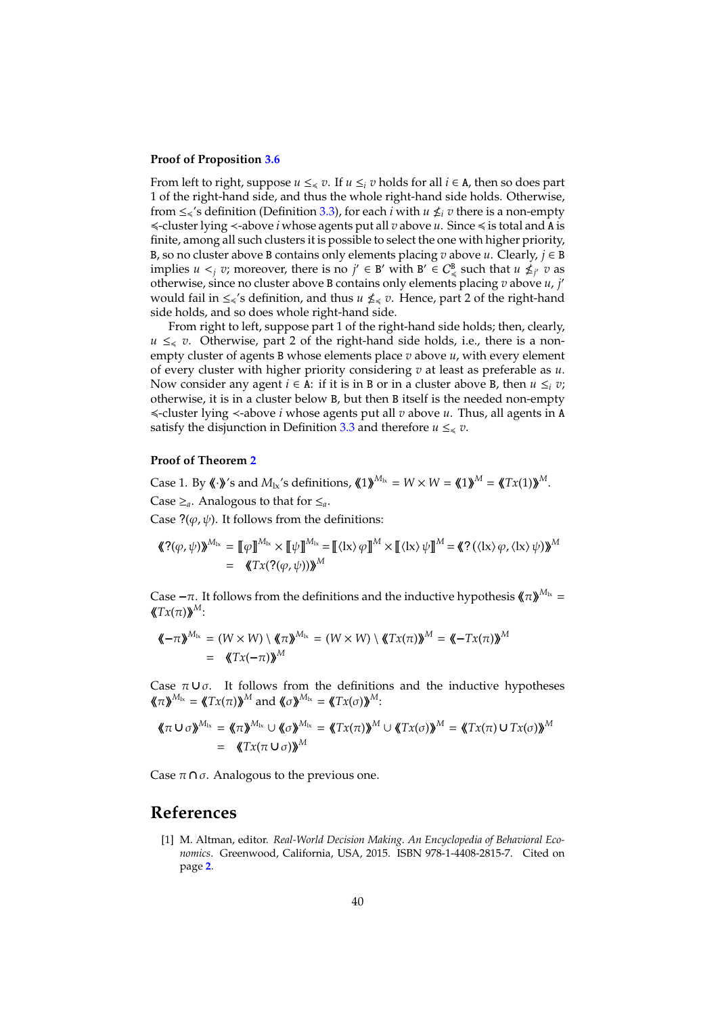#### <span id="page-39-1"></span>**Proof of Proposition [3.6](#page-21-0)**

From left to right, suppose  $u \leq x$ . If  $u \leq i$  *v* holds for all  $i \in A$ , then so does part 1 of the right-hand side, and thus the whole right-hand side holds. Otherwise, from  $\leq$  *s*'s definition (Definition [3.3\)](#page-16-1), for each *i* with  $u \nleq_i v$  there is a non-empty 4-cluster lying ≺-above *i* whose agents put all *v* above *u*. Since 4 is total and A is finite, among all such clusters it is possible to select the one with higher priority, B, so no cluster above B contains only elements placing *v* above *u*. Clearly,  $j \in B$ implies  $u <sub>j</sub> v$ ; moreover, there is no  $j' \in B'$  with  $B' \in C^B$  such that  $u \nleq j' v$  as otherwise, since no cluster above B contains only elements placing *v* above *u*, *j* 0 would fail in ≤<sub>≼</sub>'s definition, and thus *u* ≰<sub>≼</sub> *v*. Hence, part 2 of the right-hand side holds, and so does whole right-hand side.

From right to left, suppose part 1 of the right-hand side holds; then, clearly,  $u \leq 0$ . Otherwise, part 2 of the right-hand side holds, i.e., there is a nonempty cluster of agents B whose elements place *v* above *u*, with every element of every cluster with higher priority considering *v* at least as preferable as *u*. Now consider any agent *i* ∈ A: if it is in B or in a cluster above B, then  $u ≤_i v$ ; otherwise, it is in a cluster below B, but then B itself is the needed non-empty 4-cluster lying ≺-above *i* whose agents put all *v* above *u*. Thus, all agents in A satisfy the disjunction in Definition [3.3](#page-16-1) and therefore  $u \leq \infty$ .

### <span id="page-39-2"></span>**Proof of Theorem [2](#page-25-1)**

Case 1. By  $\langle \!\langle \cdot \rangle \!\rangle$  is and  $M_{1x}$  is definitions,  $\langle \!\langle 1 \rangle \!\rangle^{M_{1x}} = W \times W = \langle \!\langle 1 \rangle \!\rangle^{M} = \langle \!\langle Tx(1) \rangle \!\rangle^{M}$ . Case  $\geq_a$ . Analogous to that for  $\leq_a$ . Case ?( $\varphi$ ,  $\psi$ ). It follows from the definitions:

$$
\langle (\varphi, \psi) \rangle^{M_{\mathrm{Ix}}} = [\![\varphi]\!]^{M_{\mathrm{Ix}}} \times [\![\psi]\!]^{M_{\mathrm{Ix}}} = [\![\langle 1 \times \rangle \varphi]\!]^{M} \times [\![\langle 1 \times \rangle \psi]\!]^{M} = \langle (\langle 1 \times \rangle \varphi, \langle 1 \times \rangle \psi) \rangle^{M}
$$
  
= 
$$
\langle (\langle 1 \times \rangle \varphi, \langle 1 \times \rangle \psi) \rangle^{M}
$$

Case  $-π$ . It follows from the definitions and the inductive hypothesis  $\langle\!\langle π \rangle\!\rangle^{M_{1x}} =$  $\langle \! \langle Tx(\pi) \rangle \! \rangle^M$ :

$$
\begin{aligned} \langle \!\!\!\langle -\pi \rangle\!\!\!\rangle^{M_{\rm k}} &= (W \times W) \setminus \langle \!\!\!\langle \pi \rangle\!\!\!\rangle^{M_{\rm k}} &= (W \times W) \setminus \langle \!\!\!\langle T x(\pi) \rangle\!\!\!\rangle^{M} = \langle \!\!\!\langle -T x(\pi) \rangle\!\!\!\rangle^{M} \\ &= \langle \!\!\!\langle T x(-\pi) \rangle\!\!\!\rangle^{M} \end{aligned}
$$

Case  $\pi \cup \sigma$ . It follows from the definitions and the inductive hypotheses  $\langle \pmb{\langle} \pi \pmb{\rangle}^{M_{\rm lx}} = \langle \pmb{\langle} Tx(\pi) \pmb{\rangle}^M$  and  $\langle \pmb{\langle} \sigma \pmb{\rangle}^{M_{\rm lx}} = \langle \pmb{\langle} Tx(\sigma) \pmb{\rangle}^M$ :

$$
\langle (\pi \cup \sigma) \rangle^{M_{1x}} = (\langle \pi \rangle)^{M_{1x}} \cup (\langle \sigma \rangle)^{M_{1x}} = (\langle T x(\pi) \rangle)^{M} \cup (\langle T x(\sigma) \rangle)^{M} = (\langle T x(\pi) \cup T x(\sigma) \rangle)^{M}
$$
  
= 
$$
(\langle T x(\pi \cup \sigma) \rangle)^{M}
$$

Case  $\pi \cap \sigma$ . Analogous to the previous one.

# **References**

<span id="page-39-0"></span>[1] M. Altman, editor. *Real-World Decision Making. An Encyclopedia of Behavioral Economics*. Greenwood, California, USA, 2015. ISBN 978-1-4408-2815-7. Cited on page **[2](#page-1-2)**.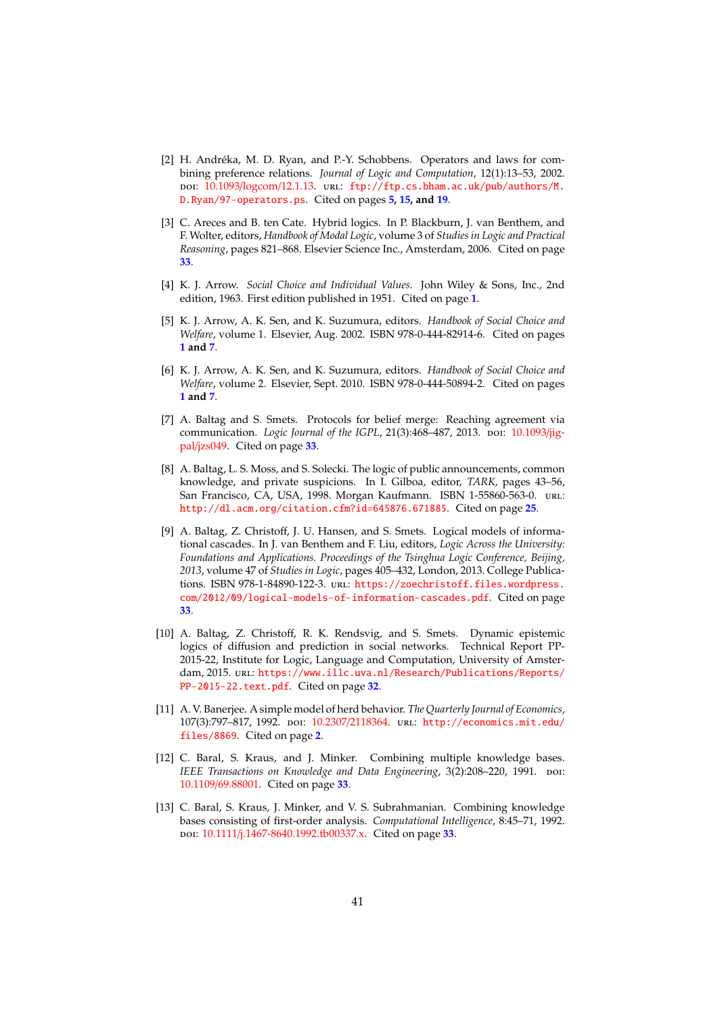- <span id="page-40-4"></span>[2] H. Andréka, M. D. Ryan, and P.-Y. Schobbens. Operators and laws for combining preference relations. *Journal of Logic and Computation*, 12(1):13–53, 2002. doi: 10.1093/[logcom](http://dx.doi.org/10.1093/logcom/12.1.13)/12.1.13. url: [ftp://ftp.cs.bham.ac.uk/pub/authors/M.](ftp://ftp.cs.bham.ac.uk/pub/authors/M.D.Ryan/97-operators.ps) [D.Ryan/97-operators.ps](ftp://ftp.cs.bham.ac.uk/pub/authors/M.D.Ryan/97-operators.ps). Cited on pages **[5,](#page-4-1) [15,](#page-14-3) and [19](#page-18-2)**.
- <span id="page-40-11"></span>[3] C. Areces and B. ten Cate. Hybrid logics. In P. Blackburn, J. van Benthem, and F. Wolter, editors, *Handbook of Modal Logic*, volume 3 of *Studies in Logic and Practical Reasoning*, pages 821–868. Elsevier Science Inc., Amsterdam, 2006. Cited on page **[33](#page-32-1)**.
- <span id="page-40-0"></span>[4] K. J. Arrow. *Social Choice and Individual Values*. John Wiley & Sons, Inc., 2nd edition, 1963. First edition published in 1951. Cited on page **[1](#page-0-1)**.
- <span id="page-40-1"></span>[5] K. J. Arrow, A. K. Sen, and K. Suzumura, editors. *Handbook of Social Choice and Welfare*, volume 1. Elsevier, Aug. 2002. ISBN 978-0-444-82914-6. Cited on pages **[1](#page-0-1) and [7](#page-6-1)**.
- <span id="page-40-2"></span>[6] K. J. Arrow, A. K. Sen, and K. Suzumura, editors. *Handbook of Social Choice and Welfare*, volume 2. Elsevier, Sept. 2010. ISBN 978-0-444-50894-2. Cited on pages **[1](#page-0-1) and [7](#page-6-1)**.
- <span id="page-40-7"></span>[7] A. Baltag and S. Smets. Protocols for belief merge: Reaching agreement via communication. *Logic Journal of the IGPL*, 21(3):468-487, 2013. poi: [10.1093](http://dx.doi.org/10.1093/jigpal/jzs049)/jigpal/[jzs049.](http://dx.doi.org/10.1093/jigpal/jzs049) Cited on page **[33](#page-32-1)**.
- <span id="page-40-5"></span>[8] A. Baltag, L. S. Moss, and S. Solecki. The logic of public announcements, common knowledge, and private suspicions. In I. Gilboa, editor, *TARK*, pages 43–56, San Francisco, CA, USA, 1998. Morgan Kaufmann. ISBN 1-55860-563-0. url: <http://dl.acm.org/citation.cfm?id=645876.671885>. Cited on page **[25](#page-24-2)**.
- <span id="page-40-8"></span>[9] A. Baltag, Z. Christoff, J. U. Hansen, and S. Smets. Logical models of informational cascades. In J. van Benthem and F. Liu, editors, *Logic Across the University: Foundations and Applications. Proceedings of the Tsinghua Logic Conference, Beijing, 2013*, volume 47 of *Studies in Logic*, pages 405–432, London, 2013. College Publications. ISBN 978-1-84890-122-3. URL: [https://zoechristoff.files.wordpress.](https://zoechristoff.files.wordpress.com/2012/09/logical-models-of-information-cascades.pdf) [com/2012/09/logical-models-of-information-cascades.pdf](https://zoechristoff.files.wordpress.com/2012/09/logical-models-of-information-cascades.pdf). Cited on page **[33](#page-32-1)**.
- <span id="page-40-6"></span>[10] A. Baltag, Z. Christoff, R. K. Rendsvig, and S. Smets. Dynamic epistemic logics of diffusion and prediction in social networks. Technical Report PP-2015-22, Institute for Logic, Language and Computation, University of Amsterdam, 2015. url: [https://www.illc.uva.nl/Research/Publications/Reports/](https://www.illc.uva.nl/Research/Publications/Reports/PP-2015-22.text.pdf) [PP-2015-22.text.pdf](https://www.illc.uva.nl/Research/Publications/Reports/PP-2015-22.text.pdf). Cited on page **[32](#page-31-2)**.
- <span id="page-40-3"></span>[11] A. V. Banerjee. A simple model of herd behavior. *The Quarterly Journal of Economics*, 107(3):797–817, 1992. doi: 10.2307/[2118364.](http://dx.doi.org/10.2307/2118364) url: [http://economics.mit.edu/](http://economics.mit.edu/files/8869) [files/8869](http://economics.mit.edu/files/8869). Cited on page **[2](#page-1-2)**.
- <span id="page-40-9"></span>[12] C. Baral, S. Kraus, and J. Minker. Combining multiple knowledge bases. *IEEE Transactions on Knowledge and Data Engineering*, 3(2):208–220, 1991. poi: 10.1109/[69.88001.](http://dx.doi.org/10.1109/69.88001) Cited on page **[33](#page-32-1)**.
- <span id="page-40-10"></span>[13] C. Baral, S. Kraus, J. Minker, and V. S. Subrahmanian. Combining knowledge bases consisting of first-order analysis. *Computational Intelligence*, 8:45–71, 1992. doi: 10.1111/[j.1467-8640.1992.tb00337.x.](http://dx.doi.org/10.1111/j.1467-8640.1992.tb00337.x) Cited on page **[33](#page-32-1)**.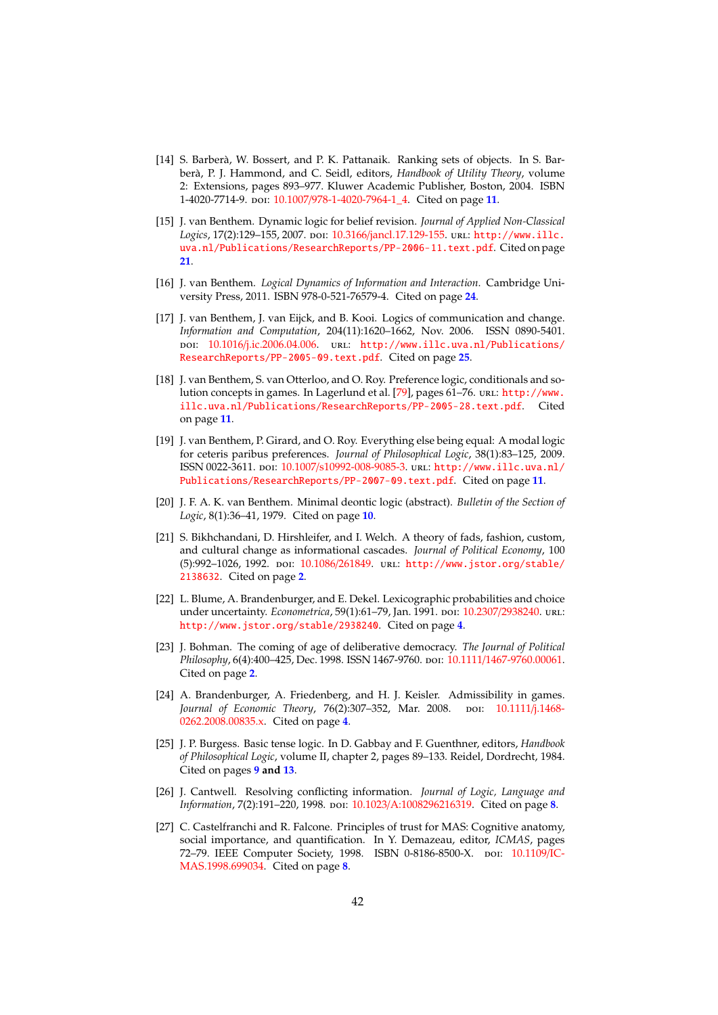- <span id="page-41-14"></span><span id="page-41-8"></span>[14] S. Barberà, W. Bossert, and P. K. Pattanaik. Ranking sets of objects. In S. Barberà, P. J. Hammond, and C. Seidl, editors, *Handbook of Utility Theory*, volume 2: Extensions, pages 893–977. Kluwer Academic Publisher, Boston, 2004. ISBN 1-4020-7714-9. doi: 10.1007/[978-1-4020-7964-1\\_4.](http://dx.doi.org/10.1007/978-1-4020-7964-1_4) Cited on page **[11](#page-10-0)**.
- <span id="page-41-11"></span>[15] J. van Benthem. Dynamic logic for belief revision. *Journal of Applied Non-Classical* Logics, 17(2):129-155, 2007. poi: 10.3166/[jancl.17.129-155.](http://dx.doi.org/10.3166/jancl.17.129-155) url: [http://www.illc.](http://www.illc.uva.nl/Publications/ResearchReports/PP-2006-11.text.pdf) [uva.nl/Publications/ResearchReports/PP-2006-11.text.pdf](http://www.illc.uva.nl/Publications/ResearchReports/PP-2006-11.text.pdf). Cited on page **[21](#page-20-0)**.
- <span id="page-41-12"></span>[16] J. van Benthem. *Logical Dynamics of Information and Interaction*. Cambridge University Press, 2011. ISBN 978-0-521-76579-4. Cited on page **[24](#page-23-2)**.
- <span id="page-41-13"></span>[17] J. van Benthem, J. van Eijck, and B. Kooi. Logics of communication and change. *Information and Computation*, 204(11):1620–1662, Nov. 2006. ISSN 0890-5401. doi: 10.1016/[j.ic.2006.04.006.](http://dx.doi.org/10.1016/j.ic.2006.04.006) url: [http://www.illc.uva.nl/Publications/](http://www.illc.uva.nl/Publications/ResearchReports/PP-2005-09.text.pdf) [ResearchReports/PP-2005-09.text.pdf](http://www.illc.uva.nl/Publications/ResearchReports/PP-2005-09.text.pdf). Cited on page **[25](#page-24-2)**.
- <span id="page-41-9"></span>[18] J. van Benthem, S. van Otterloo, and O. Roy. Preference logic, conditionals and so-lution concepts in games. In Lagerlund et al. [\[79\]](#page-45-13), pages 61-76. url: [http://www.](http://www.illc.uva.nl/Publications/ResearchReports/PP-2005-28.text.pdf) [illc.uva.nl/Publications/ResearchReports/PP-2005-28.text.pdf](http://www.illc.uva.nl/Publications/ResearchReports/PP-2005-28.text.pdf). Cited on page **[11](#page-10-0)**.
- <span id="page-41-10"></span>[19] J. van Benthem, P. Girard, and O. Roy. Everything else being equal: A modal logic for ceteris paribus preferences. *Journal of Philosophical Logic*, 38(1):83–125, 2009. ISSN 0022-3611. doi: 10.1007/[s10992-008-9085-3.](http://dx.doi.org/10.1007/s10992-008-9085-3) url: [http://www.illc.uva.nl/](http://www.illc.uva.nl/Publications/ResearchReports/PP-2007-09.text.pdf) [Publications/ResearchReports/PP-2007-09.text.pdf](http://www.illc.uva.nl/Publications/ResearchReports/PP-2007-09.text.pdf). Cited on page **[11](#page-10-0)**.
- <span id="page-41-7"></span>[20] J. F. A. K. van Benthem. Minimal deontic logic (abstract). *Bulletin of the Section of Logic*, 8(1):36–41, 1979. Cited on page **[10](#page-9-2)**.
- <span id="page-41-1"></span>[21] S. Bikhchandani, D. Hirshleifer, and I. Welch. A theory of fads, fashion, custom, and cultural change as informational cascades. *Journal of Political Economy*, 100 (5):992–1026, 1992. doi: [10.1086](http://dx.doi.org/10.1086/261849)/261849. url: [http://www.jstor.org/stable/](http://www.jstor.org/stable/2138632) [2138632](http://www.jstor.org/stable/2138632). Cited on page **[2](#page-1-2)**.
- <span id="page-41-2"></span>[22] L. Blume, A. Brandenburger, and E. Dekel. Lexicographic probabilities and choice under uncertainty. *Econometrica*, 59(1):61-79, Jan. 1991. poi: 10.2307/[2938240.](http://dx.doi.org/10.2307/2938240) url: <http://www.jstor.org/stable/2938240>. Cited on page **[4](#page-3-0)**.
- <span id="page-41-0"></span>[23] J. Bohman. The coming of age of deliberative democracy. *The Journal of Political Philosophy*, 6(4):400–425, Dec. 1998. ISSN 1467-9760. doi: 10.1111/[1467-9760.00061.](http://dx.doi.org/10.1111/1467-9760.00061) Cited on page **[2](#page-1-2)**.
- <span id="page-41-3"></span>[24] A. Brandenburger, A. Friedenberg, and H. J. Keisler. Admissibility in games. Journal of Economic Theory, 76(2):307-352, Mar. 2008. poi: [10.1111](http://dx.doi.org/10.1111/j.1468-0262.2008.00835.x)/j.1468-[0262.2008.00835.x.](http://dx.doi.org/10.1111/j.1468-0262.2008.00835.x) Cited on page **[4](#page-3-0)**.
- <span id="page-41-6"></span>[25] J. P. Burgess. Basic tense logic. In D. Gabbay and F. Guenthner, editors, *Handbook of Philosophical Logic*, volume II, chapter 2, pages 89–133. Reidel, Dordrecht, 1984. Cited on pages **[9](#page-8-1) and [13](#page-12-1)**.
- <span id="page-41-5"></span>[26] J. Cantwell. Resolving conflicting information. *Journal of Logic, Language and Information*, 7(2):191–220, 1998. doi: 10.1023/[A:1008296216319.](http://dx.doi.org/10.1023/A:1008296216319) Cited on page **[8](#page-7-2)**.
- <span id="page-41-4"></span>[27] C. Castelfranchi and R. Falcone. Principles of trust for MAS: Cognitive anatomy, social importance, and quantification. In Y. Demazeau, editor, *ICMAS*, pages 72–79. IEEE Computer Society, 1998. ISBN 0-8186-8500-X. por: [10.1109](http://dx.doi.org/10.1109/ICMAS.1998.699034)/IC-[MAS.1998.699034.](http://dx.doi.org/10.1109/ICMAS.1998.699034) Cited on page **[8](#page-7-2)**.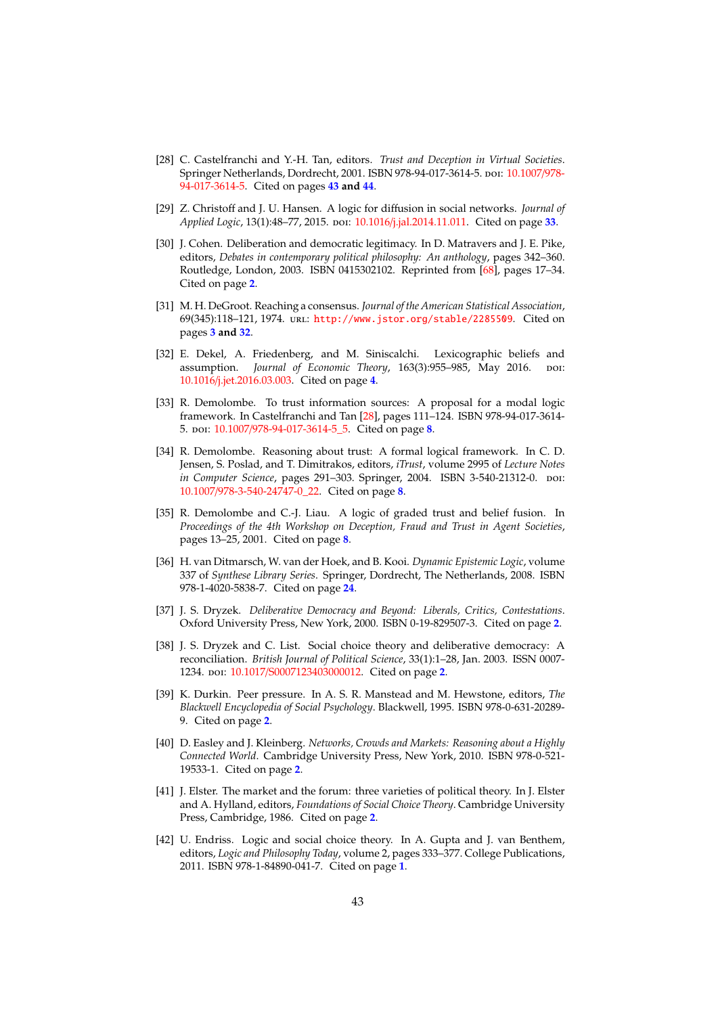- <span id="page-42-15"></span><span id="page-42-14"></span>[28] C. Castelfranchi and Y.-H. Tan, editors. *Trust and Deception in Virtual Societies*. Springer Netherlands, Dordrecht, 2001. ISBN 978-94-017-3614-5. poi: [10.1007](http://dx.doi.org/10.1007/978-94-017-3614-5)/978-[94-017-3614-5.](http://dx.doi.org/10.1007/978-94-017-3614-5) Cited on pages **[43](#page-42-14) and [44](#page-43-12)**.
- <span id="page-42-13"></span>[29] Z. Christoff and J. U. Hansen. A logic for diffusion in social networks. *Journal of Applied Logic*, 13(1):48–77, 2015. doi: 10.1016/[j.jal.2014.11.011.](http://dx.doi.org/10.1016/j.jal.2014.11.011) Cited on page **[33](#page-32-1)**.
- <span id="page-42-3"></span>[30] J. Cohen. Deliberation and democratic legitimacy. In D. Matravers and J. E. Pike, editors, *Debates in contemporary political philosophy: An anthology*, pages 342–360. Routledge, London, 2003. ISBN 0415302102. Reprinted from [\[68\]](#page-44-13), pages 17–34. Cited on page **[2](#page-1-2)**.
- <span id="page-42-7"></span>[31] M. H. DeGroot. Reaching a consensus. *Journal of the American Statistical Association*, 69(345):118–121, 1974. url: <http://www.jstor.org/stable/2285509>. Cited on pages **[3](#page-2-3) and [32](#page-31-2)**.
- <span id="page-42-8"></span>[32] E. Dekel, A. Friedenberg, and M. Siniscalchi. Lexicographic beliefs and assumption. *Journal of Economic Theory*, 163(3):955-985, May 2016. poi: 10.1016/[j.jet.2016.03.003.](http://dx.doi.org/10.1016/j.jet.2016.03.003) Cited on page **[4](#page-3-0)**.
- <span id="page-42-9"></span>[33] R. Demolombe. To trust information sources: A proposal for a modal logic framework. In Castelfranchi and Tan [\[28\]](#page-42-15), pages 111–124. ISBN 978-94-017-3614- 5. doi: 10.1007/[978-94-017-3614-5\\_5.](http://dx.doi.org/10.1007/978-94-017-3614-5_5) Cited on page **[8](#page-7-2)**.
- <span id="page-42-10"></span>[34] R. Demolombe. Reasoning about trust: A formal logical framework. In C. D. Jensen, S. Poslad, and T. Dimitrakos, editors, *iTrust*, volume 2995 of *Lecture Notes in Computer Science, pages 291-303. Springer, 2004. ISBN 3-540-21312-0. DOI:* 10.1007/[978-3-540-24747-0\\_22.](http://dx.doi.org/10.1007/978-3-540-24747-0_22) Cited on page **[8](#page-7-2)**.
- <span id="page-42-11"></span>[35] R. Demolombe and C.-J. Liau. A logic of graded trust and belief fusion. In *Proceedings of the 4th Workshop on Deception, Fraud and Trust in Agent Societies*, pages 13–25, 2001. Cited on page **[8](#page-7-2)**.
- <span id="page-42-12"></span>[36] H. van Ditmarsch, W. van der Hoek, and B. Kooi. *Dynamic Epistemic Logic*, volume 337 of *Synthese Library Series*. Springer, Dordrecht, The Netherlands, 2008. ISBN 978-1-4020-5838-7. Cited on page **[24](#page-23-2)**.
- <span id="page-42-2"></span>[37] J. S. Dryzek. *Deliberative Democracy and Beyond: Liberals, Critics, Contestations*. Oxford University Press, New York, 2000. ISBN 0-19-829507-3. Cited on page **[2](#page-1-2)**.
- <span id="page-42-4"></span>[38] J. S. Dryzek and C. List. Social choice theory and deliberative democracy: A reconciliation. *British Journal of Political Science*, 33(1):1–28, Jan. 2003. ISSN 0007- 1234. doi: 10.1017/[S0007123403000012.](http://dx.doi.org/10.1017/S0007123403000012) Cited on page **[2](#page-1-2)**.
- <span id="page-42-6"></span>[39] K. Durkin. Peer pressure. In A. S. R. Manstead and M. Hewstone, editors, *The Blackwell Encyclopedia of Social Psychology*. Blackwell, 1995. ISBN 978-0-631-20289- 9. Cited on page **[2](#page-1-2)**.
- <span id="page-42-5"></span>[40] D. Easley and J. Kleinberg. *Networks, Crowds and Markets: Reasoning about a Highly Connected World*. Cambridge University Press, New York, 2010. ISBN 978-0-521- 19533-1. Cited on page **[2](#page-1-2)**.
- <span id="page-42-1"></span>[41] J. Elster. The market and the forum: three varieties of political theory. In J. Elster and A. Hylland, editors, *Foundations of Social Choice Theory*. Cambridge University Press, Cambridge, 1986. Cited on page **[2](#page-1-2)**.
- <span id="page-42-0"></span>[42] U. Endriss. Logic and social choice theory. In A. Gupta and J. van Benthem, editors, *Logic and Philosophy Today*, volume 2, pages 333–377. College Publications, 2011. ISBN 978-1-84890-041-7. Cited on page **[1](#page-0-1)**.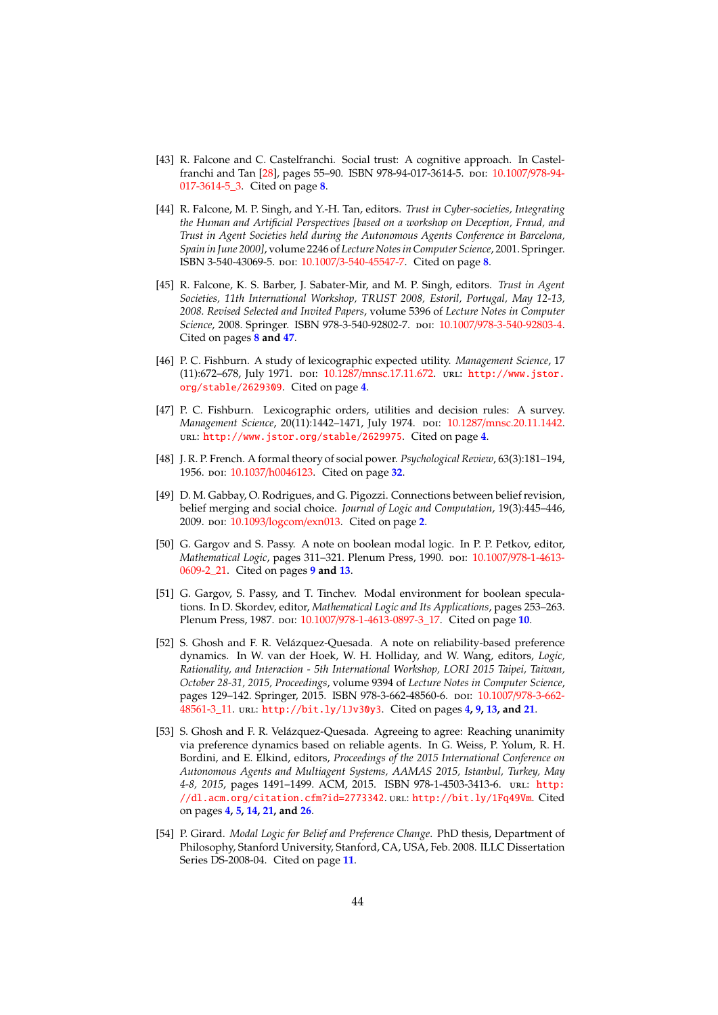- <span id="page-43-12"></span><span id="page-43-7"></span>[43] R. Falcone and C. Castelfranchi. Social trust: A cognitive approach. In Castel-franchi and Tan [\[28\]](#page-42-15), pages 55-90. ISBN 978-94-017-3614-5. poi: [10.1007](http://dx.doi.org/10.1007/978-94-017-3614-5_3)/978-94-[017-3614-5\\_3.](http://dx.doi.org/10.1007/978-94-017-3614-5_3) Cited on page **[8](#page-7-2)**.
- <span id="page-43-5"></span>[44] R. Falcone, M. P. Singh, and Y.-H. Tan, editors. *Trust in Cyber-societies, Integrating the Human and Artificial Perspectives [based on a workshop on Deception, Fraud, and Trust in Agent Societies held during the Autonomous Agents Conference in Barcelona, Spain in June 2000]*, volume 2246 of *Lecture Notes in Computer Science*, 2001. Springer. ISBN 3-540-43069-5. doi: 10.1007/[3-540-45547-7.](http://dx.doi.org/10.1007/3-540-45547-7) Cited on page **[8](#page-7-2)**.
- <span id="page-43-6"></span>[45] R. Falcone, K. S. Barber, J. Sabater-Mir, and M. P. Singh, editors. *Trust in Agent Societies, 11th International Workshop, TRUST 2008, Estoril, Portugal, May 12-13, 2008. Revised Selected and Invited Papers*, volume 5396 of *Lecture Notes in Computer Science*, 2008. Springer. ISBN 978-3-540-92802-7. doi: 10.1007/[978-3-540-92803-4.](http://dx.doi.org/10.1007/978-3-540-92803-4) Cited on pages **[8](#page-7-2) and [47](#page-46-13)**.
- <span id="page-43-1"></span>[46] P. C. Fishburn. A study of lexicographic expected utility. *Management Science*, 17 (11):672-678, July 1971. poi: 10.1287/[mnsc.17.11.672.](http://dx.doi.org/10.1287/mnsc.17.11.672) url: [http://www.jstor.](http://www.jstor.org/stable/2629309) [org/stable/2629309](http://www.jstor.org/stable/2629309). Cited on page **[4](#page-3-0)**.
- <span id="page-43-2"></span>[47] P. C. Fishburn. Lexicographic orders, utilities and decision rules: A survey. *Management Science*, 20(11):1442-1471, July 1974. poi: 10.1287/[mnsc.20.11.1442.](http://dx.doi.org/10.1287/mnsc.20.11.1442) url: <http://www.jstor.org/stable/2629975>. Cited on page **[4](#page-3-0)**.
- <span id="page-43-11"></span>[48] J. R. P. French. A formal theory of social power. *Psychological Review*, 63(3):181–194, 1956. doi: 10.1037/[h0046123.](http://dx.doi.org/10.1037/h0046123) Cited on page **[32](#page-31-2)**.
- <span id="page-43-0"></span>[49] D. M. Gabbay, O. Rodrigues, and G. Pigozzi. Connections between belief revision, belief merging and social choice. *Journal of Logic and Computation*, 19(3):445–446, 2009. doi: 10.1093/[logcom](http://dx.doi.org/10.1093/logcom/exn013)/exn013. Cited on page **[2](#page-1-2)**.
- <span id="page-43-8"></span>[50] G. Gargov and S. Passy. A note on boolean modal logic. In P. P. Petkov, editor, *Mathematical Logic*, pages 311-321. Plenum Press, 1990. poi: 10.1007/[978-1-4613-](http://dx.doi.org/10.1007/978-1-4613-0609-2_21) [0609-2\\_21.](http://dx.doi.org/10.1007/978-1-4613-0609-2_21) Cited on pages **[9](#page-8-1) and [13](#page-12-1)**.
- <span id="page-43-9"></span>[51] G. Gargov, S. Passy, and T. Tinchev. Modal environment for boolean speculations. In D. Skordev, editor, *Mathematical Logic and Its Applications*, pages 253–263. Plenum Press, 1987. poi: 10.1007/[978-1-4613-0897-3\\_17.](http://dx.doi.org/10.1007/978-1-4613-0897-3_17) Cited on page [10](#page-9-2).
- <span id="page-43-4"></span>[52] S. Ghosh and F. R. Velázquez-Quesada. A note on reliability-based preference dynamics. In W. van der Hoek, W. H. Holliday, and W. Wang, editors, *Logic, Rationality, and Interaction - 5th International Workshop, LORI 2015 Taipei, Taiwan, October 28-31, 2015, Proceedings*, volume 9394 of *Lecture Notes in Computer Science*, pages 129–142. Springer, 2015. ISBN 978-3-662-48560-6. doi: 10.1007/[978-3-662-](http://dx.doi.org/10.1007/978-3-662-48561-3_11) [48561-3\\_11.](http://dx.doi.org/10.1007/978-3-662-48561-3_11) url: <http://bit.ly/1Jv30y3>. Cited on pages **[4,](#page-3-0) [9,](#page-8-1) [13,](#page-12-1) and [21](#page-20-0)**.
- <span id="page-43-3"></span>[53] S. Ghosh and F. R. Velázquez-Quesada. Agreeing to agree: Reaching unanimity via preference dynamics based on reliable agents. In G. Weiss, P. Yolum, R. H. Bordini, and E. Elkind, editors, *Proceedings of the 2015 International Conference on Autonomous Agents and Multiagent Systems, AAMAS 2015, Istanbul, Turkey, May 4-8, 2015*, pages 1491–1499. ACM, 2015. ISBN 978-1-4503-3413-6. url: [http:](http://dl.acm.org/citation.cfm?id=2773342) [//dl.acm.org/citation.cfm?id=2773342](http://dl.acm.org/citation.cfm?id=2773342). url: <http://bit.ly/1Fq49Vm>. Cited on pages **[4,](#page-3-0) [5,](#page-4-1) [14,](#page-13-4) [21,](#page-20-0) and [26](#page-25-2)**.
- <span id="page-43-10"></span>[54] P. Girard. *Modal Logic for Belief and Preference Change*. PhD thesis, Department of Philosophy, Stanford University, Stanford, CA, USA, Feb. 2008. ILLC Dissertation Series DS-2008-04. Cited on page **[11](#page-10-0)**.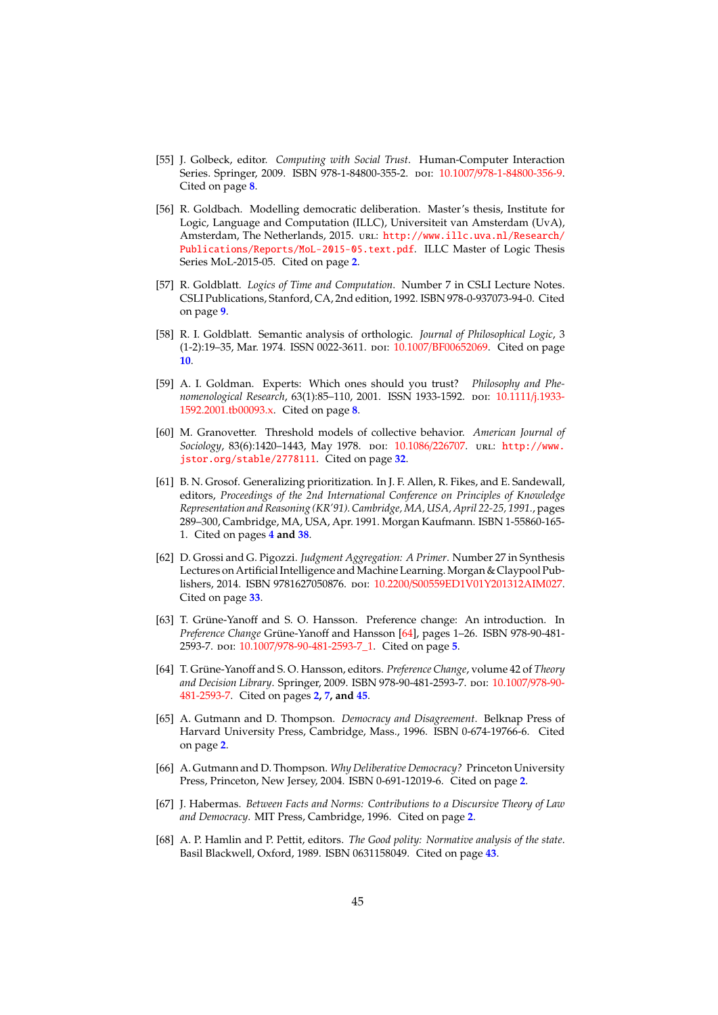- <span id="page-44-14"></span><span id="page-44-7"></span>[55] J. Golbeck, editor. *Computing with Social Trust*. Human-Computer Interaction Series. Springer, 2009. ISBN 978-1-84800-355-2. poi: 10.1007/[978-1-84800-356-9.](http://dx.doi.org/10.1007/978-1-84800-356-9) Cited on page **[8](#page-7-2)**.
- <span id="page-44-4"></span>[56] R. Goldbach. Modelling democratic deliberation. Master's thesis, Institute for Logic, Language and Computation (ILLC), Universiteit van Amsterdam (UvA), Amsterdam, The Netherlands, 2015. url: [http://www.illc.uva.nl/Research/](http://www.illc.uva.nl/Research/Publications/Reports/MoL-2015-05.text.pdf) [Publications/Reports/MoL-2015-05.text.pdf](http://www.illc.uva.nl/Research/Publications/Reports/MoL-2015-05.text.pdf). ILLC Master of Logic Thesis Series MoL-2015-05. Cited on page **[2](#page-1-2)**.
- <span id="page-44-9"></span>[57] R. Goldblatt. *Logics of Time and Computation*. Number 7 in CSLI Lecture Notes. CSLI Publications, Stanford, CA, 2nd edition, 1992. ISBN 978-0-937073-94-0. Cited on page **[9](#page-8-1)**.
- <span id="page-44-10"></span>[58] R. I. Goldblatt. Semantic analysis of orthologic. *Journal of Philosophical Logic*, 3 (1-2):19-35, Mar. 1974. ISSN 0022-3611. por: 10.1007/[BF00652069.](http://dx.doi.org/10.1007/BF00652069) Cited on page **[10](#page-9-2)**.
- <span id="page-44-8"></span>[59] A. I. Goldman. Experts: Which ones should you trust? *Philosophy and Phenomenological Research*, 63(1):85–110, 2001. ISSN 1933-1592. doi: [10.1111](http://dx.doi.org/10.1111/j.1933-1592.2001.tb00093.x)/j.1933- [1592.2001.tb00093.x.](http://dx.doi.org/10.1111/j.1933-1592.2001.tb00093.x) Cited on page **[8](#page-7-2)**.
- <span id="page-44-11"></span>[60] M. Granovetter. Threshold models of collective behavior. *American Journal of Sociology*, 83(6):1420–1443, May 1978. doi: [10.1086](http://dx.doi.org/10.1086/226707)/226707. url: [http://www.](http://www.jstor.org/stable/2778111) [jstor.org/stable/2778111](http://www.jstor.org/stable/2778111). Cited on page **[32](#page-31-2)**.
- <span id="page-44-5"></span>[61] B. N. Grosof. Generalizing prioritization. In J. F. Allen, R. Fikes, and E. Sandewall, editors, *Proceedings of the 2nd International Conference on Principles of Knowledge Representation and Reasoning (KR'91). Cambridge, MA, USA, April 22-25, 1991.*, pages 289–300, Cambridge, MA, USA, Apr. 1991. Morgan Kaufmann. ISBN 1-55860-165- 1. Cited on pages **[4](#page-3-0) and [38](#page-37-1)**.
- <span id="page-44-12"></span>[62] D. Grossi and G. Pigozzi. *Judgment Aggregation: A Primer*. Number 27 in Synthesis Lectures on Artificial Intelligence andMachine Learning.Morgan & Claypool Pub-lishers, 2014. ISBN 9781627050876. poi: 10.2200/[S00559ED1V01Y201312AIM027.](http://dx.doi.org/10.2200/S00559ED1V01Y201312AIM027) Cited on page **[33](#page-32-1)**.
- <span id="page-44-6"></span>[63] T. Grüne-Yanoff and S. O. Hansson. Preference change: An introduction. In *Preference Change* Grüne-Yanoff and Hansson [\[64\]](#page-44-0), pages 1–26. ISBN 978-90-481- 2593-7. doi: 10.1007/[978-90-481-2593-7\\_1.](http://dx.doi.org/10.1007/978-90-481-2593-7_1) Cited on page **[5](#page-4-1)**.
- <span id="page-44-0"></span>[64] T. Grüne-Yanoff and S. O. Hansson, editors. *Preference Change*, volume 42 of *Theory and Decision Library*. Springer, 2009. ISBN 978-90-481-2593-7. doi: [10.1007](http://dx.doi.org/10.1007/978-90-481-2593-7)/978-90- [481-2593-7.](http://dx.doi.org/10.1007/978-90-481-2593-7) Cited on pages **[2,](#page-1-2) [7,](#page-6-1) and [45](#page-44-14)**.
- <span id="page-44-2"></span>[65] A. Gutmann and D. Thompson. *Democracy and Disagreement*. Belknap Press of Harvard University Press, Cambridge, Mass., 1996. ISBN 0-674-19766-6. Cited on page **[2](#page-1-2)**.
- <span id="page-44-3"></span>[66] A. Gutmann and D. Thompson. *Why Deliberative Democracy?* Princeton University Press, Princeton, New Jersey, 2004. ISBN 0-691-12019-6. Cited on page **[2](#page-1-2)**.
- <span id="page-44-1"></span>[67] J. Habermas. *Between Facts and Norms: Contributions to a Discursive Theory of Law and Democracy*. MIT Press, Cambridge, 1996. Cited on page **[2](#page-1-2)**.
- <span id="page-44-13"></span>[68] A. P. Hamlin and P. Pettit, editors. *The Good polity: Normative analysis of the state*. Basil Blackwell, Oxford, 1989. ISBN 0631158049. Cited on page **[43](#page-42-14)**.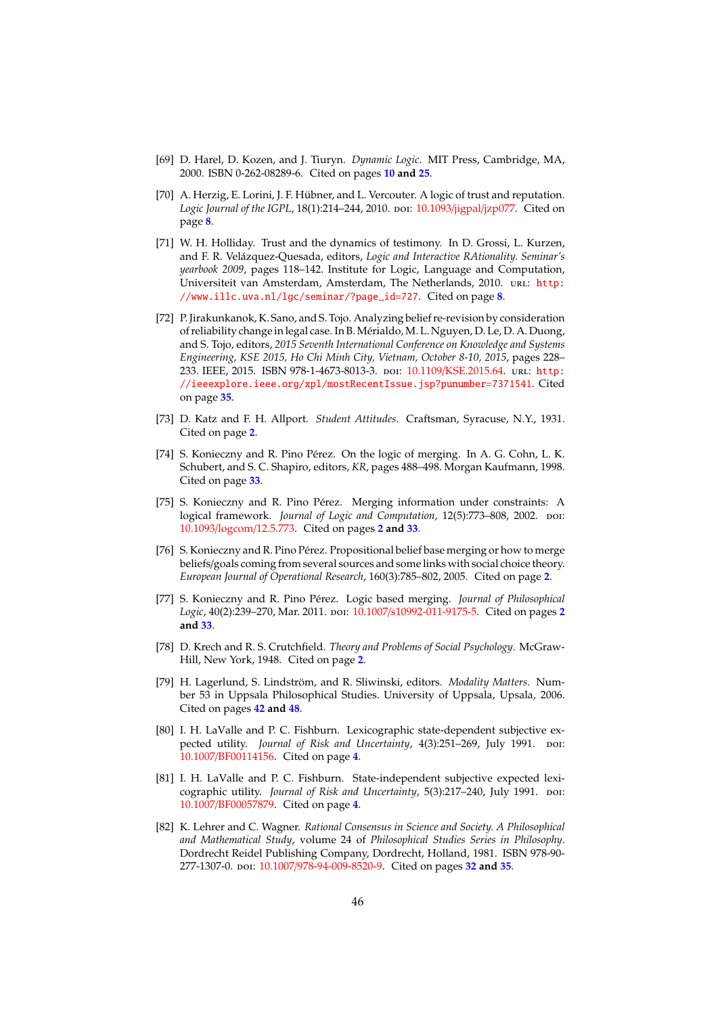- <span id="page-45-9"></span>[69] D. Harel, D. Kozen, and J. Tiuryn. *Dynamic Logic*. MIT Press, Cambridge, MA, 2000. ISBN 0-262-08289-6. Cited on pages **[10](#page-9-2) and [25](#page-24-2)**.
- <span id="page-45-7"></span>[70] A. Herzig, E. Lorini, J. F. Hübner, and L. Vercouter. A logic of trust and reputation. Logic Journal of the IGPL, 18(1):214–244, 2010. poi: [10.1093](http://dx.doi.org/10.1093/jigpal/jzp077)/jigpal/jzp077. Cited on page **[8](#page-7-2)**.
- <span id="page-45-8"></span>[71] W. H. Holliday. Trust and the dynamics of testimony. In D. Grossi, L. Kurzen, and F. R. Velázquez-Quesada, editors, *Logic and Interactive RAtionality. Seminar's yearbook 2009*, pages 118–142. Institute for Logic, Language and Computation, Universiteit van Amsterdam, Amsterdam, The Netherlands, 2010. url: [http:](http://www.illc.uva.nl/lgc/seminar/?page_id=727) [//www.illc.uva.nl/lgc/seminar/?page\\_id=727](http://www.illc.uva.nl/lgc/seminar/?page_id=727). Cited on page **[8](#page-7-2)**.
- <span id="page-45-12"></span>[72] P. Jirakunkanok, K. Sano, and S. Tojo. Analyzing belief re-revision by consideration of reliability change in legal case. In B.Mérialdo, M. L. Nguyen, D. Le, D. A. Duong, and S. Tojo, editors, *2015 Seventh International Conference on Knowledge and Systems Engineering, KSE 2015, Ho Chi Minh City, Vietnam, October 8-10, 2015*, pages 228– 233. IEEE, 2015. ISBN 978-1-4673-8013-3. doi: 10.1109/[KSE.2015.64.](http://dx.doi.org/10.1109/KSE.2015.64) url: [http:](http://ieeexplore.ieee.org/xpl/mostRecentIssue.jsp?punumber=7371541) [//ieeexplore.ieee.org/xpl/mostRecentIssue.jsp?punumber=7371541](http://ieeexplore.ieee.org/xpl/mostRecentIssue.jsp?punumber=7371541). Cited on page **[35](#page-34-3)**.
- <span id="page-45-3"></span>[73] D. Katz and F. H. Allport. *Student Attitudes*. Craftsman, Syracuse, N.Y., 1931. Cited on page **[2](#page-1-2)**.
- <span id="page-45-11"></span>[74] S. Konieczny and R. Pino Pérez. On the logic of merging. In A. G. Cohn, L. K. Schubert, and S. C. Shapiro, editors, *KR*, pages 488–498. Morgan Kaufmann, 1998. Cited on page **[33](#page-32-1)**.
- <span id="page-45-0"></span>[75] S. Konieczny and R. Pino Pérez. Merging information under constraints: A logical framework. *Journal of Logic and Computation*, 12(5):773-808, 2002. poi: 10.1093/logcom/[12.5.773.](http://dx.doi.org/10.1093/logcom/12.5.773) Cited on pages **[2](#page-1-2) and [33](#page-32-1)**.
- <span id="page-45-1"></span>[76] S. Konieczny and R. Pino Pérez. Propositional belief base merging or how to merge beliefs/goals coming from several sources and some links with social choice theory. *European Journal of Operational Research*, 160(3):785–802, 2005. Cited on page **[2](#page-1-2)**.
- <span id="page-45-2"></span>[77] S. Konieczny and R. Pino Pérez. Logic based merging. *Journal of Philosophical* Logic, 40(2):239-270, Mar. 2011. poi: 10.1007/[s10992-011-9175-5.](http://dx.doi.org/10.1007/s10992-011-9175-5) Cited on pages [2](#page-1-2) **and [33](#page-32-1)**.
- <span id="page-45-4"></span>[78] D. Krech and R. S. Crutchfield. *Theory and Problems of Social Psychology*. McGraw-Hill, New York, 1948. Cited on page **[2](#page-1-2)**.
- <span id="page-45-13"></span>[79] H. Lagerlund, S. Lindström, and R. Sliwinski, editors. *Modality Matters*. Number 53 in Uppsala Philosophical Studies. University of Uppsala, Upsala, 2006. Cited on pages **[42](#page-41-14) and [48](#page-47-10)**.
- <span id="page-45-5"></span>[80] I. H. LaValle and P. C. Fishburn. Lexicographic state-dependent subjective expected utility. *Journal of Risk and Uncertainty*, 4(3):251-269, July 1991. poi: 10.1007/[BF00114156.](http://dx.doi.org/10.1007/BF00114156) Cited on page **[4](#page-3-0)**.
- <span id="page-45-6"></span>[81] I. H. LaValle and P. C. Fishburn. State-independent subjective expected lexicographic utility. *Journal of Risk and Uncertainty*, 5(3):217-240, July 1991. poi: 10.1007/[BF00057879.](http://dx.doi.org/10.1007/BF00057879) Cited on page **[4](#page-3-0)**.
- <span id="page-45-10"></span>[82] K. Lehrer and C. Wagner. *Rational Consensus in Science and Society. A Philosophical and Mathematical Study*, volume 24 of *Philosophical Studies Series in Philosophy*. Dordrecht Reidel Publishing Company, Dordrecht, Holland, 1981. ISBN 978-90- 277-1307-0. doi: 10.1007/[978-94-009-8520-9.](http://dx.doi.org/10.1007/978-94-009-8520-9) Cited on pages **[32](#page-31-2) and [35](#page-34-3)**.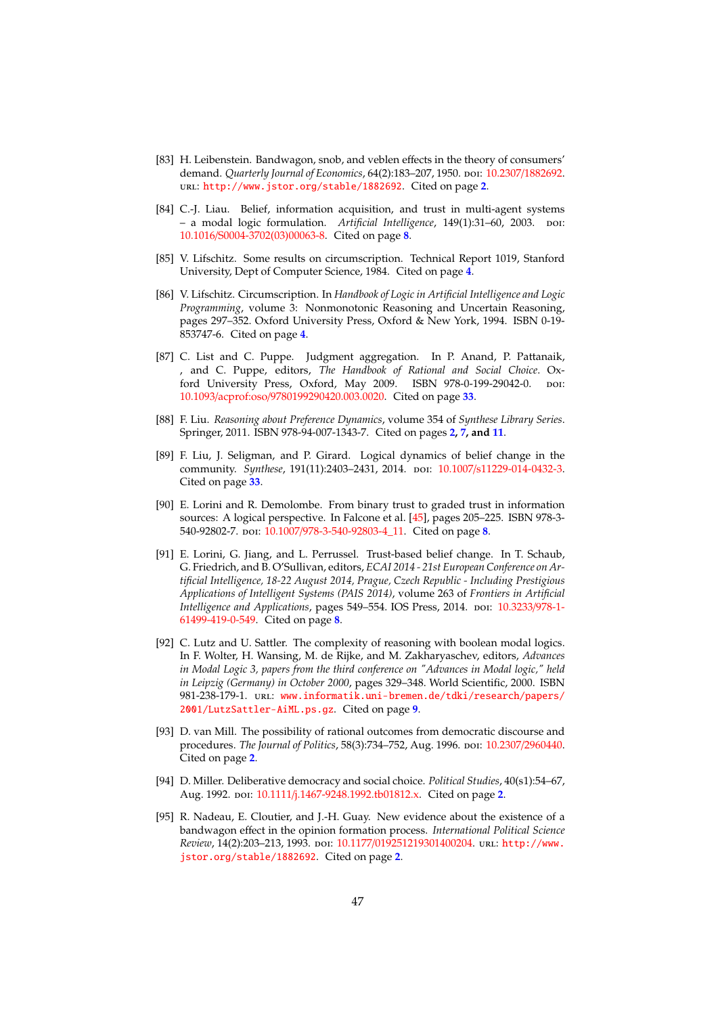- <span id="page-46-13"></span><span id="page-46-3"></span>[83] H. Leibenstein. Bandwagon, snob, and veblen effects in the theory of consumers' demand. *Quarterly Journal of Economics,* 64(2):183-207, 1950. poi: 10.2307/[1882692.](http://dx.doi.org/10.2307/1882692) url: <http://www.jstor.org/stable/1882692>. Cited on page **[2](#page-1-2)**.
- <span id="page-46-7"></span>[84] C.-J. Liau. Belief, information acquisition, and trust in multi-agent systems – a modal logic formulation. *Artificial Intelligence*, 149(1):31–60, 2003. doi: 10.1016/[S0004-3702\(03\)00063-8.](http://dx.doi.org/10.1016/S0004-3702(03)00063-8) Cited on page **[8](#page-7-2)**.
- <span id="page-46-5"></span>[85] V. Lifschitz. Some results on circumscription. Technical Report 1019, Stanford University, Dept of Computer Science, 1984. Cited on page **[4](#page-3-0)**.
- <span id="page-46-6"></span>[86] V. Lifschitz. Circumscription. In *Handbook of Logic in Artificial Intelligence and Logic Programming*, volume 3: Nonmonotonic Reasoning and Uncertain Reasoning, pages 297–352. Oxford University Press, Oxford & New York, 1994. ISBN 0-19- 853747-6. Cited on page **[4](#page-3-0)**.
- <span id="page-46-11"></span>[87] C. List and C. Puppe. Judgment aggregation. In P. Anand, P. Pattanaik, , and C. Puppe, editors, *The Handbook of Rational and Social Choice*. Oxford University Press, Oxford, May 2009. ISBN 978-0-199-29042-0. poi: 10.1093/acprof:oso/[9780199290420.003.0020.](http://dx.doi.org/10.1093/acprof:oso/9780199290420.003.0020) Cited on page **[33](#page-32-1)**.
- <span id="page-46-0"></span>[88] F. Liu. *Reasoning about Preference Dynamics*, volume 354 of *Synthese Library Series*. Springer, 2011. ISBN 978-94-007-1343-7. Cited on pages **[2,](#page-1-2) [7,](#page-6-1) and [11](#page-10-0)**.
- <span id="page-46-12"></span>[89] F. Liu, J. Seligman, and P. Girard. Logical dynamics of belief change in the community. Synthese, 191(11):2403-2431, 2014. poi: 10.1007/[s11229-014-0432-3.](http://dx.doi.org/10.1007/s11229-014-0432-3) Cited on page **[33](#page-32-1)**.
- <span id="page-46-8"></span>[90] E. Lorini and R. Demolombe. From binary trust to graded trust in information sources: A logical perspective. In Falcone et al. [\[45\]](#page-43-6), pages 205–225. ISBN 978-3- 540-92802-7. doi: 10.1007/[978-3-540-92803-4\\_11.](http://dx.doi.org/10.1007/978-3-540-92803-4_11) Cited on page **[8](#page-7-2)**.
- <span id="page-46-9"></span>[91] E. Lorini, G. Jiang, and L. Perrussel. Trust-based belief change. In T. Schaub, G. Friedrich, and B. O'Sullivan, editors, *ECAI 2014 - 21st European Conference on Artificial Intelligence, 18-22 August 2014, Prague, Czech Republic - Including Prestigious Applications of Intelligent Systems (PAIS 2014)*, volume 263 of *Frontiers in Artificial Intelligence and Applications*, pages 549-554. IOS Press, 2014. poi: [10.3233](http://dx.doi.org/10.3233/978-1-61499-419-0-549)/978-1-[61499-419-0-549.](http://dx.doi.org/10.3233/978-1-61499-419-0-549) Cited on page **[8](#page-7-2)**.
- <span id="page-46-10"></span>[92] C. Lutz and U. Sattler. The complexity of reasoning with boolean modal logics. In F. Wolter, H. Wansing, M. de Rijke, and M. Zakharyaschev, editors, *Advances in Modal Logic 3, papers from the third conference on "Advances in Modal logic," held in Leipzig (Germany) in October 2000*, pages 329–348. World Scientific, 2000. ISBN 981-238-179-1. URL: [www.informatik.uni-bremen.de/tdki/research/papers/](www.informatik.uni-bremen.de/tdki/research/papers/2001/LutzSattler-AiML.ps.gz) [2001/LutzSattler-AiML.ps.gz](www.informatik.uni-bremen.de/tdki/research/papers/2001/LutzSattler-AiML.ps.gz). Cited on page **[9](#page-8-1)**.
- <span id="page-46-2"></span>[93] D. van Mill. The possibility of rational outcomes from democratic discourse and procedures. *The Journal of Politics*, 58(3):734–752, Aug. 1996. doi: 10.2307/[2960440.](http://dx.doi.org/10.2307/2960440) Cited on page **[2](#page-1-2)**.
- <span id="page-46-1"></span>[94] D. Miller. Deliberative democracy and social choice. *Political Studies*, 40(s1):54–67, Aug. 1992. poi: 10.1111/[j.1467-9248.1992.tb01812.x.](http://dx.doi.org/10.1111/j.1467-9248.1992.tb01812.x) Cited on page [2](#page-1-2).
- <span id="page-46-4"></span>[95] R. Nadeau, E. Cloutier, and J.-H. Guay. New evidence about the existence of a bandwagon effect in the opinion formation process. *International Political Science Review*, 14(2):203–213, 1993. doi: 10.1177/[019251219301400204.](http://dx.doi.org/10.1177/019251219301400204) url: [http://www.](http://www.jstor.org/stable/1882692) [jstor.org/stable/1882692](http://www.jstor.org/stable/1882692). Cited on page **[2](#page-1-2)**.